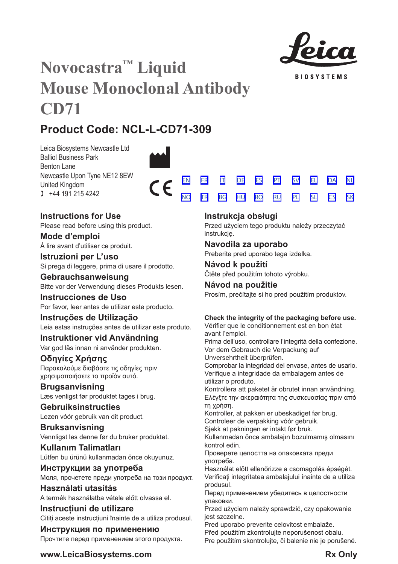

**BIOSYSTEMS** 

[SV](#page-20-0) [EL](#page-23-0) [DA](#page-26-0) [PL](#page-50-0) [SL](#page-53-0) [CS](#page-56-0)

[NL](#page-29-0)

[SK](#page-59-0)

# **Novocastra™ Liquid Mouse Monoclonal Antibody CD71**

# **Product Code: NCL-L-CD71-309**

Leica Biosystems Newcastle Ltd Balliol Business Park Benton Lane Newcastle Upon Tyne NE12 8EW United Kingdom  $1 +44 191 215 4242$ 



## **Instructions for Use**

Please read before using this product.

**Mode d'emploi** Á lire avant d'utiliser ce produit.

**Istruzioni per L'uso** Si prega di leggere, prima di usare il prodotto.

**Gebrauchsanweisung** Bitte vor der Verwendung dieses Produkts lesen.

**Instrucciones de Uso** Por favor, leer antes de utilizar este producto.

## **Instruções de Utilização**

Leia estas instruções antes de utilizar este produto.

## **Instruktioner vid Användning**

Var god läs innan ni använder produkten.

## **Οδηγίες Χρήσης**

Παρακαλούμε διαβάστε τις οδηγίες πριν χρησιμοποιήσετε το προϊόν αυτό.

## **Brugsanvisning**

Læs venligst før produktet tages i brug.

## **Gebruiksinstructies**

Lezen vóór gebruik van dit product.

## **Bruksanvisning** Vennligst les denne før du bruker produktet.

**Kullanım Talimatları** Lütfen bu ürünü kullanmadan önce okuyunuz.

**Инструкции за употреба** Моля, прочетете преди употреба на този продукт.

**Használati utasítás** A termék használatba vétele előtt olvassa el.

**Instrucțiuni de utilizare** Cititi aceste instructiuni înainte de a utiliza produsul.

## **Инструкция по применению** Прочтите перед применением этого продукта.

## **Instrukcja obsługi**

<u>[NO](#page-32-0) [TR](#page-35-0) [BG](#page-38-0) [HU](#page-41-0) [RO](#page-44-0) [RU](#page-47-0)</u>

Przed użyciem tego produktu należy przeczytać instrukcję.

## **Navodila za uporabo**

Preberite pred uporabo tega izdelka.

## **Návod k použití** Čtěte před použitím tohoto výrobku.

## **Návod na použitie**

Prosím, prečítajte si ho pred použitím produktov.

## **Check the integrity of the packaging before use.**

Vérifier que le conditionnement est en bon état avant l'emploi.

Prima dell'uso, controllare l'integrità della confezione. Vor dem Gebrauch die Verpackung auf

Unversehrtheit überprüfen.

Comprobar la integridad del envase, antes de usarlo. Verifique a integridade da embalagem antes de utilizar o produto.

Kontrollera att paketet är obrutet innan användning. Ελέγξτε την ακεραιότητα της συσκευασίας πριν από τη χρήση.

Kontroller, at pakken er ubeskadiget før brug. Controleer de verpakking vóór gebruik.

Sjekk at pakningen er intakt før bruk.

Kullanmadan önce ambalajın bozulmamış olmasını kontrol edin.

Проверете целостта на опаковката преди употреба.

Használat előtt ellenőrizze a csomagolás épségét. Verificați integritatea ambalajului înainte de a utiliza produsul.

Перед применением убедитесь в целостности упаковки.

Przed użyciem należy sprawdzić, czy opakowanie jest szczelne.

Pred uporabo preverite celovitost embalaže.

Před použitím zkontrolujte neporušenost obalu. Pre použitím skontrolujte, či balenie nie je porušené.

## **www.LeicaBiosystems.com Rx** Only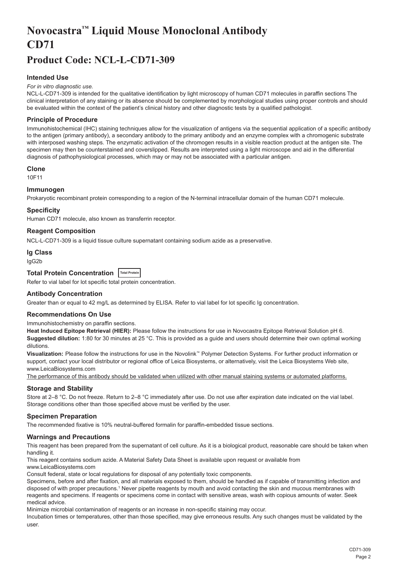# <span id="page-2-0"></span>**Novocastra™ Liquid Mouse Monoclonal Antibody CD71**

## **Product Code: NCL-L-CD71-309**

## **Intended Use**

#### *For in vitro diagnostic use.*

NCL-L-CD71-309 is intended for the qualitative identification by light microscopy of human CD71 molecules in paraffin sections The clinical interpretation of any staining or its absence should be complemented by morphological studies using proper controls and should be evaluated within the context of the patient's clinical history and other diagnostic tests by a qualified pathologist.

#### **Principle of Procedure**

Immunohistochemical (IHC) staining techniques allow for the visualization of antigens via the sequential application of a specific antibody to the antigen (primary antibody), a secondary antibody to the primary antibody and an enzyme complex with a chromogenic substrate with interposed washing steps. The enzymatic activation of the chromogen results in a visible reaction product at the antigen site. The specimen may then be counterstained and coverslipped. Results are interpreted using a light microscope and aid in the differential diagnosis of pathophysiological processes, which may or may not be associated with a particular antigen.

#### **Clone**

10F11

#### **Immunogen**

Prokaryotic recombinant protein corresponding to a region of the N-terminal intracellular domain of the human CD71 molecule.

#### **Specificity**

Human CD71 molecule, also known as transferrin receptor.

#### **Reagent Composition**

NCL-L-CD71-309 is a liquid tissue culture supernatant containing sodium azide as a preservative.

#### **Ig Class**

IgG2b

## **Total Protein Concentration Total Protein**

Refer to vial label for lot specific total protein concentration.

#### **Antibody Concentration**

Greater than or equal to 42 mg/L as determined by ELISA. Refer to vial label for lot specific Ig concentration.

### **Recommendations On Use**

Immunohistochemistry on paraffin sections.

**Heat Induced Epitope Retrieval (HIER):** Please follow the instructions for use in Novocastra Epitope Retrieval Solution pH 6. **Suggested dilution:** 1:80 for 30 minutes at 25 °C. This is provided as a guide and users should determine their own optimal working dilutions.

**Visualization:** Please follow the instructions for use in the Novolink™ Polymer Detection Systems. For further product information or support, contact your local distributor or regional office of Leica Biosystems, or alternatively, visit the Leica Biosystems Web site, www.LeicaBiosystems.com

The performance of this antibody should be validated when utilized with other manual staining systems or automated platforms.

#### **Storage and Stability**

Store at 2–8 °C. Do not freeze. Return to 2–8 °C immediately after use. Do not use after expiration date indicated on the vial label. Storage conditions other than those specified above must be verified by the user.

#### **Specimen Preparation**

The recommended fixative is 10% neutral-buffered formalin for paraffin-embedded tissue sections.

#### **Warnings and Precautions**

This reagent has been prepared from the supernatant of cell culture. As it is a biological product, reasonable care should be taken when handling it.

This reagent contains sodium azide. A Material Safety Data Sheet is available upon request or available from

www.LeicaBiosystems.com

Consult federal, state or local regulations for disposal of any potentially toxic components.

Specimens, before and after fixation, and all materials exposed to them, should be handled as if capable of transmitting infection and disposed of with proper precautions.1 Never pipette reagents by mouth and avoid contacting the skin and mucous membranes with reagents and specimens. If reagents or specimens come in contact with sensitive areas, wash with copious amounts of water. Seek medical advice.

Minimize microbial contamination of reagents or an increase in non-specific staining may occur.

Incubation times or temperatures, other than those specified, may give erroneous results. Any such changes must be validated by the user.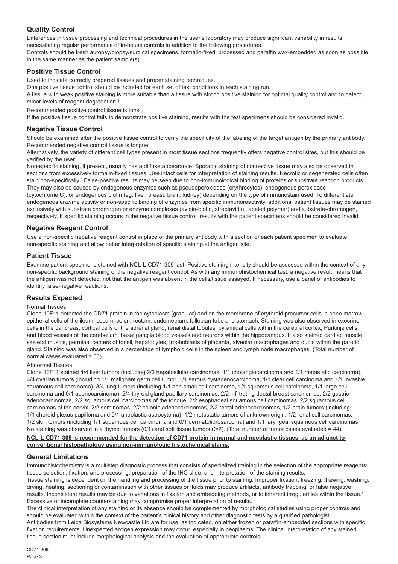## **Quality Control**

Differences in tissue processing and technical procedures in the user's laboratory may produce significant variability in results, necessitating regular performance of in-house controls in addition to the following procedures.

Controls should be fresh autopsy/biopsy/surgical specimens, formalin-fixed, processed and paraffin wax-embedded as soon as possible in the same manner as the patient sample(s).

## **Positive Tissue Control**

Used to indicate correctly prepared tissues and proper staining techniques.

One positive tissue control should be included for each set of test conditions in each staining run.

A tissue with weak positive staining is more suitable than a tissue with strong positive staining for optimal quality control and to detect minor levels of reagent degradation.<sup>2</sup>

Recommended positive control tissue is tonsil.

If the positive tissue control fails to demonstrate positive staining, results with the test specimens should be considered invalid.

### **Negative Tissue Control**

Should be examined after the positive tissue control to verify the specificity of the labeling of the target antigen by the primary antibody. Recommended negative control tissue is tongue.

Alternatively, the variety of different cell types present in most tissue sections frequently offers negative control sites, but this should be verified by the user.

Non-specific staining, if present, usually has a diffuse appearance. Sporadic staining of connective tissue may also be observed in sections from excessively formalin-fixed tissues. Use intact cells for interpretation of staining results. Necrotic or degenerated cells often stain non-specifically.<sup>3</sup> False-positive results may be seen due to non-immunological binding of proteins or substrate reaction products. They may also be caused by endogenous enzymes such as pseudoperoxidase (erythrocytes), endogenous peroxidase

(cytochrome C), or endogenous biotin (eg. liver, breast, brain, kidney) depending on the type of immunostain used. To differentiate endogenous enzyme activity or non-specific binding of enzymes from specific immunoreactivity, additional patient tissues may be stained exclusively with substrate chromogen or enzyme complexes (avidin-biotin, streptavidin, labeled polymer) and substrate-chromogen, respectively. If specific staining occurs in the negative tissue control, results with the patient specimens should be considered invalid.

## **Negative Reagent Control**

Use a non-specific negative reagent control in place of the primary antibody with a section of each patient specimen to evaluate non-specific staining and allow better interpretation of specific staining at the antigen site.

### **Patient Tissue**

Examine patient specimens stained with NCL-L-CD71-309 last. Positive staining intensity should be assessed within the context of any non-specific background staining of the negative reagent control. As with any immunohistochemical test, a negative result means that the antigen was not detected, not that the antigen was absent in the cells/tissue assayed. If necessary, use a panel of antibodies to identify false-negative reactions.

## **Results Expected**

### Normal Tissues

Clone 10F11 detected the CD71 protein in the cytoplasm (granular) and on the membrane of erythroid precursor cells in bone marrow, epithelial cells of the ileum, cecum, colon, rectum, endometrium, fallopian tube and stomach. Staining was also observed in exocrine cells in the pancreas, cortical cells of the adrenal gland, renal distal tubules, pyramidal cells within the cerebral cortex, Purkinje cells and blood vessels of the cerebellum, basal ganglia blood vessels and neurons within the hippocampus. It also stained cardiac muscle, skeletal muscle, germinal centers of tonsil, hepatocytes, trophoblasts of placenta, alveolar macrophages and ducts within the parotid gland. Staining was also observed in a percentage of lymphoid cells in the spleen and lymph node macrophages. (Total number of normal cases evaluated = 56).

#### Abnormal Tissues

Clone 10F11 stained 4/4 liver tumors (including 2/2 hepatcellular carcinomas, 1/1 cholangiocarcinoma and 1/1 metastatic carcinoma), 4/4 ovarian tumors (including 1/1 malignant germ cell tumor, 1/1 serous cystadenocarcinoma, 1/1 clear cell carcinoma and 1/1 invasive squamous cell carcinoma), 3/4 lung tumors (including 1/1 non-small cell carcinoma, 1/1 squamous cell carcinoma, 1/1 large cell carcinoma and 0/1 adenocarcinoma), 2/4 thyroid gland papillary carcinomas, 2/2 infiltrating ductal breast carcinomas, 2/2 gastric adenocarcinomas, 2/2 squamous cell carcinomas of the tongue, 2/2 esophageal squamous cell carcinomas, 2/2 squamous cell carcinomas of the cervix, 2/2 seminomas, 2/2 colonic adenocarcinomas, 2/2 rectal adenocarcinomas, 1/2 brain tumors (including 1/1 choroid plexus papilloma and 0/1 anaplastic astrocytoma), 1/2 metastatic tumors of unknown origin, 1/2 renal cell carcinomas, 1/2 skin tumors (including 1/1 squamous cell carcinoma and 0/1 dermatofibrosarcoma) and 1/1 laryngeal squamous cell carcinomas. No staining was observed in a thymic tumors  $(0/1)$  and soft tissue tumors  $(0/2)$ . (Total number of tumor cases evaluated = 44).

#### **NCL-L-CD71-309 is recommended for the detection of CD71 protein in normal and neoplastic tissues, as an adjunct to conventional histopathology using non-immunologic histochemical stains.**

### **General Limitations**

Immunohistochemistry is a multistep diagnostic process that consists of specialized training in the selection of the appropriate reagents; tissue selection, fixation, and processing; preparation of the IHC slide; and interpretation of the staining results.

Tissue staining is dependent on the handling and processing of the tissue prior to staining. Improper fixation, freezing, thawing, washing, drying, heating, sectioning or contamination with other tissues or fluids may produce artifacts, antibody trapping, or false negative results. Inconsistent results may be due to variations in fixation and embedding methods, or to inherent irregularities within the tissue.<sup>4</sup> Excessive or incomplete counterstaining may compromise proper interpretation of results.

The clinical interpretation of any staining or its absence should be complemented by morphological studies using proper controls and should be evaluated within the context of the patient's clinical history and other diagnostic tests by a qualified pathologist. Antibodies from Leica Biosystems Newcastle Ltd are for use, as indicated, on either frozen or paraffin-embedded sections with specific fixation requirements. Unexpected antigen expression may occur, especially in neoplasms. The clinical interpretation of any stained tissue section must include morphological analysis and the evaluation of appropriate controls.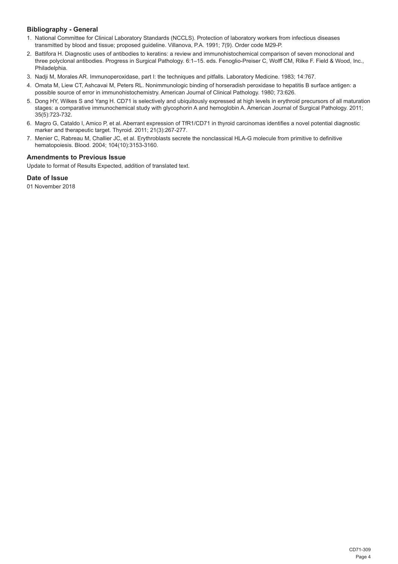## **Bibliography - General**

- 1. National Committee for Clinical Laboratory Standards (NCCLS). Protection of laboratory workers from infectious diseases transmitted by blood and tissue; proposed guideline. Villanova, P.A. 1991; 7(9). Order code M29-P.
- 2. Battifora H. Diagnostic uses of antibodies to keratins: a review and immunohistochemical comparison of seven monoclonal and three polyclonal antibodies. Progress in Surgical Pathology. 6:1–15. eds. Fenoglio-Preiser C, Wolff CM, Rilke F. Field & Wood, Inc., Philadelphia.
- 3. Nadji M, Morales AR. Immunoperoxidase, part I: the techniques and pitfalls. Laboratory Medicine. 1983; 14:767.
- 4. Omata M, Liew CT, Ashcavai M, Peters RL. Nonimmunologic binding of horseradish peroxidase to hepatitis B surface antigen: a possible source of error in immunohistochemistry. American Journal of Clinical Pathology. 1980; 73:626.
- 5. Dong HY, Wilkes S and Yang H. CD71 is selectively and ubiquitously expressed at high levels in erythroid precursors of all maturation stages: a comparative immunochemical study with glycophorin A and hemoglobin A. American Journal of Surgical Pathology. 2011; 35(5):723-732.
- 6. Magro G, Cataldo I, Amico P, et al. Aberrant expression of TfR1/CD71 in thyroid carcinomas identifies a novel potential diagnostic marker and therapeutic target. Thyroid. 2011; 21(3):267-277.
- 7. Menier C, Rabreau M, Challier JC, et al. Erythroblasts secrete the nonclassical HLA-G molecule from primitive to definitive hematopoiesis. Blood. 2004; 104(10):3153-3160.

## **Amendments to Previous Issue**

Update to format of Results Expected, addition of translated text.

## **Date of Issue**

01 November 2018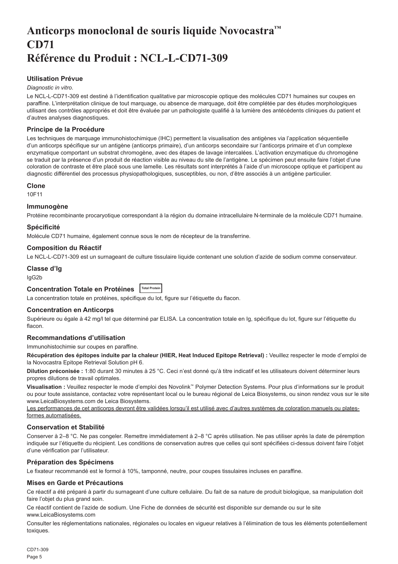## <span id="page-5-0"></span>**Anticorps monoclonal de souris liquide Novocastra™ CD71 Référence du Produit : NCL-L-CD71-309**

## **Utilisation Prévue**

#### *Diagnostic in vitro*.

Le NCL-L-CD71-309 est destiné à l'identification qualitative par microscopie optique des molécules CD71 humaines sur coupes en paraffine. L'interprétation clinique de tout marquage, ou absence de marquage, doit être complétée par des études morphologiques utilisant des contrôles appropriés et doit être évaluée par un pathologiste qualifié à la lumière des antécédents cliniques du patient et d'autres analyses diagnostiques.

## **Principe de la Procédure**

Les techniques de marquage immunohistochimique (IHC) permettent la visualisation des antigènes via l'application séquentielle d'un anticorps spécifique sur un antigène (anticorps primaire), d'un anticorps secondaire sur l'anticorps primaire et d'un complexe enzymatique comportant un substrat chromogène, avec des étapes de lavage intercalées. L'activation enzymatique du chromogène se traduit par la présence d'un produit de réaction visible au niveau du site de l'antigène. Le spécimen peut ensuite faire l'objet d'une coloration de contraste et être placé sous une lamelle. Les résultats sont interprétés à l'aide d'un microscope optique et participent au diagnostic différentiel des processus physiopathologiques, susceptibles, ou non, d'être associés à un antigène particulier.

#### **Clone**

10F11

### **Immunogène**

Protéine recombinante procaryotique correspondant à la région du domaine intracellulaire N-terminale de la molécule CD71 humaine.

### **Spécificité**

Molécule CD71 humaine, également connue sous le nom de récepteur de la transferrine.

#### **Composition du Réactif**

Le NCL-L-CD71-309 est un surnageant de culture tissulaire liquide contenant une solution d'azide de sodium comme conservateur.

## **Classe d'Ig**

IgG2b

## **Concentration Totale en Protéines Total Protein**

La concentration totale en protéines, spécifique du lot, figure sur l'étiquette du flacon.

### **Concentration en Anticorps**

Supérieure ou égale à 42 mg/l tel que déterminé par ELISA. La concentration totale en Ig, spécifique du lot, figure sur l'étiquette du flacon.

## **Recommandations d'utilisation**

Immunohistochimie sur coupes en paraffine.

**Récupération des épitopes induite par la chaleur (HIER, Heat Induced Epitope Retrieval) :** Veuillez respecter le mode d'emploi de la Novocastra Epitope Retrieval Solution pH 6.

**Dilution préconisée :** 1:80 durant 30 minutes à 25 °C. Ceci n'est donné qu'à titre indicatif et les utilisateurs doivent déterminer leurs propres dilutions de travail optimales.

**Visualisation :** Veuillez respecter le mode d'emploi des Novolink™ Polymer Detection Systems. Pour plus d'informations sur le produit ou pour toute assistance, contactez votre représentant local ou le bureau régional de Leica Biosystems, ou sinon rendez vous sur le site www.LeicaBiosystems.com de Leica Biosystems.

Les performances de cet anticorps devront être validées lorsqu'il est utilisé avec d'autres systèmes de coloration manuels ou platesformes automatisées.

### **Conservation et Stabilité**

Conserver à 2–8 °C. Ne pas congeler. Remettre immédiatement à 2–8 °C après utilisation. Ne pas utiliser après la date de péremption indiquée sur l'étiquette du récipient. Les conditions de conservation autres que celles qui sont spécifiées ci-dessus doivent faire l'objet d'une vérification par l'utilisateur.

## **Préparation des Spécimens**

Le fixateur recommandé est le formol à 10%, tamponné, neutre, pour coupes tissulaires incluses en paraffine.

### **Mises en Garde et Précautions**

Ce réactif a été préparé à partir du surnageant d'une culture cellulaire. Du fait de sa nature de produit biologique, sa manipulation doit faire l'objet du plus grand soin.

Ce réactif contient de l'azide de sodium. Une Fiche de données de sécurité est disponible sur demande ou sur le site www.LeicaBiosystems.com

Consulter les réglementations nationales, régionales ou locales en vigueur relatives à l'élimination de tous les éléments potentiellement toxiques.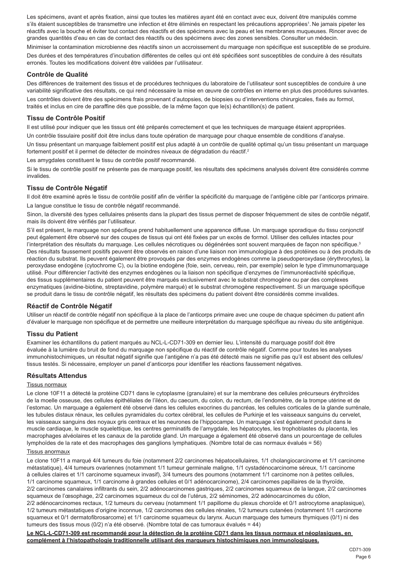Les spécimens, avant et après fixation, ainsi que toutes les matières ayant été en contact avec eux, doivent être manipulés comme s'ils étaient susceptibles de transmettre une infection et être éliminés en respectant les précautions appropriées<sup>1</sup>. Ne jamais pipeter les réactifs avec la bouche et éviter tout contact des réactifs et des spécimens avec la peau et les membranes muqueuses. Rincer avec de grandes quantités d'eau en cas de contact des réactifs ou des spécimens avec des zones sensibles. Consulter un médecin.

Minimiser la contamination microbienne des réactifs sinon un accroissement du marquage non spécifique est susceptible de se produire. Des durées et des températures d'incubation différentes de celles qui ont été spécifiées sont susceptibles de conduire à des résultats erronés. Toutes les modifications doivent être validées par l'utilisateur.

## **Contrôle de Qualité**

Des différences de traitement des tissus et de procédures techniques du laboratoire de l'utilisateur sont susceptibles de conduire à une variabilité significative des résultats, ce qui rend nécessaire la mise en œuvre de contrôles en interne en plus des procédures suivantes.

Les contrôles doivent être des spécimens frais provenant d'autopsies, de biopsies ou d'interventions chirurgicales, fixés au formol, traités et inclus en cire de paraffine dès que possible, de la même façon que le(s) échantillon(s) de patient.

### **Tissu de Contrôle Positif**

Il est utilisé pour indiquer que les tissus ont été préparés correctement et que les techniques de marquage étaient appropriées.

Un contrôle tissulaire positif doit être inclus dans toute opération de marquage pour chaque ensemble de conditions d'analyse. Un tissu présentant un marquage faiblement positif est plus adapté à un contrôle de qualité optimal qu'un tissu présentant un marquage

fortement positif et il permet de détecter de moindres niveaux de dégradation du réactif.<sup>2</sup>

Les amygdales constituent le tissu de contrôle positif recommandé.

Si le tissu de contrôle positif ne présente pas de marquage positif, les résultats des spécimens analysés doivent être considérés comme invalides.

## **Tissu de Contrôle Négatif**

Il doit être examiné après le tissu de contrôle positif afin de vérifier la spécificité du marquage de l'antigène cible par l'anticorps primaire. La langue constitue le tissu de contrôle négatif recommandé.

Sinon, la diversité des types cellulaires présents dans la plupart des tissus permet de disposer fréquemment de sites de contrôle négatif, mais ils doivent être vérifiés par l'utilisateur.

S'il est présent, le marquage non spécifique prend habituellement une apparence diffuse. Un marquage sporadique du tissu conjonctif peut également être observé sur des coupes de tissus qui ont été fixées par un excès de formol. Utiliser des cellules intactes pour l'interprétation des résultats du marquage. Les cellules nécrotiques ou dégénérées sont souvent marquées de façon non spécifique.<sup>3</sup> Des résultats faussement positifs peuvent être observés en raison d'une liaison non immunologique à des protéines ou à des produits de réaction du substrat. Ils peuvent également être provoqués par des enzymes endogènes comme la pseudoperoxydase (érythrocytes), la peroxydase endogène (cytochrome C), ou la biotine endogène (foie, sein, cerveau, rein, par exemple) selon le type d'immunomarquage utilisé. Pour différencier l'activité des enzymes endogènes ou la liaison non spécifique d'enzymes de l'immunoréactivité spécifique, des tissus supplémentaires du patient peuvent être marqués exclusivement avec le substrat chromogène ou par des complexes enzymatiques (avidine-biotine, streptavidine, polymère marqué) et le substrat chromogène respectivement. Si un marquage spécifique se produit dans le tissu de contrôle négatif, les résultats des spécimens du patient doivent être considérés comme invalides.

### **Réactif de Contrôle Négatif**

Utiliser un réactif de contrôle négatif non spécifique à la place de l'anticorps primaire avec une coupe de chaque spécimen du patient afin d'évaluer le marquage non spécifique et de permettre une meilleure interprétation du marquage spécifique au niveau du site antigénique.

### **Tissu du Patient**

Examiner les échantillons du patient marqués au NCL-L-CD71-309 en dernier lieu. L'intensité du marquage positif doit être évaluée à la lumière du bruit de fond du marquage non spécifique du réactif de contrôle négatif. Comme pour toutes les analyses immunohistochimiques, un résultat négatif signifie que l'antigène n'a pas été détecté mais ne signifie pas qu'il est absent des cellules/ tissus testés. Si nécessaire, employer un panel d'anticorps pour identifier les réactions faussement négatives.

#### **Résultats Attendus**

#### Tissus normaux

Le clone 10F11 a détecté la protéine CD71 dans le cytoplasme (granulaire) et sur la membrane des cellules précurseurs érythroïdes de la moelle osseuse, des cellules épithéliales de l'iléon, du caecum, du colon, du rectum, de l'endomètre, de la trompe utérine et de l'estomac. Un marquage a également été observé dans les cellules exocrines du pancréas, les cellules corticales de la glande surrénale, les tubules distaux rénaux, les cellules pyramidales du cortex cérébral, les cellules de Purkinje et les vaisseaux sanguins du cervelet, les vaisseaux sanguins des noyaux gris centraux et les neurones de l'hippocampe. Un marquage s'est également produit dans le muscle cardiaque, le muscle squelettique, les centres germinatifs de l'amygdale, les hépatocytes, les trophoblastes du placenta, les macrophages alvéolaires et les canaux de la parotide gland. Un marquage a également été observé dans un pourcentage de cellules lymphoïdes de la rate et des macrophages des ganglions lymphatiques. (Nombre total de cas normaux évalués = 56)

#### Tissus anormaux

Le clone 10F11 a marqué 4/4 tumeurs du foie (notamment 2/2 carcinomes hépatocellulaires, 1/1 cholangiocarcinome et 1/1 carcinome métastatique), 4/4 tumeurs ovariennes (notamment 1/1 tumeur germinale maligne, 1/1 cystadénocarcinome séreux, 1/1 carcinome à cellules claires et 1/1 carcinome squameux invasif), 3/4 tumeurs des poumons (notamment 1/1 carcinome non à petites cellules, 1/1 carcinome squameux, 1/1 carcinome à grandes cellules et 0/1 adénocarcinome), 2/4 carcinomes papillaires de la thyroïde, 2/2 carcinomes canalaires infiltrants du sein, 2/2 adénocarcinomes gastriques, 2/2 carcinomes squameux de la langue, 2/2 carcinomes squameux de l'œsophage, 2/2 carcinomes squameux du col de l'utérus, 2/2 séminomes, 2/2 adénocarcinomes du côlon, 2/2 adénocarcinomes rectaux, 1/2 tumeurs du cerveau (notamment 1/1 papillome du plexus choroïde et 0/1 astrocytome anaplasique), 1/2 tumeurs métastatiques d'origine inconnue, 1/2 carcinomes des cellules rénales, 1/2 tumeurs cutanées (notamment 1/1 carcinome squameux et 0/1 dermatofibrosarcome) et 1/1 carcinome squameux du larynx. Aucun marquage des tumeurs thymiques (0/1) ni des tumeurs des tissus mous (0/2) n'a été observé. (Nombre total de cas tumoraux évalués = 44)

**Le NCL-L-CD71-309 est recommandé pour la détection de la protéine CD71 dans les tissus normaux et néoplasiques, en complément à l'histopathologie traditionnelle utilisant des marqueurs histochimiques non immunologiques.**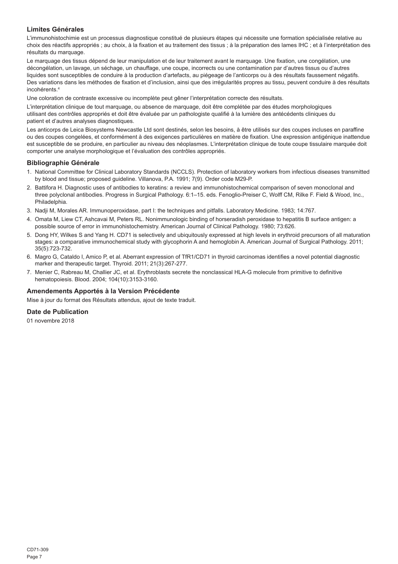## **Limites Générales**

L'immunohistochimie est un processus diagnostique constitué de plusieurs étapes qui nécessite une formation spécialisée relative au choix des réactifs appropriés ; au choix, à la fixation et au traitement des tissus ; à la préparation des lames IHC ; et à l'interprétation des résultats du marquage.

Le marquage des tissus dépend de leur manipulation et de leur traitement avant le marquage. Une fixation, une congélation, une décongélation, un lavage, un séchage, un chauffage, une coupe, incorrects ou une contamination par d'autres tissus ou d'autres liquides sont susceptibles de conduire à la production d'artefacts, au piégeage de l'anticorps ou à des résultats faussement négatifs. Des variations dans les méthodes de fixation et d'inclusion, ainsi que des irrégularités propres au tissu, peuvent conduire à des résultats incohérents.<sup>4</sup>

Une coloration de contraste excessive ou incomplète peut gêner l'interprétation correcte des résultats.

L'interprétation clinique de tout marquage, ou absence de marquage, doit être complétée par des études morphologiques utilisant des contrôles appropriés et doit être évaluée par un pathologiste qualifié à la lumière des antécédents cliniques du patient et d'autres analyses diagnostiques.

Les anticorps de Leica Biosystems Newcastle Ltd sont destinés, selon les besoins, à être utilisés sur des coupes incluses en paraffine ou des coupes congelées, et conformément à des exigences particulières en matière de fixation. Une expression antigénique inattendue est susceptible de se produire, en particulier au niveau des néoplasmes. L'interprétation clinique de toute coupe tissulaire marquée doit comporter une analyse morphologique et l'évaluation des contrôles appropriés.

#### **Bibliographie Générale**

- 1. National Committee for Clinical Laboratory Standards (NCCLS). Protection of laboratory workers from infectious diseases transmitted by blood and tissue; proposed guideline. Villanova, P.A. 1991; 7(9). Order code M29-P.
- 2. Battifora H. Diagnostic uses of antibodies to keratins: a review and immunohistochemical comparison of seven monoclonal and three polyclonal antibodies. Progress in Surgical Pathology. 6:1–15. eds. Fenoglio-Preiser C, Wolff CM, Rilke F. Field & Wood, Inc., Philadelphia.
- 3. Nadji M, Morales AR. Immunoperoxidase, part I: the techniques and pitfalls. Laboratory Medicine. 1983; 14:767.
- 4. Omata M, Liew CT, Ashcavai M, Peters RL. Nonimmunologic binding of horseradish peroxidase to hepatitis B surface antigen: a possible source of error in immunohistochemistry. American Journal of Clinical Pathology. 1980; 73:626.
- 5. Dong HY, Wilkes S and Yang H. CD71 is selectively and ubiquitously expressed at high levels in erythroid precursors of all maturation stages: a comparative immunochemical study with glycophorin A and hemoglobin A. American Journal of Surgical Pathology. 2011; 35(5):723-732.
- 6. Magro G, Cataldo I, Amico P, et al. Aberrant expression of TfR1/CD71 in thyroid carcinomas identifies a novel potential diagnostic marker and therapeutic target. Thyroid. 2011; 21(3):267-277.
- 7. Menier C, Rabreau M, Challier JC, et al. Erythroblasts secrete the nonclassical HLA-G molecule from primitive to definitive hematopoiesis. Blood. 2004; 104(10):3153-3160.

### **Amendements Apportés à la Version Précédente**

Mise à jour du format des Résultats attendus, ajout de texte traduit.

## **Date de Publication**

01 novembre 2018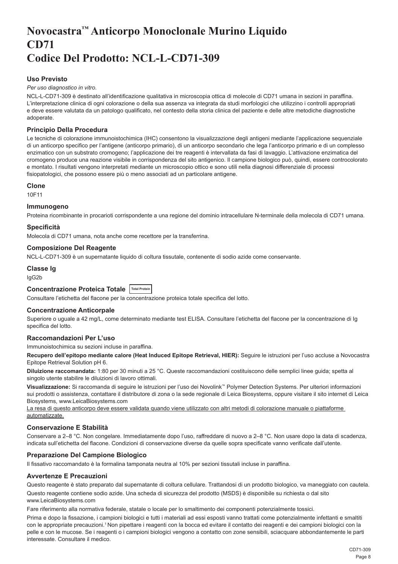## <span id="page-8-0"></span>**Novocastra™ Anticorpo Monoclonale Murino Liquido CD71 Codice Del Prodotto: NCL-L-CD71-309**

## **Uso Previsto**

#### *Per uso diagnostico in vitro*.

NCL-L-CD71-309 è destinato all'identificazione qualitativa in microscopia ottica di molecole di CD71 umana in sezioni in paraffina. L'interpretazione clinica di ogni colorazione o della sua assenza va integrata da studi morfologici che utilizzino i controlli appropriati e deve essere valutata da un patologo qualificato, nel contesto della storia clinica del paziente e delle altre metodiche diagnostiche adoperate.

#### **Principio Della Procedura**

Le tecniche di colorazione immunoistochimica (IHC) consentono la visualizzazione degli antigeni mediante l'applicazione sequenziale di un anticorpo specifico per l'antigene (anticorpo primario), di un anticorpo secondario che lega l'anticorpo primario e di un complesso enzimatico con un substrato cromogeno; l'applicazione dei tre reagenti è intervallata da fasi di lavaggio. L'attivazione enzimatica del cromogeno produce una reazione visibile in corrispondenza del sito antigenico. Il campione biologico può, quindi, essere controcolorato e montato. I risultati vengono interpretati mediante un microscopio ottico e sono utili nella diagnosi differenziale di processi fisiopatologici, che possono essere più o meno associati ad un particolare antigene.

#### **Clone**

10F11

#### **Immunogeno**

Proteina ricombinante in procarioti corrispondente a una regione del dominio intracellulare N-terminale della molecola di CD71 umana.

#### **Specificità**

Molecola di CD71 umana, nota anche come recettore per la transferrina.

#### **Composizione Del Reagente**

NCL-L-CD71-309 è un supernatante liquido di coltura tissutale, contenente di sodio azide come conservante.

## **Classe Ig**

IgG2b

## **Concentrazione Proteica Totale Total Protein**

Consultare l'etichetta del flacone per la concentrazione proteica totale specifica del lotto.

### **Concentrazione Anticorpale**

Superiore o uguale a 42 mg/L, come determinato mediante test ELISA. Consultare l'etichetta del flacone per la concentrazione di Ig specifica del lotto.

## **Raccomandazioni Per L'uso**

Immunoistochimica su sezioni incluse in paraffina.

**Recupero dell'epitopo mediante calore (Heat Induced Epitope Retrieval, HIER):** Seguire le istruzioni per l'uso accluse a Novocastra Epitope Retrieval Solution pH 6.

**Diluizione raccomandata:** 1:80 per 30 minuti a 25 °C. Queste raccomandazioni costituiscono delle semplici linee guida; spetta al singolo utente stabilire le diluizioni di lavoro ottimali.

**Visualizzazione:** Si raccomanda di seguire le istruzioni per l'uso dei Novolink™ Polymer Detection Systems. Per ulteriori informazioni sui prodotti o assistenza, contattare il distributore di zona o la sede regionale di Leica Biosystems, oppure visitare il sito internet di Leica Biosystems, www.LeicaBiosystems.com

La resa di questo anticorpo deve essere validata quando viene utilizzato con altri metodi di colorazione manuale o piattaforme automatizzate.

### **Conservazione E Stabilità**

Conservare a 2–8 °C. Non congelare. Immediatamente dopo l'uso, raffreddare di nuovo a 2–8 °C. Non usare dopo la data di scadenza, indicata sull'etichetta del flacone. Condizioni di conservazione diverse da quelle sopra specificate vanno verificate dall'utente.

### **Preparazione Del Campione Biologico**

Il fissativo raccomandato è la formalina tamponata neutra al 10% per sezioni tissutali incluse in paraffina.

#### **Avvertenze E Precauzioni**

Questo reagente è stato preparato dal supernatante di coltura cellulare. Trattandosi di un prodotto biologico, va maneggiato con cautela.

Questo reagente contiene sodio azide. Una scheda di sicurezza del prodotto (MSDS) è disponibile su richiesta o dal sito www.LeicaBiosystems.com

Fare riferimento alla normativa federale, statale o locale per lo smaltimento dei componenti potenzialmente tossici.

Prima e dopo la fissazione, i campioni biologici e tutti i materiali ad essi esposti vanno trattati come potenzialmente infettanti e smaltiti con le appropriate precauzioni.<sup>1</sup> Non pipettare i reagenti con la bocca ed evitare il contatto dei reagenti e dei campioni biologici con la pelle e con le mucose. Se i reagenti o i campioni biologici vengono a contatto con zone sensibili, sciacquare abbondantemente le parti interessate. Consultare il medico.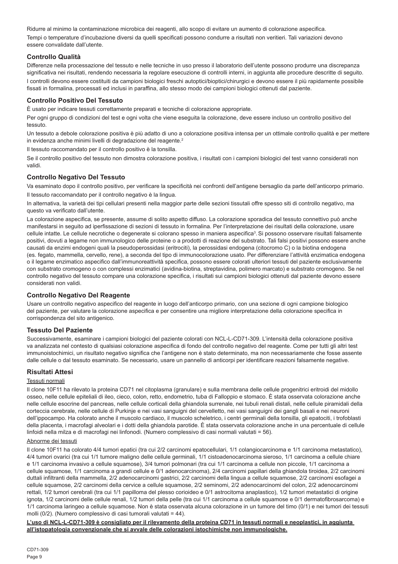Ridurre al minimo la contaminazione microbica dei reagenti, allo scopo di evitare un aumento di colorazione aspecifica. Tempi o temperature d'incubazione diversi da quelli specificati possono condurre a risultati non veritieri. Tali variazioni devono essere convalidate dall'utente.

## **Controllo Qualità**

Differenze nella processazione del tessuto e nelle tecniche in uso presso il laboratorio dell'utente possono produrre una discrepanza significativa nei risultati, rendendo necessaria la regolare esecuzione di controlli interni, in aggiunta alle procedure descritte di seguito. I controlli devono essere costituiti da campioni biologici freschi autoptici/bioptici/chirurgici e devono essere il più rapidamente possibile fissati in formalina, processati ed inclusi in paraffina, allo stesso modo dei campioni biologici ottenuti dal paziente.

## **Controllo Positivo Del Tessuto**

È usato per indicare tessuti correttamente preparati e tecniche di colorazione appropriate.

Per ogni gruppo di condizioni del test e ogni volta che viene eseguita la colorazione, deve essere incluso un controllo positivo del tessuto.

Un tessuto a debole colorazione positiva è più adatto di uno a colorazione positiva intensa per un ottimale controllo qualità e per mettere in evidenza anche minimi livelli di degradazione del reagente.<sup>2</sup>

Il tessuto raccomandato per il controllo positivo è la tonsilla.

Se il controllo positivo del tessuto non dimostra colorazione positiva, i risultati con i campioni biologici del test vanno considerati non validi.

## **Controllo Negativo Del Tessuto**

Va esaminato dopo il controllo positivo, per verificare la specificità nei confronti dell'antigene bersaglio da parte dell'anticorpo primario. Il tessuto raccomandato per il controllo negativo è la lingua.

In alternativa, la varietà dei tipi cellulari presenti nella maggior parte delle sezioni tissutali offre spesso siti di controllo negativo, ma questo va verificato dall'utente.

La colorazione aspecifica, se presente, assume di solito aspetto diffuso. La colorazione sporadica del tessuto connettivo può anche manifestarsi in seguito ad iperfissazione di sezioni di tessuto in formalina. Per l'interpretazione dei risultati della colorazione, usare cellule intatte. Le cellule necrotiche o degenerate si colorano spesso in maniera aspecifica<sup>3</sup>. Si possono osservare risultati falsamente positivi, dovuti a legame non immunologico delle proteine o a prodotti di reazione del substrato. Tali falsi positivi possono essere anche causati da enzimi endogeni quali la pseudoperossidasi (eritrociti), la perossidasi endogena (citocromo C) o la biotina endogena (es. fegato, mammella, cervello, rene), a seconda del tipo di immunocolorazione usato. Per differenziare l'attività enzimatica endogena o il legame enzimatico aspecifico dall'immunoreattività specifica, possono essere colorati ulteriori tessuti del paziente esclusivamente con substrato cromogeno o con complessi enzimatici (avidina-biotina, streptavidina, polimero marcato) e substrato cromogeno. Se nel controllo negativo del tessuto compare una colorazione specifica, i risultati sui campioni biologici ottenuti dal paziente devono essere considerati non validi.

### **Controllo Negativo Del Reagente**

Usare un controllo negativo aspecifico del reagente in luogo dell'anticorpo primario, con una sezione di ogni campione biologico del paziente, per valutare la colorazione aspecifica e per consentire una migliore interpretazione della colorazione specifica in corrispondenza del sito antigenico.

### **Tessuto Del Paziente**

Successivamente, esaminare i campioni biologici del paziente colorati con NCL-L-CD71-309. L'intensità della colorazione positiva va analizzata nel contesto di qualsiasi colorazione aspecifica di fondo del controllo negativo del reagente. Come per tutti gli altri test immunoistochimici, un risultato negativo significa che l'antigene non è stato determinato, ma non necessariamente che fosse assente dalle cellule o dal tessuto esaminato. Se necessario, usare un pannello di anticorpi per identificare reazioni falsamente negative.

### **Risultati Attesi**

### Tessuti normali

Il clone 10F11 ha rilevato la proteina CD71 nel citoplasma (granulare) e sulla membrana delle cellule progenitrici eritroidi del midollo osseo, nelle cellule epiteliali di ileo, cieco, colon, retto, endometrio, tuba di Falloppio e stomaco. È stata osservata colorazione anche nelle cellule esocrine del pancreas, nelle cellule corticali della ghiandola surrenale, nei tubuli renali distali, nelle cellule piramidali della corteccia cerebrale, nelle cellule di Purkinje e nei vasi sanguigni del cervelletto, nei vasi sanguigni dei gangli basali e nei neuroni dell'ippocampo. Ha colorato anche il muscolo cardiaco, il muscolo scheletrico, i centri germinali della tonsilla, gli epatociti, i trofoblasti della placenta, i macrofagi alveolari e i dotti della ghiandola parotide. È stata osservata colorazione anche in una percentuale di cellule linfoidi nella milza e di macrofagi nei linfonodi. (Numero complessivo di casi normali valutati = 56).

#### Abnorme dei tessuti

Il clone 10F11 ha colorato 4/4 tumori epatici (tra cui 2/2 carcinomi epatocellulari, 1/1 colangiocarcinoma e 1/1 carcinoma metastatico), 4/4 tumori ovarici (tra cui 1/1 tumore maligno delle cellule germinali, 1/1 cistoadenocarcinoma sieroso, 1/1 carcinoma a cellule chiare e 1/1 carcinoma invasivo a cellule squamose), 3/4 tumori polmonari (tra cui 1/1 carcinoma a cellule non piccole, 1/1 carcinoma a cellule squamose, 1/1 carcinoma a grandi cellule e 0/1 adenocarcinoma), 2/4 carcinomi papillari della ghiandola tiroidea, 2/2 carcinomi duttali infiltranti della mammella, 2/2 adenocarcinomi gastrici, 2/2 carcinomi della lingua a cellule squamose, 2/2 carcinomi esofagei a cellule squamose, 2/2 carcinomi della cervice a cellule squamose, 2/2 seminomi, 2/2 adenocarcinomi del colon, 2/2 adenocarcinomi rettali, 1/2 tumori cerebrali (tra cui 1/1 papilloma del plesso corioideo e 0/1 astrocitoma anaplastico), 1/2 tumori metastatici di origine ignota, 1/2 carcinomi delle cellule renali, 1/2 tumori della pelle (tra cui 1/1 carcinoma a cellule squamose e 0/1 dermatofibrosarcoma) e 1/1 carcinoma laringeo a cellule squamose. Non è stata osservata alcuna colorazione in un tumore del timo (0/1) e nei tumori dei tessuti molli (0/2). (Numero complessivo di casi tumorali valutati = 44).

**L'uso di NCL-L-CD71-309 è consigliato per il rilevamento della proteina CD71 in tessuti normali e neoplastici, in aggiunta all'istopatologia convenzionale che si avvale delle colorazioni istochimiche non immunologiche.**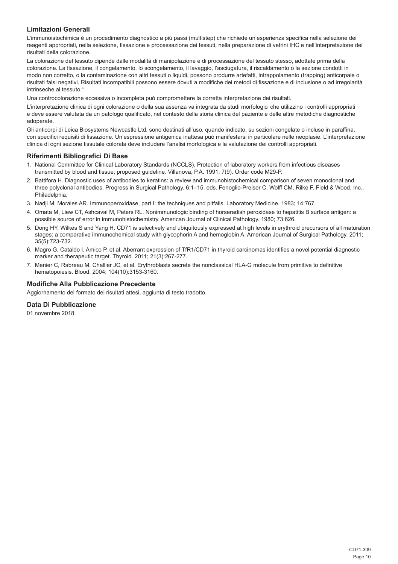## **Limitazioni Generali**

L'immunoistochimica è un procedimento diagnostico a più passi (multistep) che richiede un'esperienza specifica nella selezione dei reagenti appropriati, nella selezione, fissazione e processazione dei tessuti, nella preparazione di vetrini IHC e nell'interpretazione dei risultati della colorazione.

La colorazione del tessuto dipende dalle modalità di manipolazione e di processazione del tessuto stesso, adottate prima della colorazione. La fissazione, il congelamento, lo scongelamento, il lavaggio, l'asciugatura, il riscaldamento o la sezione condotti in modo non corretto, o la contaminazione con altri tessuti o liquidi, possono produrre artefatti, intrappolamento (trapping) anticorpale o risultati falsi negativi. Risultati incompatibili possono essere dovuti a modifiche dei metodi di fissazione e di inclusione o ad irregolarità intrinseche al tessuto.<sup>4</sup>

Una controcolorazione eccessiva o incompleta può compromettere la corretta interpretazione dei risultati.

L'interpretazione clinica di ogni colorazione o della sua assenza va integrata da studi morfologici che utilizzino i controlli appropriati e deve essere valutata da un patologo qualificato, nel contesto della storia clinica del paziente e delle altre metodiche diagnostiche adoperate.

Gli anticorpi di Leica Biosystems Newcastle Ltd. sono destinati all'uso, quando indicato, su sezioni congelate o incluse in paraffina, con specifici requisiti di fissazione. Un'espressione antigenica inattesa può manifestarsi in particolare nelle neoplasie. L'interpretazione clinica di ogni sezione tissutale colorata deve includere l'analisi morfologica e la valutazione dei controlli appropriati.

#### **Riferimenti Bibliografici Di Base**

- 1. National Committee for Clinical Laboratory Standards (NCCLS). Protection of laboratory workers from infectious diseases transmitted by blood and tissue; proposed guideline. Villanova, P.A. 1991; 7(9). Order code M29-P.
- 2. Battifora H. Diagnostic uses of antibodies to keratins: a review and immunohistochemical comparison of seven monoclonal and three polyclonal antibodies. Progress in Surgical Pathology. 6:1–15. eds. Fenoglio-Preiser C, Wolff CM, Rilke F. Field & Wood, Inc., Philadelphia.
- 3. Nadji M, Morales AR. Immunoperoxidase, part I: the techniques and pitfalls. Laboratory Medicine. 1983; 14:767.
- 4. Omata M, Liew CT, Ashcavai M, Peters RL. Nonimmunologic binding of horseradish peroxidase to hepatitis B surface antigen: a possible source of error in immunohistochemistry. American Journal of Clinical Pathology. 1980; 73:626.
- 5. Dong HY, Wilkes S and Yang H. CD71 is selectively and ubiquitously expressed at high levels in erythroid precursors of all maturation stages: a comparative immunochemical study with glycophorin A and hemoglobin A. American Journal of Surgical Pathology. 2011; 35(5):723-732.
- 6. Magro G, Cataldo I, Amico P, et al. Aberrant expression of TfR1/CD71 in thyroid carcinomas identifies a novel potential diagnostic marker and therapeutic target. Thyroid. 2011; 21(3):267-277.
- 7. Menier C, Rabreau M, Challier JC, et al. Erythroblasts secrete the nonclassical HLA-G molecule from primitive to definitive hematopoiesis. Blood. 2004; 104(10):3153-3160.

### **Modifiche Alla Pubblicazione Precedente**

Aggiornamento del formato dei risultati attesi, aggiunta di testo tradotto.

## **Data Di Pubblicazione**

01 novembre 2018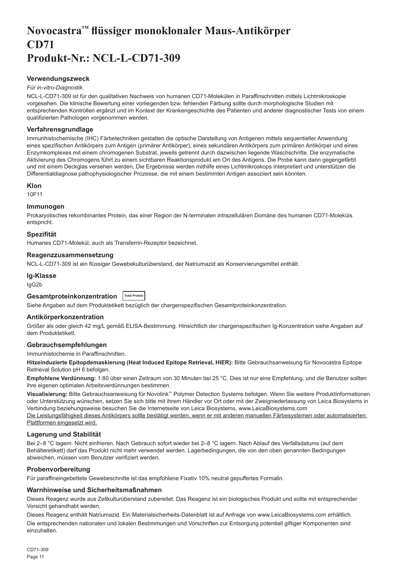## <span id="page-11-0"></span>**Novocastra™ flüssiger monoklonaler Maus-Antikörper CD71 Produkt-Nr.: NCL-L-CD71-309**

## **Verwendungszweck**

#### *Für in-vitro-Diagnostik*.

NCL-L-CD71-309 ist für den qualitativen Nachweis von humanen CD71-Molekülen in Paraffinschnitten mittels Lichtmikroskopie vorgesehen. Die klinische Bewertung einer vorliegenden bzw. fehlenden Färbung sollte durch morphologische Studien mit entsprechenden Kontrollen ergänzt und im Kontext der Krankengeschichte des Patienten und anderer diagnostischer Tests von einem qualifizierten Pathologen vorgenommen werden.

### **Verfahrensgrundlage**

Immunhistochemische (IHC) Färbetechniken gestatten die optische Darstellung von Antigenen mittels sequentieller Anwendung eines spezifischen Antikörpers zum Antigen (primärer Antikörper), eines sekundären Antikörpers zum primären Antikörper und eines Enzymkomplexes mit einem chromogenen Substrat, jeweils getrennt durch dazwischen liegende Waschschritte. Die enzymatische Aktivierung des Chromogens führt zu einem sichtbaren Reaktionsprodukt am Ort des Antigens. Die Probe kann dann gegengefärbt und mit einem Deckglas versehen werden. Die Ergebnisse werden mithilfe eines Lichtmikroskops interpretiert und unterstützen die Differentialdiagnose pathophysiologischer Prozesse, die mit einem bestimmten Antigen assoziiert sein könnten.

#### **Klon**

10F11

## **Immunogen**

Prokaryotisches rekombinantes Protein, das einer Region der N-terminalen intrazellulären Domäne des humanen CD71-Moleküls entspricht.

#### **Spezifität**

Humanes CD71-Molekül, auch als Transferrin-Rezeptor bezeichnet.

### **Reagenzzusammensetzung**

NCL-L-CD71-309 ist ein flüssiger Gewebekulturüberstand, der Natriumazid als Konservierungsmittel enthält.

#### **Ig-Klasse**

IgG2b

## **Gesamtproteinkonzentration Total Protein**

Siehe Angaben auf dem Produktetikett bezüglich der chargenspezifischen Gesamtproteinkonzentration.

#### **Antikörperkonzentration**

Größer als oder gleich 42 mg/L gemäß ELISA-Bestimmung. Hinsichtlich der chargenspezifischen Ig-Konzentration siehe Angaben auf dem Produktetikett.

### **Gebrauchsempfehlungen**

Immunhistochemie in Paraffinschnitten.

**Hitzeinduzierte Epitopdemaskierung (Heat Induced Epitope Retrieval, HIER):** Bitte Gebrauchsanweisung für Novocastra Epitope Retrieval Solution pH 6 befolgen.

**Empfohlene Verdünnung:** 1:80 über einen Zeitraum von 30 Minuten bei 25 °C. Dies ist nur eine Empfehlung, und die Benutzer sollten ihre eigenen optimalen Arbeitsverdünnungen bestimmen.

**Visualisierung:** Bitte Gebrauchsanweisung für Novolink™ Polymer Detection Systems befolgen. Wenn Sie weitere Produktinformationen oder Unterstützung wünschen, setzen Sie sich bitte mit ihrem Händler vor Ort oder mit der Zweigniederlassung von Leica Biosystems in Verbindung beziehungsweise besuchen Sie die Internetseite von Leica Biosystems, www.LeicaBiosystems.com Die Leistungsfähigkeit dieses Antikörpers sollte bestätigt werden, wenn er mit anderen manuellen Färbesystemen oder automatisierten Plattformen eingesetzt wird.

## **Lagerung und Stabilität**

Bei 2–8 °C lagern. Nicht einfrieren. Nach Gebrauch sofort wieder bei 2–8 °C lagern. Nach Ablauf des Verfallsdatums (auf dem Behälteretikett) darf das Produkt nicht mehr verwendet werden. Lagerbedingungen, die von den oben genannten Bedingungen abweichen, müssen vom Benutzer verifiziert werden.

#### **Probenvorbereitung**

Für paraffineingebettete Gewebeschnitte ist das empfohlene Fixativ 10% neutral gepuffertes Formalin.

#### **Warnhinweise und Sicherheitsmaßnahmen**

Dieses Reagenz wurde aus Zellkulturüberstand zubereitet. Das Reagenz ist ein biologisches Produkt und sollte mit entsprechender Vorsicht gehandhabt werden.

Dieses Reagenz enthält Natriumazid. Ein Materialsicherheits-Datenblatt ist auf Anfrage von www.LeicaBiosystems.com erhältlich.

Die entsprechenden nationalen und lokalen Bestimmungen und Vorschriften zur Entsorgung potentiell giftiger Komponenten sind einzuhalten.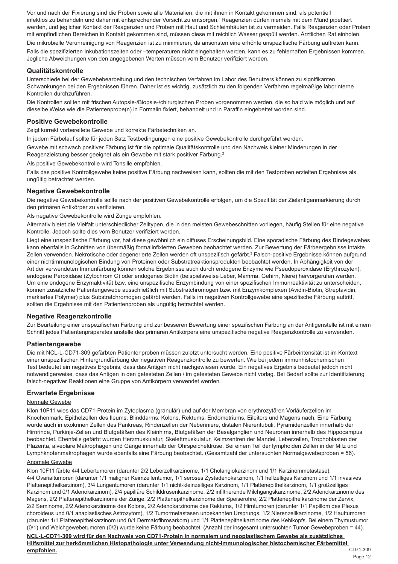Vor und nach der Fixierung sind die Proben sowie alle Materialien, die mit ihnen in Kontakt gekommen sind, als potentiell infektiös zu behandeln und daher mit entsprechender Vorsicht zu entsorgen.<sup>1</sup> Reagenzien dürfen niemals mit dem Mund pipettiert werden, und jeglicher Kontakt der Reagenzien und Proben mit Haut und Schleimhäuten ist zu vermeiden. Falls Reagenzien oder Proben mit empfindlichen Bereichen in Kontakt gekommen sind, müssen diese mit reichlich Wasser gespült werden. Ärztlichen Rat einholen.

Die mikrobielle Verunreinigung von Reagenzien ist zu minimieren, da ansonsten eine erhöhte unspezifische Färbung auftreten kann.

Falls die spezifizierten Inkubationszeiten oder –temperaturen nicht eingehalten werden, kann es zu fehlerhaften Ergebnissen kommen. Jegliche Abweichungen von den angegebenen Werten müssen vom Benutzer verifiziert werden.

#### **Qualitätskontrolle**

Unterschiede bei der Gewebebearbeitung und den technischen Verfahren im Labor des Benutzers können zu signifikanten Schwankungen bei den Ergebnissen führen. Daher ist es wichtig, zusätzlich zu den folgenden Verfahren regelmäßige laborinterne Kontrollen durchzuführen.

Die Kontrollen sollten mit frischen Autopsie-/Biopsie-/chirurgischen Proben vorgenommen werden, die so bald wie möglich und auf dieselbe Weise wie die Patientenprobe(n) in Formalin fixiert, behandelt und in Paraffin eingebettet worden sind.

#### **Positive Gewebekontrolle**

Zeigt korrekt vorbereitete Gewebe und korrekte Färbetechniken an.

In jedem Färbelauf sollte für jeden Satz Testbedingungen eine positive Gewebekontrolle durchgeführt werden.

Gewebe mit schwach positiver Färbung ist für die optimale Qualitätskontrolle und den Nachweis kleiner Minderungen in der Reagenzleistung besser geeignet als ein Gewebe mit stark positiver Färbung.<sup>2</sup>

Als positive Gewebekontrolle wird Tonsille empfohlen.

Falls das positive Kontrollgewebe keine positive Färbung nachweisen kann, sollten die mit den Testproben erzielten Ergebnisse als ungültig betrachtet werden.

#### **Negative Gewebekontrolle**

Die negative Gewebekontrolle sollte nach der positiven Gewebekontrolle erfolgen, um die Spezifität der Zielantigenmarkierung durch den primären Antikörper zu verifizieren.

Als negative Gewebekontrolle wird Zunge empfohlen.

Alternativ bietet die Vielfalt unterschiedlicher Zelltypen, die in den meisten Gewebeschnitten vorliegen, häufig Stellen für eine negative Kontrolle. Jedoch sollte dies vom Benutzer verifiziert werden.

Liegt eine unspezifische Färbung vor, hat diese gewöhnlich ein diffuses Erscheinungsbild. Eine sporadische Färbung des Bindegewebes kann ebenfalls in Schnitten von übermäßig formalinfixierten Geweben beobachtet werden. Zur Bewertung der Färbeergebnisse intakte Zellen verwenden. Nekrotische oder degenerierte Zellen werden oft unspezifisch gefärbt.<sup>3</sup> Falsch-positive Ergebnisse können aufgrund einer nichtimmunologischen Bindung von Proteinen oder Substratreaktionsprodukten beobachtet werden. In Abhängigkeit von der Art der verwendeten Immunfärbung können solche Ergebnisse auch durch endogene Enzyme wie Pseudoperoxidase (Erythrozyten), endogene Peroxidase (Zytochrom C) oder endogenes Biotin (beispielsweise Leber, Mamma, Gehirn, Niere) hervorgerufen werden. Um eine endogene Enzymaktivität bzw. eine unspezifische Enzymbindung von einer spezifischen Immunreaktivität zu unterscheiden, können zusätzliche Patientengewebe ausschließlich mit Substratchromogen bzw. mit Enzymkomplexen (Avidin-Biotin, Streptavidin, markiertes Polymer) plus Substratchromogen gefärbt werden. Falls im negativen Kontrollgewebe eine spezifische Färbung auftritt, sollten die Ergebnisse mit den Patientenproben als ungültig betrachtet werden.

#### **Negative Reagenzkontrolle**

Zur Beurteilung einer unspezifischen Färbung und zur besseren Bewertung einer spezifischen Färbung an der Antigenstelle ist mit einem Schnitt jedes Patientenpräparates anstelle des primären Antikörpers eine unspezifische negative Reagenzkontrolle zu verwenden.

#### **Patientengewebe**

Die mit NCL-L-CD71-309 gefärbten Patientenproben müssen zuletzt untersucht werden. Eine positive Färbeintensität ist im Kontext einer unspezifischen Hintergrundfärbung der negativen Reagenzkontrolle zu bewerten. Wie bei jedem immunhistochemischen Test bedeutet ein negatives Ergebnis, dass das Antigen nicht nachgewiesen wurde. Ein negatives Ergebnis bedeutet jedoch nicht notwendigerweise, dass das Antigen in den getesteten Zellen / im getesteten Gewebe nicht vorlag. Bei Bedarf sollte zur Identifizierung falsch-negativer Reaktionen eine Gruppe von Antikörpern verwendet werden.

### **Erwartete Ergebnisse**

#### Normale Gewebe

Klon 10F11 wies das CD71-Protein im Zytoplasma (granulär) und auf der Membran von erythrozytären Vorläuferzellen im Knochenmark, Epithelzellen des Ileums, Blinddarms, Kolons, Rektums, Endometriums, Eileiters und Magens nach. Eine Färbung wurde auch in exokrinen Zellen des Pankreas, Rindenzellen der Nebenniere, distalen Nierentubuli, Pyramidenzellen innerhalb der Hirnrinde, Purkinje-Zellen und Blutgefäßen des Kleinhirns, Blutgefäßen der Basalganglien und Neuronen innerhalb des Hippocampus beobachtet. Ebenfalls gefärbt wurden Herzmuskulatur, Skelettmuskulatur, Keimzentren der Mandel, Leberzellen, Trophoblasten der Plazenta, alveoläre Makrophagen und Gänge innerhalb der Ohrspeicheldrüse. Bei einem Teil der lymphoiden Zellen in der Milz und Lymphknotenmakrophagen wurde ebenfalls eine Färbung beobachtet. (Gesamtzahl der untersuchten Normalgewebeproben = 56).

#### Anomale Gewebe

Klon 10F11 färbte 4/4 Lebertumoren (darunter 2/2 Leberzellkarzinome, 1/1 Cholangiokarzinom und 1/1 Karzinommetastase), 4/4 Ovarialtumoren (darunter 1/1 maligner Keimzellentumor, 1/1 seröses Zystadenokarzinom, 1/1 hellzelliges Karzinom und 1/1 invasives Plattenepithelkarzinom), 3/4 Lungentumoren (darunter 1/1 nicht-kleinzelliges Karzinom, 1/1 Plattenepithelkarzinom, 1/1 großzelliges Karzinom und 0/1 Adenokarzinom), 2/4 papilläre Schilddrüsenkarzinome, 2/2 infiltrierende Milchgangskarzinome, 2/2 Adenokarzinome des Magens, 2/2 Plattenepithelkarzinome der Zunge, 2/2 Plattenepithelkarzinome der Speiseröhre, 2/2 Plattenepithelkarzinome der Zervix, 2/2 Seminome, 2/2 Adenokarzinome des Kolons, 2/2 Adenokarzinome des Rektums, 1/2 Hirntumoren (darunter 1/1 Papillom des Plexus choroideus und 0/1 anaplastisches Astrozytom), 1/2 Tumormetastasen unbekannten Ursprungs, 1/2 Nierenzellkarzinome, 1/2 Hauttumoren (darunter 1/1 Plattenepithelkarzinom und 0/1 Dermatofibrosarkom) und 1/1 Plattenepithelkarzinome des Kehlkopfs. Bei einem Thymustumor (0/1) und Weichgewebetumoren (0/2) wurde keine Färbung beobachtet. (Anzahl der insgesamt untersuchten Tumor-Gewebeproben = 44).

-<br>CD71-309 **NCL-L-CD71-309 wird für den Nachweis von CD71-Protein in normalem und neoplastischem Gewebe als zusätzliches Hilfsmittel zur herkömmlichen Histopathologie unter Verwendung nicht-immunologischer histochemischer Färbemittel empfohlen.**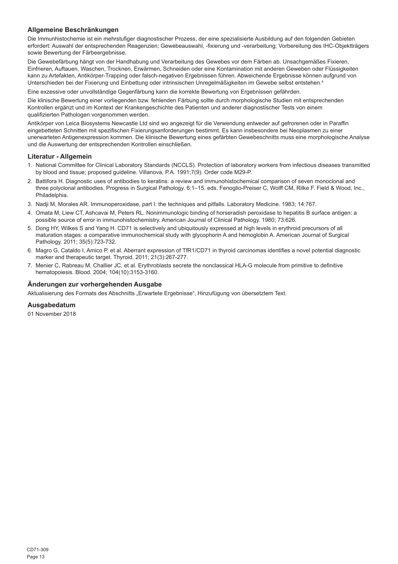## **Allgemeine Beschränkungen**

Die Immunhistochemie ist ein mehrstufiger diagnostischer Prozess, der eine spezialisierte Ausbildung auf den folgenden Gebieten erfordert: Auswahl der entsprechenden Reagenzien; Gewebeauswahl, -fixierung und -verarbeitung; Vorbereitung des IHC-Objektträgers sowie Bewertung der Färbeergebnisse.

Die Gewebefärbung hängt von der Handhabung und Verarbeitung des Gewebes vor dem Färben ab. Unsachgemäßes Fixieren, Einfrieren, Auftauen, Waschen, Trocknen, Erwärmen, Schneiden oder eine Kontamination mit anderen Geweben oder Flüssigkeiten kann zu Artefakten, Antikörper-Trapping oder falsch-negativen Ergebnissen führen. Abweichende Ergebnisse können aufgrund von Unterschieden bei der Fixierung und Einbettung oder intrinsischen Unregelmäßigkeiten im Gewebe selbst entstehen.<sup>4</sup>

Eine exzessive oder unvollständige Gegenfärbung kann die korrekte Bewertung von Ergebnissen gefährden.

Die klinische Bewertung einer vorliegenden bzw. fehlenden Färbung sollte durch morphologische Studien mit entsprechenden Kontrollen ergänzt und im Kontext der Krankengeschichte des Patienten und anderer diagnostischer Tests von einem qualifizierten Pathologen vorgenommen werden.

Antikörper von Leica Biosystems Newcastle Ltd sind wo angezeigt für die Verwendung entweder auf gefrorenen oder in Paraffin eingebetteten Schnitten mit spezifischen Fixierungsanforderungen bestimmt. Es kann insbesondere bei Neoplasmen zu einer unerwarteten Antigenexpression kommen. Die klinische Bewertung eines gefärbten Gewebeschnitts muss eine morphologische Analyse und die Auswertung der entsprechenden Kontrollen einschließen.

### **Literatur - Allgemein**

- 1. National Committee for Clinical Laboratory Standards (NCCLS). Protection of laboratory workers from infectious diseases transmitted by blood and tissue; proposed guideline. Villanova, P.A. 1991;7(9). Order code M29-P.
- 2. Battifora H. Diagnostic uses of antibodies to keratins: a review and immunohistochemical comparison of seven monoclonal and three polyclonal antibodies. Progress in Surgical Pathology. 6:1–15. eds. Fenoglio-Preiser C, Wolff CM, Rilke F. Field & Wood, Inc., Philadelphia.
- 3. Nadji M, Morales AR. Immunoperoxidase, part I: the techniques and pitfalls. Laboratory Medicine. 1983; 14:767.
- 4. Omata M, Liew CT, Ashcavai M, Peters RL. Nonimmunologic binding of horseradish peroxidase to hepatitis B surface antigen: a possible source of error in immunohistochemistry. American Journal of Clinical Pathology. 1980; 73:626.
- 5. Dong HY, Wilkes S and Yang H. CD71 is selectively and ubiquitously expressed at high levels in erythroid precursors of all maturation stages: a comparative immunochemical study with glycophorin A and hemoglobin A. American Journal of Surgical Pathology. 2011; 35(5):723-732.
- 6. Magro G, Cataldo I, Amico P, et al. Aberrant expression of TfR1/CD71 in thyroid carcinomas identifies a novel potential diagnostic marker and therapeutic target. Thyroid. 2011; 21(3):267-277.
- 7. Menier C, Rabreau M, Challier JC, et al. Erythroblasts secrete the nonclassical HLA-G molecule from primitive to definitive hematopoiesis. Blood. 2004; 104(10):3153-3160.

#### **Änderungen zur vorhergehenden Ausgabe**

Aktualisierung des Formats des Abschnitts "Erwartete Ergebnisse", Hinzufügung von übersetztem Text.

#### **Ausgabedatum**

01 November 2018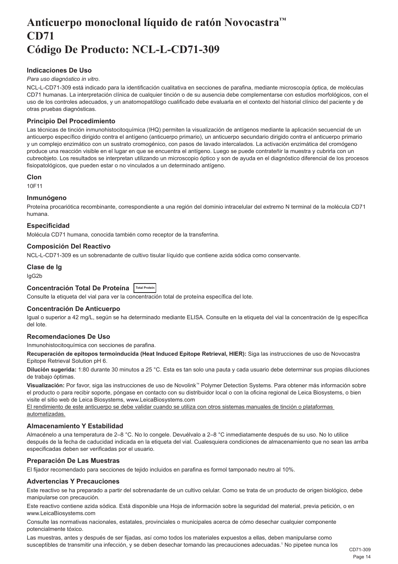## <span id="page-14-0"></span>**Anticuerpo monoclonal líquido de ratón Novocastra™ CD71 Código De Producto: NCL-L-CD71-309**

## **Indicaciones De Uso**

#### *Para uso diagnóstico in vitro*.

NCL-L-CD71-309 está indicado para la identificación cualitativa en secciones de parafina, mediante microscopía óptica, de moléculas CD71 humanas. La interpretación clínica de cualquier tinción o de su ausencia debe complementarse con estudios morfológicos, con el uso de los controles adecuados, y un anatomopatólogo cualificado debe evaluarla en el contexto del historial clínico del paciente y de otras pruebas diagnósticas.

#### **Principio Del Procedimiento**

Las técnicas de tinción inmunohistocitoquímica (IHQ) permiten la visualización de antígenos mediante la aplicación secuencial de un anticuerpo específico dirigido contra el antígeno (anticuerpo primario), un anticuerpo secundario dirigido contra el anticuerpo primario y un complejo enzimático con un sustrato cromogénico, con pasos de lavado intercalados. La activación enzimática del cromógeno produce una reacción visible en el lugar en que se encuentra el antígeno. Luego se puede contrateñir la muestra y cubrirla con un cubreobjeto. Los resultados se interpretan utilizando un microscopio óptico y son de ayuda en el diagnóstico diferencial de los procesos fisiopatológicos, que pueden estar o no vinculados a un determinado antígeno.

### **Clon**

10F11

#### **Inmunógeno**

Proteína procariótica recombinante, correspondiente a una región del dominio intracelular del extremo N terminal de la molécula CD71 humana.

#### **Especificidad**

Molécula CD71 humana, conocida también como receptor de la transferrina.

## **Composición Del Reactivo**

NCL-L-CD71-309 es un sobrenadante de cultivo tisular líquido que contiene azida sódica como conservante.

#### **Clase de Ig**

IgG2b

#### **Concentración Total De Proteína Total Protein**

Consulte la etiqueta del vial para ver la concentración total de proteína específica del lote.

#### **Concentración De Anticuerpo**

Igual o superior a 42 mg/L, según se ha determinado mediante ELISA. Consulte en la etiqueta del vial la concentración de Ig específica del lote.

### **Recomendaciones De Uso**

Inmunohistocitoquímica con secciones de parafina.

**Recuperación de epítopos termoinducida (Heat Induced Epitope Retrieval, HIER):** Siga las instrucciones de uso de Novocastra Epitope Retrieval Solution pH 6.

**Dilución sugerida:** 1:80 durante 30 minutos a 25 °C. Esta es tan solo una pauta y cada usuario debe determinar sus propias diluciones de trabajo óptimas.

**Visualización:** Por favor, siga las instrucciones de uso de Novolink™ Polymer Detection Systems. Para obtener más información sobre el producto o para recibir soporte, póngase en contacto con su distribuidor local o con la oficina regional de Leica Biosystems, o bien visite el sitio web de Leica Biosystems, www.LeicaBiosystems.com

El rendimiento de este anticuerpo se debe validar cuando se utiliza con otros sistemas manuales de tinción o plataformas automatizadas.

#### **Almacenamiento Y Estabilidad**

Almacénelo a una temperatura de 2–8 °C. No lo congele. Devuélvalo a 2–8 °C inmediatamente después de su uso. No lo utilice después de la fecha de caducidad indicada en la etiqueta del vial. Cualesquiera condiciones de almacenamiento que no sean las arriba especificadas deben ser verificadas por el usuario.

#### **Preparación De Las Muestras**

El fijador recomendado para secciones de tejido incluidos en parafina es formol tamponado neutro al 10%.

#### **Advertencias Y Precauciones**

Este reactivo se ha preparado a partir del sobrenadante de un cultivo celular. Como se trata de un producto de origen biológico, debe manipularse con precaución.

Este reactivo contiene azida sódica. Está disponible una Hoja de información sobre la seguridad del material, previa petición, o en www.LeicaBiosystems.com

Consulte las normativas nacionales, estatales, provinciales o municipales acerca de cómo desechar cualquier componente potencialmente tóxico.

Las muestras, antes y después de ser fijadas, así como todos los materiales expuestos a ellas, deben manipularse como susceptibles de transmitir una infección, y se deben desechar tomando las precauciones adecuadas.<sup>1</sup> No pipetee nunca los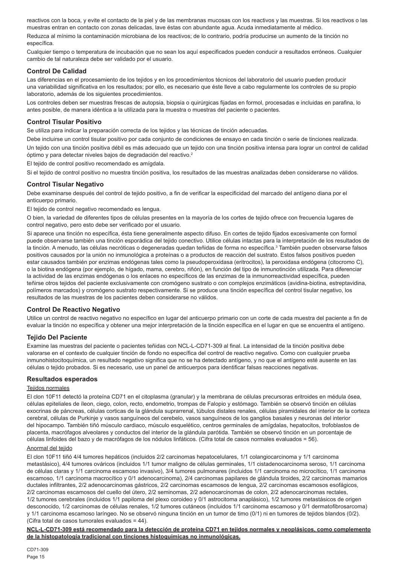reactivos con la boca, y evite el contacto de la piel y de las membranas mucosas con los reactivos y las muestras. Si los reactivos o las muestras entran en contacto con zonas delicadas, lave éstas con abundante agua. Acuda inmediatamente al médico.

Reduzca al mínimo la contaminación microbiana de los reactivos; de lo contrario, podría producirse un aumento de la tinción no específica.

Cualquier tiempo o temperatura de incubación que no sean los aquí especificados pueden conducir a resultados erróneos. Cualquier cambio de tal naturaleza debe ser validado por el usuario.

### **Control De Calidad**

Las diferencias en el procesamiento de los tejidos y en los procedimientos técnicos del laboratorio del usuario pueden producir una variabilidad significativa en los resultados; por ello, es necesario que éste lleve a cabo regularmente los controles de su propio laboratorio, además de los siguientes procedimientos.

Los controles deben ser muestras frescas de autopsia, biopsia o quirúrgicas fijadas en formol, procesadas e incluidas en parafina, lo antes posible, de manera idéntica a la utilizada para la muestra o muestras del paciente o pacientes.

#### **Control Tisular Positivo**

Se utiliza para indicar la preparación correcta de los tejidos y las técnicas de tinción adecuadas.

Debe incluirse un control tisular positivo por cada conjunto de condiciones de ensayo en cada tinción o serie de tinciones realizada. Un tejido con una tinción positiva débil es más adecuado que un tejido con una tinción positiva intensa para lograr un control de calidad óptimo y para detectar niveles bajos de degradación del reactivo.<sup>2</sup>

El tejido de control positivo recomendado es amígdala.

Si el tejido de control positivo no muestra tinción positiva, los resultados de las muestras analizadas deben considerarse no válidos.

#### **Control Tisular Negativo**

Debe examinarse después del control de tejido positivo, a fin de verificar la especificidad del marcado del antígeno diana por el anticuerpo primario.

El tejido de control negativo recomendado es lengua.

O bien, la variedad de diferentes tipos de células presentes en la mayoría de los cortes de tejido ofrece con frecuencia lugares de control negativo, pero esto debe ser verificado por el usuario.

Si aparece una tinción no específica, ésta tiene generalmente aspecto difuso. En cortes de tejido fijados excesivamente con formol puede observarse también una tinción esporádica del tejido conectivo. Utilice células intactas para la interpretación de los resultados de la tinción. A menudo, las células necróticas o degeneradas quedan teñidas de forma no específica.<sup>3</sup> También pueden observarse falsos positivos causados por la unión no inmunológica a proteínas o a productos de reacción del sustrato. Estos falsos positivos pueden estar causados también por enzimas endógenas tales como la pseudoperoxidasa (eritrocitos), la peroxidasa endógena (citocromo C), o la biotina endógena (por ejemplo, de hígado, mama, cerebro, riñón), en función del tipo de inmunotinción utilizada. Para diferenciar la actividad de las enzimas endógenas o los enlaces no específicos de las enzimas de la inmunorreactividad específica, pueden teñirse otros tejidos del paciente exclusivamente con cromógeno sustrato o con complejos enzimáticos (avidina-biotina, estreptavidina, polímeros marcados) y cromógeno sustrato respectivamente. Si se produce una tinción específica del control tisular negativo, los resultados de las muestras de los pacientes deben considerarse no válidos.

### **Control De Reactivo Negativo**

Utilice un control de reactivo negativo no específico en lugar del anticuerpo primario con un corte de cada muestra del paciente a fin de evaluar la tinción no específica y obtener una mejor interpretación de la tinción específica en el lugar en que se encuentra el antígeno.

### **Tejido Del Paciente**

Examine las muestras del paciente o pacientes teñidas con NCL-L-CD71-309 al final. La intensidad de la tinción positiva debe valorarse en el contexto de cualquier tinción de fondo no específica del control de reactivo negativo. Como con cualquier prueba inmunohistocitoquímica, un resultado negativo significa que no se ha detectado antígeno, y no que el antígeno esté ausente en las células o tejido probados. Si es necesario, use un panel de anticuerpos para identificar falsas reacciones negativas.

### **Resultados esperados**

#### Tejidos normales

El clon 10F11 detectó la proteína CD71 en el citoplasma (granular) y la membrana de células precursoras eritroides en médula ósea, células epiteliales de íleon, ciego, colon, recto, endometrio, trompas de Falopio y estómago. También se observó tinción en células exocrinas de páncreas, células corticas de la glándula suprarrenal, túbulos distales renales, células piramidales del interior de la corteza cerebral, células de Purkinje y vasos sanguíneos del cerebelo, vasos sanguíneos de los ganglios basales y neuronas del interior del hipocampo. También tiñó músculo cardiaco, músculo esquelético, centros germinales de amígdalas, hepatocitos, trofoblastos de placenta, macrófagos alveolares y conductos del interior de la glándula parótida. También se observó tinción en un porcentaje de células linfoides del bazo y de macrófagos de los nódulos linfáticos. (Cifra total de casos normales evaluados = 56).

#### Anormal del tejido

El clon 10F11 tiñó 4/4 tumores hepáticos (incluidos 2/2 carcinomas hepatocelulares, 1/1 colangiocarcinoma y 1/1 carcinoma metastásico), 4/4 tumores ováricos (incluidos 1/1 tumor maligno de células germinales, 1/1 cistadenocarcinoma seroso, 1/1 carcinoma de células claras y 1/1 carcinoma escamoso invasivo), 3/4 tumores pulmonares (incluidos 1/1 carcinoma no microcítico, 1/1 carcinoma escamoso, 1/1 carcinoma macrocítico y 0/1 adenocarcinoma), 2/4 carcinomas papilares de glándula tiroides, 2/2 carcinomas mamarios ductales infiltrantes, 2/2 adenocarcinomas gástricos, 2/2 carcinomas escamosos de lengua, 2/2 carcinomas escamosos esofágicos, 2/2 carcinomas escamosos del cuello del útero, 2/2 seminomas, 2/2 adenocarcinomas de colon, 2/2 adenocarcinomas rectales, 1/2 tumores cerebrales (incluidos 1/1 papiloma del plexo coroideo y 0/1 astrocitoma anaplásico), 1/2 tumores metastásicos de origen desconocido, 1/2 carcinomas de células renales, 1/2 tumores cutáneos (incluidos 1/1 carcinoma escamoso y 0/1 dermatofibrosarcoma) y 1/1 carcinoma escamoso laríngeo. No se observó ninguna tinción en un tumor de timo (0/1) ni en tumores de tejidos blandos (0/2). (Cifra total de casos tumorales evaluados = 44).

**NCL-L-CD71-309 está recomendado para la detección de proteína CD71 en tejidos normales y neoplásicos, como complemento de la histopatología tradicional con tinciones histoquímicas no inmunológicas.**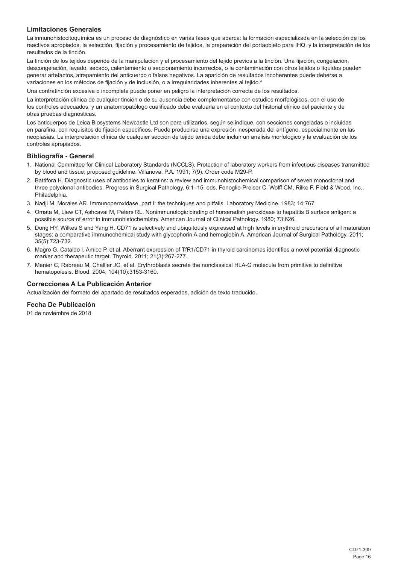## **Limitaciones Generales**

La inmunohistocitoquímica es un proceso de diagnóstico en varias fases que abarca: la formación especializada en la selección de los reactivos apropiados, la selección, fijación y procesamiento de tejidos, la preparación del portaobjeto para IHQ, y la interpretación de los resultados de la tinción.

La tinción de los tejidos depende de la manipulación y el procesamiento del tejido previos a la tinción. Una fijación, congelación, descongelación, lavado, secado, calentamiento o seccionamiento incorrectos, o la contaminación con otros tejidos o líquidos pueden generar artefactos, atrapamiento del anticuerpo o falsos negativos. La aparición de resultados incoherentes puede deberse a variaciones en los métodos de fijación y de inclusión, o a irregularidades inherentes al tejido.<sup>4</sup>

Una contratinción excesiva o incompleta puede poner en peligro la interpretación correcta de los resultados.

La interpretación clínica de cualquier tinción o de su ausencia debe complementarse con estudios morfológicos, con el uso de los controles adecuados, y un anatomopatólogo cualificado debe evaluarla en el contexto del historial clínico del paciente y de otras pruebas diagnósticas.

Los anticuerpos de Leica Biosystems Newcastle Ltd son para utilizarlos, según se indique, con secciones congeladas o incluidas en parafina, con requisitos de fijación específicos. Puede producirse una expresión inesperada del antígeno, especialmente en las neoplasias. La interpretación clínica de cualquier sección de tejido teñida debe incluir un análisis morfológico y la evaluación de los controles apropiados.

#### **Bibliografía - General**

- 1. National Committee for Clinical Laboratory Standards (NCCLS). Protection of laboratory workers from infectious diseases transmitted by blood and tissue; proposed guideline. Villanova, P.A. 1991; 7(9). Order code M29-P.
- 2. Battifora H. Diagnostic uses of antibodies to keratins: a review and immunohistochemical comparison of seven monoclonal and three polyclonal antibodies. Progress in Surgical Pathology. 6:1–15. eds. Fenoglio-Preiser C, Wolff CM, Rilke F. Field & Wood, Inc., Philadelphia.
- 3. Nadji M, Morales AR. Immunoperoxidase, part I: the techniques and pitfalls. Laboratory Medicine. 1983; 14:767.
- 4. Omata M, Liew CT, Ashcavai M, Peters RL. Nonimmunologic binding of horseradish peroxidase to hepatitis B surface antigen: a possible source of error in immunohistochemistry. American Journal of Clinical Pathology. 1980; 73:626.
- 5. Dong HY, Wilkes S and Yang H. CD71 is selectively and ubiquitously expressed at high levels in erythroid precursors of all maturation stages: a comparative immunochemical study with glycophorin A and hemoglobin A. American Journal of Surgical Pathology. 2011; 35(5):723-732.
- 6. Magro G, Cataldo I, Amico P, et al. Aberrant expression of TfR1/CD71 in thyroid carcinomas identifies a novel potential diagnostic marker and therapeutic target. Thyroid. 2011; 21(3):267-277.
- 7. Menier C, Rabreau M, Challier JC, et al. Erythroblasts secrete the nonclassical HLA-G molecule from primitive to definitive hematopoiesis. Blood. 2004; 104(10):3153-3160.

### **Correcciones A La Publicación Anterior**

Actualización del formato del apartado de resultados esperados, adición de texto traducido.

## **Fecha De Publicación**

01 de noviembre de 2018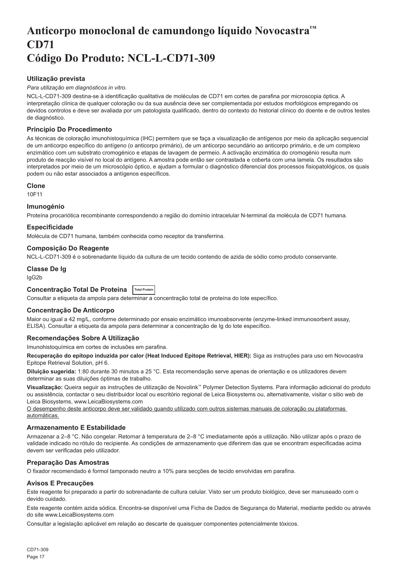## <span id="page-17-0"></span>**Anticorpo monoclonal de camundongo líquido Novocastra™ CD71 Código Do Produto: NCL-L-CD71-309**

## **Utilização prevista**

#### *Para utilização em diagnósticos in vitro*.

NCL-L-CD71-309 destina-se à identificação qualitativa de moléculas de CD71 em cortes de parafina por microscopia óptica. A interpretação clínica de qualquer coloração ou da sua ausência deve ser complementada por estudos morfológicos empregando os devidos controlos e deve ser avaliada por um patologista qualificado, dentro do contexto do historial clínico do doente e de outros testes de diagnóstico.

### **Princípio Do Procedimento**

As técnicas de coloração imunohistoquímica (IHC) permitem que se faça a visualização de antígenos por meio da aplicação sequencial de um anticorpo específico do antígeno (o anticorpo primário), de um anticorpo secundário ao anticorpo primário, e de um complexo enzimático com um substrato cromogénico e etapas de lavagem de permeio. A activação enzimática do cromogénio resulta num produto de reacção visível no local do antígeno. A amostra pode então ser contrastada e coberta com uma lamela. Os resultados são interpretados por meio de um microscópio óptico, e ajudam a formular o diagnóstico diferencial dos processos fisiopatológicos, os quais podem ou não estar associados a antígenos específicos.

#### **Clone**

10F11

## **Imunogénio**

Proteína procariótica recombinante correspondendo a região do domínio intracelular N-terminal da molécula de CD71 humana.

### **Especificidade**

Molécula de CD71 humana, também conhecida como receptor da transferrina.

#### **Composição Do Reagente**

NCL-L-CD71-309 é o sobrenadante líquido da cultura de um tecido contendo de azida de sódio como produto conservante.

### **Classe De Ig**

IgG2b

## **Concentração Total De Proteína Total Protein**

Consultar a etiqueta da ampola para determinar a concentração total de proteína do lote específico.

### **Concentração De Anticorpo**

Maior ou igual a 42 mg/L, conforme determinado por ensaio enzimático imunoabsorvente (enzyme-linked immunosorbent assay, ELISA). Consultar a etiqueta da ampola para determinar a concentração de Ig do lote específico.

### **Recomendações Sobre A Utilização**

Imunohistoquímica em cortes de inclusões em parafina.

**Recuperação do epítopo induzida por calor (Heat Induced Epitope Retrieval, HIER):** Siga as instruções para uso em Novocastra Epitope Retrieval Solution, pH 6.

**Diluição sugerida:** 1:80 durante 30 minutos a 25 °C. Esta recomendação serve apenas de orientação e os utilizadores devem determinar as suas diluições óptimas de trabalho.

**Visualização:** Queira seguir as instruções de utilização de Novolink™ Polymer Detection Systems. Para informação adicional do produto ou assistência, contactar o seu distribuidor local ou escritório regional de Leica Biosystems ou, alternativamente, visitar o sitio web de Leica Biosystems, www.LeicaBiosystems.com

O desempenho deste anticorpo deve ser validado quando utilizado com outros sistemas manuais de coloração ou plataformas automáticas.

### **Armazenamento E Estabilidade**

Armazenar a 2–8 °C. Não congelar. Retornar à temperatura de 2–8 °C imediatamente após a utilização. Não utilizar após o prazo de validade indicado no rótulo do recipiente. As condições de armazenamento que diferirem das que se encontram especificadas acima devem ser verificadas pelo utilizador.

### **Preparação Das Amostras**

O fixador recomendado é formol tamponado neutro a 10% para secções de tecido envolvidas em parafina.

### **Avisos E Precauções**

Este reagente foi preparado a partir do sobrenadante de cultura celular. Visto ser um produto biológico, deve ser manuseado com o devido cuidado.

Este reagente contém azida sódica. Encontra-se disponível uma Ficha de Dados de Segurança do Material, mediante pedido ou através do site www.LeicaBiosystems.com

Consultar a legislação aplicável em relação ao descarte de quaisquer componentes potencialmente tóxicos.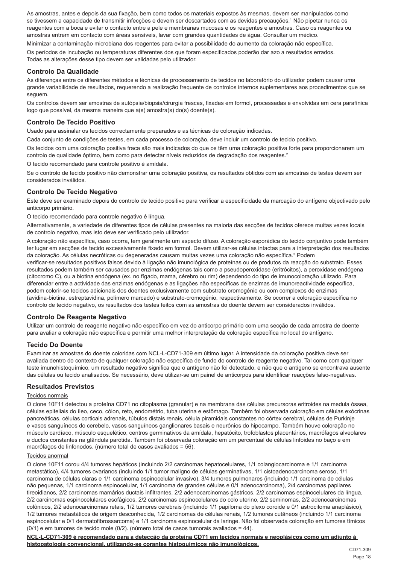As amostras, antes e depois da sua fixação, bem como todos os materiais expostos às mesmas, devem ser manipulados como se tivessem a capacidade de transmitir infecções e devem ser descartados com as devidas precauções.<sup>1</sup> Não pipetar nunca os reagentes com a boca e evitar o contacto entre a pele e membranas mucosas e os reagentes e amostras. Caso os reagentes ou amostras entrem em contacto com áreas sensíveis, lavar com grandes quantidades de água. Consultar um médico.

Minimizar a contaminação microbiana dos reagentes para evitar a possibilidade do aumento da coloração não específica.

Os períodos de incubação ou temperaturas diferentes dos que foram especificados poderão dar azo a resultados errados. Todas as alterações desse tipo devem ser validadas pelo utilizador.

#### **Controlo Da Qualidade**

As diferenças entre os diferentes métodos e técnicas de processamento de tecidos no laboratório do utilizador podem causar uma grande variabilidade de resultados, requerendo a realização frequente de controlos internos suplementares aos procedimentos que se seguem.

Os controlos devem ser amostras de autópsia/biopsia/cirurgia frescas, fixadas em formol, processadas e envolvidas em cera parafínica logo que possível, da mesma maneira que a(s) amostra(s) do(s) doente(s).

#### **Controlo De Tecido Positivo**

Usado para assinalar os tecidos correctamente preparados e as técnicas de coloração indicadas.

Cada conjunto de condições de testes, em cada processo de coloração, deve incluir um controlo de tecido positivo.

Os tecidos com uma coloração positiva fraca são mais indicados do que os têm uma coloração positiva forte para proporcionarem um controlo de qualidade óptimo, bem como para detectar níveis reduzidos de degradação dos reagentes.<sup>2</sup>

O tecido recomendado para controle positivo é amídala.

Se o controlo de tecido positivo não demonstrar uma coloração positiva, os resultados obtidos com as amostras de testes devem ser considerados inválidos.

## **Controlo De Tecido Negativo**

Este deve ser examinado depois do controlo de tecido positivo para verificar a especificidade da marcação do antígeno objectivado pelo anticorpo primário.

O tecido recomendado para controle negativo é língua.

Alternativamente, a variedade de diferentes tipos de células presentes na maioria das secções de tecidos oferece muitas vezes locais de controlo negativo, mas isto deve ser verificado pelo utilizador.

A coloração não específica, caso ocorra, tem geralmente um aspecto difuso. A coloração esporádica do tecido conjuntivo pode também ter lugar em secções de tecido excessivamente fixado em formol. Devem utilizar-se células intactas para a interpretação dos resultados da coloração. As células necróticas ou degeneradas causam muitas vezes uma coloração não específica.<sup>3</sup> Podem verificar-se resultados positivos falsos devido à ligação não imunológica de proteínas ou de produtos da reacção do substrato. Esses resultados podem também ser causados por enzimas endógenas tais como a pseudoperoxidase (eritrócitos), a peroxidase endógena (citocromo C), ou a biotina endógena (ex. no fígado, mama, cérebro ou rim) dependendo do tipo de imunocoloração utilizado. Para diferenciar entre a actividade das enzimas endógenas e as ligações não específicas de enzimas de imunoreactividade específica, podem colorir-se tecidos adicionais dos doentes exclusivamente com substrato cromogénio ou com complexos de enzimas (avidina-biotina, estreptavidina, polímero marcado) e substrato-cromogénio, respectivamente. Se ocorrer a coloração específica no controlo de tecido negativo, os resultados dos testes feitos com as amostras do doente devem ser considerados inválidos.

#### **Controlo De Reagente Negativo**

Utilizar um controlo de reagente negativo não específico em vez do anticorpo primário com uma secção de cada amostra de doente para avaliar a coloração não específica e permitir uma melhor interpretação da coloração específica no local do antígeno.

### **Tecido Do Doente**

Examinar as amostras do doente coloridas com NCL-L-CD71-309 em último lugar. A intensidade da coloração positiva deve ser avaliada dentro do contexto de qualquer coloração não específica de fundo do controlo de reagente negativo. Tal como com qualquer teste imunohistoquímico, um resultado negativo significa que o antígeno não foi detectado, e não que o antígeno se encontrava ausente das células ou tecido analisados. Se necessário, deve utilizar-se um painel de anticorpos para identificar reacções falso-negativas.

#### **Resultados Previstos**

#### Tecidos normais

O clone 10F11 detectou a proteína CD71 no citoplasma (granular) e na membrana das células precursoras eritroides na medula óssea, células epiteliais do íleo, ceco, cólon, reto, endométrio, tuba uterina e estômago. Também foi observada coloração em células exócrinas pancreáticas, células corticais adrenais, túbulos distais renais, célula piramidais constantes no córtex cerebral, células de Purkinje e vasos sanguíneos do cerebelo, vasos sanguíneos ganglionares basais e neurônios do hipocampo. Também houve coloração no músculo cardíaco, músculo esquelético, centros germinativos da amídala, hepatócito, trofoblastos placentários, macrófagos alveolares e ductos constantes na glândula parótida. Também foi observada coloração em um percentual de células linfoides no baço e em macrófagos de linfonodos. (número total de casos avaliados = 56).

#### Tecidos anormal

O clone 10F11 corou 4/4 tumores hepáticos (incluindo 2/2 carcinomas hepatocelulares, 1/1 colangiocarcinoma e 1/1 carcinoma metastático), 4/4 tumores ovarianos (incluindo 1/1 tumor maligno de células germinativas, 1/1 cistoadenocarcinoma seroso, 1/1 carcinoma de células claras e 1/1 carcinoma espinocelular invasivo), 3/4 tumores pulmonares (incluindo 1/1 carcinoma de células não pequenas, 1/1 carcinoma espinocelular, 1/1 carcinoma de grandes células e 0/1 adenocarcinoma), 2/4 carcinomas papilares tireoidianos, 2/2 carcinomas mamários ductais infiltrantes, 2/2 adenocarcinomas gástricos, 2/2 carcinomas espinocelulares da língua, 2/2 carcinomas espinocelulares esofágicos, 2/2 carcinomas espinocelulares do colo uterino, 2/2 seminomas, 2/2 adenocarcinomas colônicos, 2/2 adenocarcinomas retais, 1/2 tumores cerebrais (incluindo 1/1 papiloma do plexo coroide e 0/1 astrocitoma anaplásico), 1/2 tumores metastáticos de origem desconhecida, 1/2 carcinomas de células renais, 1/2 tumores cutâneos (incluindo 1/1 carcinoma espinocelular e 0/1 dermatofibrossarcoma) e 1/1 carcinoma espinocelular da laringe. Não foi observada coloração em tumores tímicos (0/1) e em tumores de tecido mole (0/2). (número total de casos tumorais avaliados = 44).

**NCL-L-CD71-309 é recomendado para a detecção da proteína CD71 em tecidos normais e neoplásicos como um adjunto à histopatologia convencional, utilizando-se corantes histoquímicos não imunológicos.**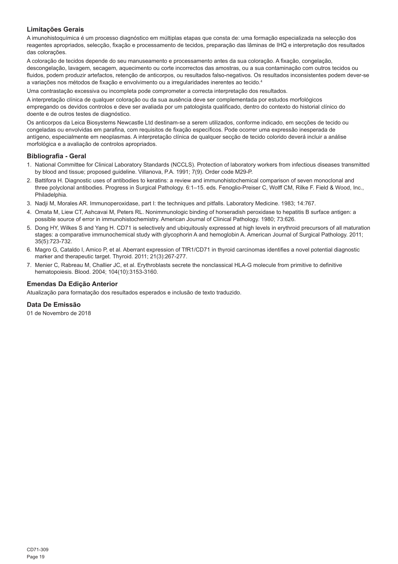## **Limitações Gerais**

A imunohistoquímica é um processo diagnóstico em múltiplas etapas que consta de: uma formação especializada na selecção dos reagentes apropriados, selecção, fixação e processamento de tecidos, preparação das lâminas de IHQ e interpretação dos resultados das colorações.

A coloração de tecidos depende do seu manuseamento e processamento antes da sua coloração. A fixação, congelação, descongelação, lavagem, secagem, aquecimento ou corte incorrectos das amostras, ou a sua contaminação com outros tecidos ou fluidos, podem produzir artefactos, retenção de anticorpos, ou resultados falso-negativos. Os resultados inconsistentes podem dever-se a variações nos métodos de fixação e envolvimento ou a irregularidades inerentes ao tecido.<sup>4</sup>

Uma contrastação excessiva ou incompleta pode comprometer a correcta interpretação dos resultados.

A interpretação clínica de qualquer coloração ou da sua ausência deve ser complementada por estudos morfológicos empregando os devidos controlos e deve ser avaliada por um patologista qualificado, dentro do contexto do historial clínico do doente e de outros testes de diagnóstico.

Os anticorpos da Leica Biosystems Newcastle Ltd destinam-se a serem utilizados, conforme indicado, em secções de tecido ou congeladas ou envolvidas em parafina, com requisitos de fixação específicos. Pode ocorrer uma expressão inesperada de antígeno, especialmente em neoplasmas. A interpretação clínica de qualquer secção de tecido colorido deverá incluir a análise morfológica e a avaliação de controlos apropriados.

#### **Bibliografia - Geral**

- 1. National Committee for Clinical Laboratory Standards (NCCLS). Protection of laboratory workers from infectious diseases transmitted by blood and tissue; proposed guideline. Villanova, P.A. 1991; 7(9). Order code M29-P.
- 2. Battifora H. Diagnostic uses of antibodies to keratins: a review and immunohistochemical comparison of seven monoclonal and three polyclonal antibodies. Progress in Surgical Pathology. 6:1–15. eds. Fenoglio-Preiser C, Wolff CM, Rilke F. Field & Wood, Inc., Philadelphia.
- 3. Nadji M, Morales AR. Immunoperoxidase, part I: the techniques and pitfalls. Laboratory Medicine. 1983; 14:767.
- 4. Omata M, Liew CT, Ashcavai M, Peters RL. Nonimmunologic binding of horseradish peroxidase to hepatitis B surface antigen: a possible source of error in immunohistochemistry. American Journal of Clinical Pathology. 1980; 73:626.
- 5. Dong HY, Wilkes S and Yang H. CD71 is selectively and ubiquitously expressed at high levels in erythroid precursors of all maturation stages: a comparative immunochemical study with glycophorin A and hemoglobin A. American Journal of Surgical Pathology. 2011; 35(5):723-732.
- 6. Magro G, Cataldo I, Amico P, et al. Aberrant expression of TfR1/CD71 in thyroid carcinomas identifies a novel potential diagnostic marker and therapeutic target. Thyroid. 2011; 21(3):267-277.
- 7. Menier C, Rabreau M, Challier JC, et al. Erythroblasts secrete the nonclassical HLA-G molecule from primitive to definitive hematopoiesis. Blood. 2004; 104(10):3153-3160.

## **Emendas Da Edição Anterior**

Atualização para formatação dos resultados esperados e inclusão de texto traduzido.

### **Data De Emissão**

01 de Novembro de 2018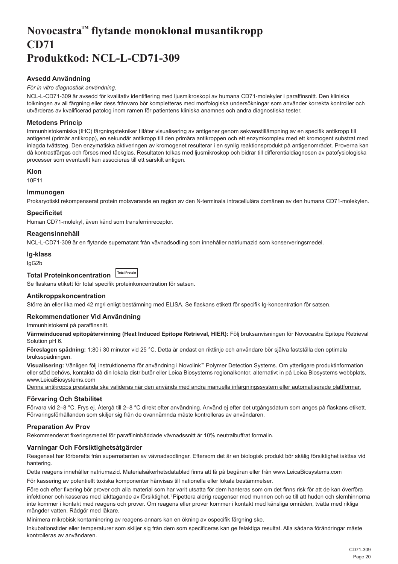## <span id="page-20-0"></span>**Novocastra™ flytande monoklonal musantikropp CD71 Produktkod: NCL-L-CD71-309**

## **Avsedd Användning**

## *För in vitro diagnostisk användning*.

NCL-L-CD71-309 är avsedd för kvalitativ identifiering med ljusmikroskopi av humana CD71-molekyler i paraffinsnitt. Den kliniska tolkningen av all färgning eller dess frånvaro bör kompletteras med morfologiska undersökningar som använder korrekta kontroller och utvärderas av kvalificerad patolog inom ramen för patientens kliniska anamnes och andra diagnostiska tester.

## **Metodens Princip**

Immunhistokemiska (IHC) färgningstekniker tillåter visualisering av antigener genom sekvenstillämpning av en specifik antikropp till antigenet (primär antikropp), en sekundär antikropp till den primära antikroppen och ett enzymkomplex med ett kromogent substrat med inlagda tvättsteg. Den enzymatiska aktiveringen av kromogenet resulterar i en synlig reaktionsprodukt på antigenområdet. Proverna kan då kontrastfärgas och förses med täckglas. Resultaten tolkas med ljusmikroskop och bidrar till differentialdiagnosen av patofysiologiska processer som eventuellt kan associeras till ett särskilt antigen.

#### **Klon**

10F11

### **Immunogen**

Prokaryotiskt rekompenserat protein motsvarande en region av den N-terminala intracellulära domänen av den humana CD71-molekylen.

### **Specificitet**

Human CD71-molekyl, även känd som transferrinreceptor.

## **Reagensinnehåll**

NCL-L-CD71-309 är en flytande supernatant från vävnadsodling som innehåller natriumazid som konserveringsmedel.

#### **Ig-klass**

IgG2b

#### **Total Proteinkoncentration Total Protein**

Se flaskans etikett för total specifik proteinkoncentration för satsen.

### **Antikroppskoncentration**

Större än eller lika med 42 mg/l enligt bestämning med ELISA. Se flaskans etikett för specifik Ig-koncentration för satsen.

### **Rekommendationer Vid Användning**

Immunhistokemi på paraffinsnitt.

**Värmeinducerad epitopåtervinning (Heat Induced Epitope Retrieval, HIER):** Följ bruksanvisningen för Novocastra Epitope Retrieval Solution pH 6.

**Föreslagen spädning:** 1:80 i 30 minuter vid 25 °C. Detta är endast en riktlinje och användare bör själva fastställa den optimala bruksspädningen.

**Visualisering:** Vänligen följ instruktionerna för användning i Novolink™ Polymer Detection Systems. Om ytterligare produktinformation eller stöd behövs, kontakta då din lokala distributör eller Leica Biosystems regionalkontor, alternativt in på Leica Biosystems webbplats, www.LeicaBiosystems.com

Denna antikropps prestanda ska valideras när den används med andra manuella infärgningssystem eller automatiserade plattformar.

### **Förvaring Och Stabilitet**

Förvara vid 2–8 °C. Frys ej. Återgå till 2–8 °C direkt efter användning. Använd ej efter det utgångsdatum som anges på flaskans etikett. Förvaringsförhållanden som skiljer sig från de ovannämnda måste kontrolleras av användaren.

## **Preparation Av Prov**

Rekommenderat fixeringsmedel för paraffininbäddade vävnadssnitt är 10% neutralbuffrat formalin.

## **Varningar Och Försiktighetsåtgärder**

Reagenset har förberetts från supernatanten av vävnadsodlingar. Eftersom det är en biologisk produkt bör skälig försiktighet iakttas vid hantering.

Detta reagens innehåller natriumazid. Materialsäkerhetsdatablad finns att få på begäran eller från www.LeicaBiosystems.com

För kassering av potentiellt toxiska komponenter hänvisas till nationella eller lokala bestämmelser.

Före och efter fixering bör prover och alla material som har varit utsatta för dem hanteras som om det finns risk för att de kan överföra infektioner och kasseras med iakttagande av försiktighet.<sup>1</sup> Pipettera aldrig reagenser med munnen och se till att huden och slemhinnorna inte kommer i kontakt med reagens och prover. Om reagens eller prover kommer i kontakt med känsliga områden, tvätta med rikliga mängder vatten. Rådgör med läkare.

Minimera mikrobisk kontaminering av reagens annars kan en ökning av ospecifik färgning ske.

Inkubationstider eller temperaturer som skiljer sig från dem som specificeras kan ge felaktiga resultat. Alla sådana förändringar måste kontrolleras av användaren.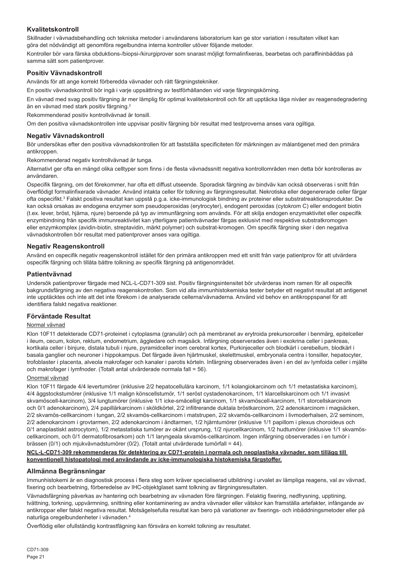## **Kvalitetskontroll**

Skillnader i vävnadsbehandling och tekniska metoder i användarens laboratorium kan ge stor variation i resultaten vilket kan göra det nödvändigt att genomföra regelbundna interna kontroller utöver följande metoder.

Kontroller bör vara färska obduktions-/biopsi-/kirurgiprover som snarast möjligt formalinfixeras, bearbetas och paraffininbäddas på samma sätt som patientprover.

## **Positiv Vävnadskontroll**

Används för att ange korrekt förberedda vävnader och rätt färgningstekniker.

En positiv vävnadskontroll bör ingå i varje uppsättning av testförhållanden vid varje färgningskörning.

En vävnad med svag positiv färgning är mer lämplig för optimal kvalitetskontroll och för att upptäcka låga nivåer av reagensdegradering än en vävnad med stark positiv färgning.<sup>2</sup>

Rekommenderad positiv kontrollvävnad är tonsill.

Om den positiva vävnadskontrollen inte uppvisar positiv färgning bör resultat med testproverna anses vara ogiltiga.

## **Negativ Vävnadskontroll**

Bör undersökas efter den positiva vävnadskontrollen för att fastställa specificiteten för märkningen av målantigenet med den primära antikroppen.

Rekommenderad negativ kontrollvävnad är tunga.

Alternativt ger ofta en mängd olika celltyper som finns i de flesta vävnadssnitt negativa kontrollområden men detta bör kontrolleras av användaren.

Ospecifik färgning, om det förekommer, har ofta ett diffust utseende. Sporadisk färgning av bindväv kan också observeras i snitt från överflödigt formalinfixerade vävnader. Använd intakta celler för tolkning av färgningsresultat. Nekrotiska eller degenererade celler färgar ofta ospecifikt.<sup>3</sup> Falskt positiva resultat kan uppstå p.g.a. icke-immunologisk bindning av proteiner eller substratreaktionsprodukter. De kan också orsakas av endogena enzymer som pseudoperoxidas (erytrocyter), endogent peroxidas (cytokrom C) eller endogent biotin (t.ex. lever, bröst, hjärna, njure) beroende på typ av immunfärgning som används. För att skilja endogen enzymaktivitet eller ospecifik enzymbindning från specifik immunreaktivitet kan ytterligare patientvävnader färgas exklusivt med respektive substratkromogen eller enzymkomplex (avidin-biotin, streptavidin, märkt polymer) och substrat-kromogen. Om specifik färgning sker i den negativa vävnadskontrollen bör resultat med patientprover anses vara ogiltiga.

## **Negativ Reagenskontroll**

Använd en ospecifik negativ reagenskontroll istället för den primära antikroppen med ett snitt från varje patientprov för att utvärdera ospecifik färgning och tillåta bättre tolkning av specifik färgning på antigenområdet.

## **Patientvävnad**

Undersök patientprover färgade med NCL-L-CD71-309 sist. Positiv färgningsintensitet bör utvärderas inom ramen för all ospecifik bakgrundsfärgning av den negativa reagenskontrollen. Som vid alla immunhistokemiska tester betyder ett negativt resultat att antigenet inte upptäcktes och inte att det inte förekom i de analyserade cellerna/vävnaderna. Använd vid behov en antikroppspanel för att identifiera falskt negativa reaktioner.

### **Förväntade Resultat**

## Normal vävnad

Klon 10F11 detekterade CD71-proteinet i cytoplasma (granulär) och på membranet av erytroida prekursorceller i benmärg, epitelceller i ileum, cecum, kolon, rektum, endometrium, äggledare och magsäck. Infärgning observerades även i exokrina celler i pankreas, kortikala celler i binjure, distala tubuli i njure, pyramidceller inom cerebral kortex, Purkinjeceller och blodkärl i cerebellum, blodkärl i basala ganglier och neuroner i hippokampus. Det färgade även hjärtmuskel, skelettmuskel, embryonala centra i tonsiller, hepatocyter, trofoblaster i placenta, alveola makrofager och kanaler i parotis körteln. Infärgning observerades även i en del av lymfoida celler i mjälte och makrofager i lymfnoder. (Totalt antal utvärderade normala fall = 56).

### Onormal vävnad

Klon 10F11 färgade 4/4 levertumörer (inklusive 2/2 hepatocellulära karcinom, 1/1 kolangiokarcinom och 1/1 metastatiska karcinom), 4/4 äggstockstumörer (inklusive 1/1 malign könscellstumör, 1/1 seröst cystadenokarcinom, 1/1 klarcellskarcinom och 1/1 invasivt skvamöscell-karcinom), 3/4 lungtumörer (inklusive 1/1 icke-småcelligt karcinom, 1/1 skvamöscell-karcinom, 1/1 storcellskarcinom och 0/1 adenokarcinom), 2/4 papillärkarcinom i sköldkörtel, 2/2 infiltrerande duktala bröstkarcinom, 2/2 adenokarcinom i magsäcken, 2/2 skvamös-cellkarcinom i tungan, 2/2 skvamös-cellkarcinom i matstrupen, 2/2 skvamös-cellkarcinom i livmoderhalsen, 2/2 seminom, 2/2 adenokarcinom i grovtarmen, 2/2 adenokarcinom i ändtarmen, 1/2 hjärntumörer (inklusive 1/1 papillom i plexus choroideus och 0/1 anaplastiskt astrocytom), 1/2 metastatiska tumörer av okänt ursprung, 1/2 njurcellkarcinom, 1/2 hudtumörer (inklusive 1/1 skvamöscellkarcinom, och 0/1 dermatofibrosarkom) och 1/1 laryngeala skvamös-cellkarcinom. Ingen infärgning observerades i en tumör i brässen (0/1) och mjukvävnadstumörer (0/2). (Totalt antal utvärderade tumörfall = 44).

#### **NCL-L-CD71-309 rekommenderas för detektering av CD71-protein i normala och neoplastiska vävnader, som tillägg till konventionell histopatologi med användande av icke-immunologiska histokemiska färgstoffer.**

### **Allmänna Begränsningar**

Immunhistokemi är en diagnostisk process i flera steg som kräver specialiserad utbildning i urvalet av lämpliga reagens, val av vävnad, fixering och bearbetning, förberedelse av IHC-objektglaset samt tolkning av färgningsresultaten.

Vävnadsfärgning påverkas av hantering och bearbetning av vävnaden före färgningen. Felaktig fixering, nedfrysning, upptining, tvättning, torkning, uppvärmning, snittning eller kontaminering av andra vävnader eller vätskor kan framställa artefakter, infångande av antikroppar eller falskt negativa resultat. Motsägelsefulla resultat kan bero på variationer av fixerings- och inbäddningsmetoder eller på naturliga oregelbundenheter i vävnaden.<sup>4</sup>

Överflödig eller ofullständig kontrastfägning kan försvåra en korrekt tolkning av resultatet.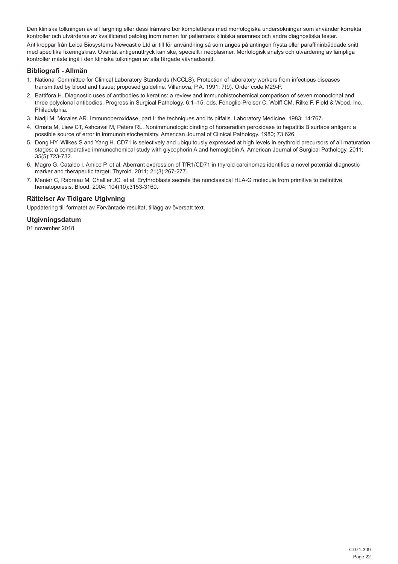Den kliniska tolkningen av all färgning eller dess frånvaro bör kompletteras med morfologiska undersökningar som använder korrekta kontroller och utvärderas av kvalificerad patolog inom ramen för patientens kliniska anamnes och andra diagnostiska tester.

Antikroppar från Leica Biosystems Newcastle Ltd är till för användning så som anges på antingen frysta eller paraffininbäddade snitt med specifika fixeringskrav. Oväntat antigenuttryck kan ske, speciellt i neoplasmer. Morfologisk analys och utvärdering av lämpliga kontroller måste ingå i den kliniska tolkningen av alla färgade vävnadssnitt.

### **Bibliografi - Allmän**

- 1. National Committee for Clinical Laboratory Standards (NCCLS). Protection of laboratory workers from infectious diseases transmitted by blood and tissue; proposed guideline. Villanova, P.A. 1991; 7(9). Order code M29-P.
- 2. Battifora H. Diagnostic uses of antibodies to keratins: a review and immunohistochemical comparison of seven monoclonal and three polyclonal antibodies. Progress in Surgical Pathology. 6:1–15. eds. Fenoglio-Preiser C, Wolff CM, Rilke F. Field & Wood, Inc., Philadelphia.
- 3. Nadji M, Morales AR. Immunoperoxidase, part I: the techniques and its pitfalls. Laboratory Medicine. 1983; 14:767.
- 4. Omata M, Liew CT, Ashcavai M, Peters RL. Nonimmunologic binding of horseradish peroxidase to hepatitis B surface antigen: a possible source of error in immunohistochemistry. American Journal of Clinical Pathology. 1980; 73:626.
- 5. Dong HY, Wilkes S and Yang H. CD71 is selectively and ubiquitously expressed at high levels in erythroid precursors of all maturation stages: a comparative immunochemical study with glycophorin A and hemoglobin A. American Journal of Surgical Pathology. 2011; 35(5):723-732.
- 6. Magro G, Cataldo I, Amico P, et al. Aberrant expression of TfR1/CD71 in thyroid carcinomas identifies a novel potential diagnostic marker and therapeutic target. Thyroid. 2011; 21(3):267-277.
- 7. Menier C, Rabreau M, Challier JC, et al. Erythroblasts secrete the nonclassical HLA-G molecule from primitive to definitive hematopoiesis. Blood. 2004; 104(10):3153-3160.

## **Rättelser Av Tidigare Utgivning**

Uppdatering till formatet av Förväntade resultat, tillägg av översatt text.

#### **Utgivningsdatum**

01 november 2018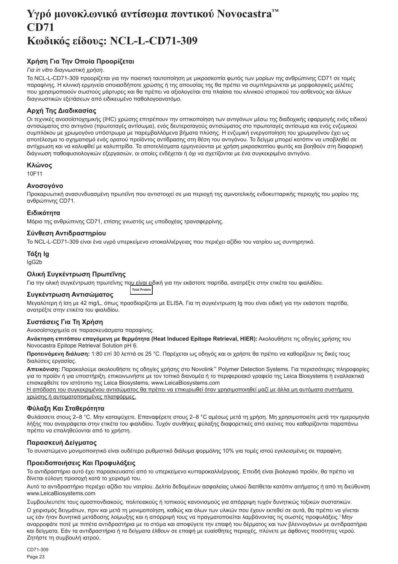## <span id="page-23-0"></span>**Υγρό μονοκλωνικό αντίσωμα ποντικού Novocastra™ CD71 Κωδικός είδους: NCL-L-CD71-309**

## **Χρήση Για Την Οποία Προορίζεται**

## *Για in vitro διαγνωστική χρήση*.

Το NCL-L-CD71-309 προορίζεται για την ποιοτική ταυτοποίηση με μικροσκοπία φωτός των μορίων της ανθρώπινης CD71 σε τομές παραφίνης. Η κλινική ερμηνεία οποιασδήποτε χρώσης ή της απουσίας της θα πρέπει να συμπληρώνεται με μορφολογικές μελέτες που χρησιμοποιούν σωστούς μάρτυρες και θα πρέπει να αξιολογείται στα πλαίσια του κλινικού ιστορικού του ασθενούς και άλλων διαγνωστικών εξετάσεων από ειδικευμένο παθολογοανατόμο.

## **Αρχή Της Διαδικασίας**

Οι τεχνικές ανοσοϊστοχημικής (IHC) χρώσης επιτρέπουν την οπτικοποίηση των αντιγόνων μέσω της διαδοχικής εφαρμογής ενός ειδικού αντισώματος στο αντιγόνο (πρωτοταγές αντίσωμα), ενός δευτεροταγούς αντισώματος στο πρωτοταγές αντίσωμα και ενός ενζυμικού συμπλόκου με χρωμογόνο υπόστρωμα με παρεμβαλλόμενα βήματα πλύσης. Η ενζυμική ενεργοποίηση του χρωμογόνου έχει ως αποτέλεσμα το σχηματισμό ενός ορατού προϊόντος αντίδρασης στη θέση του αντιγόνου. Το δείγμα μπορεί κατόπιν να υποβληθεί σε αντίχρωση και να καλυφθεί με καλυπτρίδα. Τα αποτελέσματα ερμηνεύονται με χρήση μικροσκοπίου φωτός και βοηθούν στη διαφορική διάγνωση παθοφυσιολογικών εξεργασιών, οι οποίες ενδέχεται ή όχι να σχετίζονται με ένα συγκεκριμένο αντιγόνο.

#### **Κλώνος**

10F11

### **Ανοσογόνο**

Προκαρυωτική ανασυνδυασμένη πρωτεΐνη που αντιστοιχεί σε μια περιοχή της αμινοτελικής ενδοκυτταρικής περιοχής του μορίου της ανθρώπινης CD71.

### **Ειδικότητα**

Μόριο της ανθρώπινης CD71, επίσης γνωστός ως υποδοχέας τρανσφερρίνης.

### **Σύνθεση Αντιδραστηρίου**

Το NCL-L-CD71-309 είναι ένα υγρό υπερκείμενο ιστοκαλλιέργειας που περιέχει αζίδιο του νατρίου ως συντηρητικό.

## **Τάξη Ig**

IgG2b

## **Ολική Συγκέντρωση Πρωτεΐνης**

Για την ολική συγκέντρωση πρωτεΐνης που είναι ειδική για την εκάστοτε παρτίδα, ανατρέξτε στην ετικέτα του φιαλιδίου. **Total Protein**

### **Συγκέντρωση Αντισώματος**

Μεγαλύτερη ή ίση με 42 mg/L, όπως προσδιορίζεται με ELISA. Για τη συγκέντρωση Ig που είναι ειδική για την εκάστοτε παρτίδα, ανατρέξτε στην ετικέτα του φιαλιδίου.

### **Συστάσεις Για Τη Χρήση**

Ανοσοϊστοχημεία σε παρασκευάσματα παραφίνης.

**Ανάκτηση επιτόπου επαγόμενη με θερμότητα (Heat Induced Epitope Retrieval, HIER):** Ακολουθήστε τις οδηγίες χρήσης του Novocastra Epitope Retrieval Solution pH 6.

**Προτεινόμενη διάλυση:** 1:80 επί 30 λεπτά σε 25 °C. Παρέχεται ως οδηγός και οι χρήστε θα πρέπει να καθορίζουν τις δικές τους διαλύσεις εργασίας.

**Απεικόνιση:** Παρακαλούμε ακολουθήστε τις οδηγίες χρήσης στο Novolink™ Polymer Detection Systems. Για περισσότερες πληροφορίες για το προϊόν ή για υποστήριξη, επικοινωνήστε με τον τοπικό διανομέα ή το περιφερειακό γραφείο της Leica Biosystems ή εναλλακτικά επισκεφθείτε τον ιστότοπο της Leica Biosystems, www.LeicaBiosystems.com

Η απόδοση του συγκεκριμένου αντισώματος θα πρέπει να επικυρωθεί όταν χρησιμοποιηθεί μαζί με άλλα μη αυτόματα συστήματα χρώσης ή αυτοματοποιημένες πλατφόρμες.

### **Φύλαξη Και Σταθερότητα**

Φυλάσσετε στους 2–8 °C. Μην καταψύχετε. Επαναφέρετε στους 2–8 °C αμέσως μετά τη χρήση. Μη χρησιμοποιείτε μετά την ημερομηνία λήξης που αναγράφεται στην ετικέτα του φιαλιδίου. Τυχόν συνθήκες φύλαξης διαφορετικές από εκείνες που καθορίζονται παραπάνω πρέπει να επαληθεύονται από το χρήστη.

### **Παρασκευή Δείγματος**

Το συνιστώμενο μονιμοποιητικό είναι ουδέτερο ρυθμιστικό διάλυμα φορμόλης 10% για τομές ιστού εγκλεισμένες σε παραφίνη.

### **Προειδοποιήσεις Και Προφυλάξεις**

Το αντιδραστήριο αυτό έχει παρασκευαστεί από το υπερκείμενο κυτταροκαλλιέργειας. Επειδή είναι βιολογικό προϊόν, θα πρέπει να δίνεται εύλογη προσοχή κατά το χειρισμό του.

Αυτό το αντιδραστήριο περιέχει αζίδιο του νατρίου. Δελτίο δεδομένων ασφαλείας υλικού διατίθεται κατόπιν αιτήματος ή από τη διεύθυνση www.LeicaBiosystems.com

Συμβουλευτείτε τους ομοσπονδιακούς, πολιτειακούς ή τοπικούς κανονισμούς για απόρριψη τυχόν δυνητικώς τοξικών συστατικών.

Ο χειρισμός δειγμάτων, πριν και μετά τη μονιμοποίηση, καθώς και όλων των υλικών που έχουν εκτεθεί σε αυτά, θα πρέπει να γίνεται ως εάν ήταν δυνητικά μετάδοσης λοίμωξης και η απόρριψή τους να πραγματοποιείται λαμβάνοντας τις σωστές προφυλάξεις.<sup>1</sup>Μην αναρροφάτε ποτέ με πιπέτα αντιδραστήρια με το στόμα και αποφύγετε την επαφή του δέρματος και των βλεννογόνων με αντιδραστήρια και δείγματα. Εάν τα αντιδραστήρια ή τα δείγματα έλθουν σε επαφή με ευαίσθητες περιοχές, πλύνετε με άφθονες ποσότητες νερού. Ζητήστε τη συμβουλή ιατρού.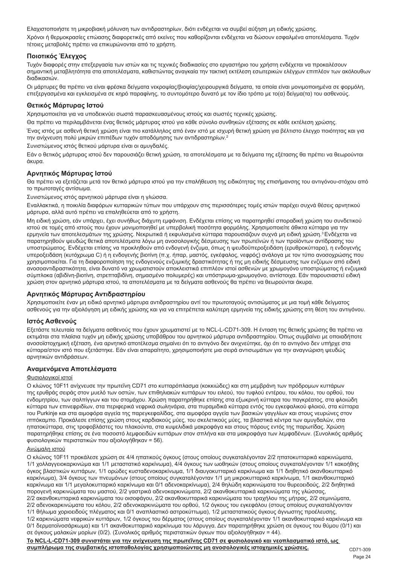Ελαχιστοποιήστε τη μικροβιακή μόλυνση των αντιδραστηρίων, διότι ενδέχεται να συμβεί αύξηση μη ειδικής χρώσης.

Χρόνοι ή θερμοκρασίες επώασης διαφορετικές από εκείνες που καθορίζονται ενδέχεται να δώσουν εσφαλμένα αποτελέσματα. Τυχόν τέτοιες μεταβολές πρέπει να επικυρώνονται από το χρήστη.

## **Ποιοτικός Έλεγχος**

Τυχόν διαφορές στην επεξεργασία των ιστών και τις τεχνικές διαδικασίες στο εργαστήριο του χρήστη ενδέχεται να προκαλέσουν σημαντική μεταβλητότητα στα αποτελέσματα, καθιστώντας αναγκαία την τακτική εκτέλεση εσωτερικών ελέγχων επιπλέον των ακόλουθων διαδικασιών.

Οι μάρτυρες θα πρέπει να είναι φρέσκα δείγματα νεκροψίας/βιοψίας/χειρουργικά δείγματα, τα οποία είναι μονιμοποιημένα σε φορμόλη, επεξεργασμένα και εγκλεισμένα σε κηρό παραφίνης, το συντομότερο δυνατό με τον ίδιο τρόπο με το(α) δείγμα(τα) του ασθενούς.

## **Θετικός Μάρτυρας Ιστού**

Χρησιμοποιείται για να υποδεικνύει σωστά παρασκευασμένους ιστούς και σωστές τεχνικές χρώσης.

Θα πρέπει να περιλαμβάνεται ένας θετικός μάρτυρας ιστού για κάθε σύνολο συνθηκών εξέτασης σε κάθε εκτέλεση χρώσης.

Ένας ιστός με ασθενή θετική χρώση είναι πιο κατάλληλος από έναν ιστό με ισχυρή θετική χρώση για βέλτιστο έλεγχο ποιότητας και για την ανίχνευση πολύ μικρών επιπέδων τυχόν αποδόμησης των αντιδραστηρίων.<sup>2</sup>

Συνιστώμενος ιστός θετικού μάρτυρα είναι οι αμυγδαλές.

Εάν ο θετικός μάρτυρας ιστού δεν παρουσιάζει θετική χρώση, τα αποτελέσματα με τα δείγματα της εξέτασης θα πρέπει να θεωρούνται άκυρα.

## **Αρνητικός Μάρτυρας Ιστού**

Θα πρέπει να εξετάζεται μετά τον θετικό μάρτυρα ιστού για την επαλήθευση της ειδικότητας της επισήμανσης του αντιγόνου-στόχου από το πρωτοταγές αντίσωμα.

Συνιστώμενος ιστός αρνητικού μάρτυρα είναι η γλώσσα.

Εναλλακτικά, η ποικιλία διαφόρων κυτταρικών τύπων που υπάρχουν στις περισσότερες τομές ιστών παρέχει συχνά θέσεις αρνητικού μάρτυρα, αλλά αυτό πρέπει να επαληθεύεται από το χρήστη.

Μη ειδική χρώση, εάν υπάρχει, έχει συνήθως διάχυτη εμφάνιση. Ενδέχεται επίσης να παρατηρηθεί σποραδική χρώση του συνδετικού ιστού σε τομές από ιστούς που έχουν μονιμοποιηθεί με υπερβολική ποσότητα φορμόλης. Χρησιμοποιείτε άθικτα κύτταρα για την ερμηνεία των αποτελεσμάτων της χρώσης. Νεκρωτικά ή εκφυλισμένα κύτταρα παρουσιάζουν συχνά μη ειδική χρώση.<sup>3</sup> Ενδέχεται να παρατηρηθούν ψευδώς θετικά αποτελέσματα λόγω μη ανοσολογικής δέσμευσης των πρωτεϊνών ή των προϊόντων αντίδρασης του υποστρώματος. Ενδέχεται επίσης να προκληθούν από ενδογενή ένζυμα, όπως η ψευδοϋπεροξειδάση (ερυθροκύτταρα), η ενδογενής υπεροξειδάση (κυτόχρωμα C) ή η ενδογενής βιοτίνη (π.χ. ήπαρ, μαστός, εγκέφαλος, νεφρός) ανάλογα με τον τύπο ανοσοχρώσης που χρησιμοποιείται. Για τη διαφοροποίηση της ενδογενούς ενζυμικής δραστικότητας ή της μη ειδικής δέσμευσης των ενζύμων από ειδική ανοσοαντιδραστικότητα, είναι δυνατό να χρωματιστούν αποκλειστικά επιπλέον ιστοί ασθενών με χρωμογόνο υποστρώματος ή ενζυμικά σύμπλοκα (αβιδίνη-βιοτίνη, στρεπταβιδίνη, σημασμένο πολυμερές) και υπόστρωμα-χρωμογόνο, αντίστοιχα. Εάν παρουσιαστεί ειδική χρώση στον αρνητικό μάρτυρα ιστού, τα αποτελέσματα με τα δείγματα ασθενούς θα πρέπει να θεωρούνται άκυρα.

### **Αρνητικός Μάρτυρας Αντιδραστηρίου**

Χρησιμοποιείτε έναν μη ειδικό αρνητικό μάρτυρα αντιδραστηρίου αντί του πρωτοταγούς αντισώματος με μια τομή κάθε δείγματος ασθενούς για την αξιολόγηση μη ειδικής χρώσης και για να επιτρέπεται καλύτερη ερμηνεία της ειδικής χρώσης στη θέση του αντιγόνου.

## **Ιστός Ασθενούς**

Εξετάστε τελευταία τα δείγματα ασθενούς που έχουν χρωματιστεί με το NCL-L-CD71-309. Η ένταση της θετικής χρώσης θα πρέπει να εκτιμάται στα πλαίσια τυχόν μη ειδικής χρώσης υποβάθρου του αρνητικού μάρτυρα αντιδραστηρίου. Όπως συμβαίνει με οποιαδήποτε ανοσοϊστοχημική εξέταση, ένα αρνητικό αποτέλεσμα σημαίνει ότι το αντιγόνο δεν ανιχνεύτηκε, όχι ότι το αντιγόνο δεν υπήρχε στα κύτταρα/στον ιστό που εξετάστηκε. Εάν είναι απαραίτητο, χρησιμοποιήστε μια σειρά αντισωμάτων για την αναγνώριση ψευδώς αρνητικών αντιδράσεων.

### **Αναμενόμενα Αποτελέσματα**

### Φυσιολογικοί ιστοί

Ο κλώνος 10F11 ανίχνευσε την πρωτεΐνη CD71 στο κυτταρόπλασμα (κοκκιώδες) και στη μεμβράνη των πρόδρομων κυττάρων της ερυθράς σειράς στον μυελό των οστών, των επιθηλιακών κυττάρων του ειλεού, του τυφλού εντέρου, του κόλου, του ορθού, του ενδομητρίου, των σαλπίγγων και του στομάχου. Χρώση παρατηρήθηκε επίσης στα εξωκρινή κύτταρα του παγκρέατος, στα φλοιώδη κύτταρα των επινεφριδίων, στα περιφερικά νεφρικά σωληνάρια, στα πυραμιδικά κύτταρα εντός του εγκεφαλικού φλοιού, στα κύτταρα του Purkinje και στα αιμοφόρα αγγεία της παρεγκεφαλίδας, στα αιμοφόρα αγγεία των βασικών γαγγλίων και στους νευρώνες στον ιππόκαμπο. Προκάλεσε επίσης χρώση στους καρδιακούς μύες, του σκελετικούς μύες, τα βλαστικά κέντρα των αμυγδαλών, στα ηπατοκύτταρα, στις τροφοβλάστες του πλακούντα, στα κυψελιδικά μακροφάγα και στους πόρους εντός της παρωτίδας. Χρώση παρατηρήθηκε επίσης σε ένα ποσοστό λεμφοειδών κυττάρων στον σπλήνα και στα μακροφάγα των λεμφαδένων. (Συνολικός αριθμός φυσιολογικών περιστατικών που αξιολογήθηκαν = 56).

### Ανώμαλη ιστού

Ο κλώνος 10F11 προκάλεσε χρώση σε 4/4 ηπατικούς όγκους (στους οποίους συγκαταλέγονταν 2/2 ηπατοκυτταρικά καρκινώματα, 1/1 χολλαγγειοκαρκινώμα και 1/1 μεταστατικό καρκίνωμα), 4/4 όγκους των ωοθηκών (στους οποίους συγκαταλέγονταν 1/1 κακοήθης όγκος βλαστικών κυττάρων, 1/1 ορώδες κυσταδενοκαρκίνωμα, 1/1 διαυγοκυτταρικό καρκίνωμα και 1/1 διηθητικό ακανθοκυτταρικό καρκίνωμα), 3/4 όγκους των πνευμόνων (στους οποίους συγκαταλέγονταν 1/1 μη μικροκυτταρικό καρκίνωμα, 1/1 ακανθοκυτταρικό καρκίνωμα και 1/1 μεγαλοκυτταρικό καρκίνωμα και 0/1 αδενοκαρκίνωμα), 2/4 θηλώδη καρκινώματα του θυρεοειδούς, 2/2 διηθητικά πορογενή καρκινώματα του μαστού, 2/2 γαστρικά αδενοκαρκινώματα, 2/2 ακανθοκυτταρικά καρκινώματα της γλώσσας, 2/2 ακανθοκυτταρικά καρκινώματα του οισοφάγου, 2/2 ακανθοκυτταρικά καρκινώματα του τραχήλου της μήτρας, 2/2 σεμινώματα, 2/2 αδενοκαρκινώματα του κόλου, 2/2 αδενοκαρκινώματα του ορθού, 1/2 όγκους του εγκεφάλου (στους οποίους συγκαταλέγονταν 1/1 θήλωμα χοριοειδούς πλέγματος και 0/1 αναπλαστικό αστροκύττωμα), 1/2 μεταστατικούς όγκους άγνωστης προέλευσης, 1/2 καρκινώματα νεφρικών κυττάρων, 1/2 όγκους του δέρματος (στους οποίους συγκαταλέγονταν 1/1 ακανθοκυτταρικό καρκίνωμα και 0/1 δερματοϊνοσάρκωμα) και 1/1 ακανθοκυτταρικό καρκίνωμα του λάρυγγα. Δεν παρατηρήθηκε χρώση σε όγκους του θύμου (0/1) και σε όγκους μαλακών μορίων (0/2). (Συνολικός αριθμός περιστατικών όγκων που αξιολογήθηκαν = 44).

**Το NCL-L-CD71-309 συνιστάται για την ανίχνευση της πρωτεΐνης CD71 σε φυσιολογικό και νεοπλασματικό ιστό, ως συμπλήρωμα της συμβατικής ιστοπαθολογίας χρησιμοποιώντας μη ανοσολογικές ιστοχημικές χρώσεις.**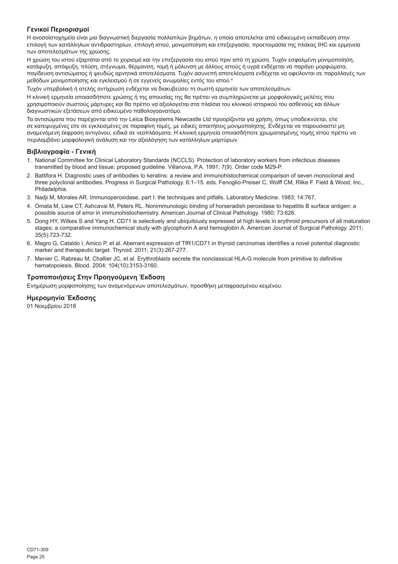## **Γενικοί Περιορισμοί**

Η ανοσοϊστοχημεία είναι μια διαγνωστική διεργασία πολλαπλών βημάτων, η οποία αποτελείται από ειδικευμένη εκπαίδευση στην επιλογή των κατάλληλων αντιδραστηρίων, επιλογή ιστού, μονιμοποίηση και επεξεργασία, προετοιμασία της πλάκας IHC και ερμηνεία των αποτελεσμάτων της χρώσης.

Η χρώση του ιστού εξαρτάται από το χειρισμό και την επεξεργασία του ιστού πριν από τη χρώση. Τυχόν εσφαλμένη μονιμοποίηση, κατάψυξη, απόψυξη, πλύση, στέγνωμα, θέρμανση, τομή ή μόλυνση με άλλους ιστούς ή υγρά ενδέχεται να παράγει μορφώματα, παγίδευση αντισώματος ή ψευδώς αρνητικά αποτελέσματα. Τυχόν ασυνεπή αποτελέσματα ενδέχεται να οφείλονται σε παραλλαγές των μεθόδων μονιμοποίησης και εγκλεισμού ή σε εγγενείς ανωμαλίες εντός του ιστού.<sup>4</sup>

Τυχόν υπερβολική ή ατελής αντίχρωση ενδέχεται να διακυβεύσει τη σωστή ερμηνεία των αποτελεσμάτων.

Η κλινική ερμηνεία οποιασδήποτε χρώσης ή της απουσίας της θα πρέπει να συμπληρώνεται με μορφολογικές μελέτες που χρησιμοποιούν σωστούς μάρτυρες και θα πρέπει να αξιολογείται στα πλαίσια του κλινικού ιστορικού του ασθενούς και άλλων διαγνωστικών εξετάσεων από ειδικευμένο παθολογοανατόμο.

Τα αντισώματα που παρέχονται από την Leica Biosystems Newcastle Ltd προορίζονται για χρήση, όπως υποδεικνύεται, είτε σε κατεψυγμένες είτε σε εγκλεισμένες σε παραφίνη τομές, με ειδικές απαιτήσεις μονιμοποίησης. Ενδέχεται να παρουσιαστεί μη αναμενόμενη έκφραση αντιγόνου, ειδικά σε νεοπλάσματα. Η κλινική ερμηνεία οποιασδήποτε χρωματισμένης τομής ιστού πρέπει να περιλαμβάνει μορφολογική ανάλυση και την αξιολόγηση των κατάλληλων μαρτύρων.

### **Βιβλιογραφία - Γενική**

- 1. National Committee for Clinical Laboratory Standards (NCCLS). Protection of laboratory workers from infectious diseases transmitted by blood and tissue; proposed guideline. Villanova, P.A. 1991; 7(9). Order code M29-P.
- 2. Battifora H. Diagnostic uses of antibodies to keratins: a review and immunohistochemical comparison of seven monoclonal and three polyclonal antibodies. Progress in Surgical Pathology. 6:1–15. eds. Fenoglio-Preiser C, Wolff CM, Rilke F. Field & Wood, Inc., Philadelphia.
- 3. Nadji M, Morales AR. Immunoperoxidase, part I: the techniques and pitfalls. Laboratory Medicine. 1983; 14:767.
- 4. Omata M, Liew CT, Ashcavai M, Peters RL. Nonimmunologic binding of horseradish peroxidase to hepatitis B surface antigen: a possible source of error in immunohistochemistry. American Journal of Clinical Pathology. 1980; 73:626.
- 5. Dong HY, Wilkes S and Yang H. CD71 is selectively and ubiquitously expressed at high levels in erythroid precursors of all maturation stages: a comparative immunochemical study with glycophorin A and hemoglobin A. American Journal of Surgical Pathology. 2011; 35(5):723-732.
- 6. Magro G, Cataldo I, Amico P, et al. Aberrant expression of TfR1/CD71 in thyroid carcinomas identifies a novel potential diagnostic marker and therapeutic target. Thyroid. 2011; 21(3):267-277.
- 7. Menier C, Rabreau M, Challier JC, et al. Erythroblasts secrete the nonclassical HLA-G molecule from primitive to definitive hematopoiesis. Blood. 2004; 104(10):3153-3160.

## **Τροποποιήσεις Στην Προηγούμενη Έκδοση**

Ενημέρωση μορφοποίησης των αναμενόμενων αποτελεσμάτων, προσθήκη μεταφρασμένου κειμένου.

## **Ημερομηνία Έκδοσης**

01 Νοεμβρίου 2018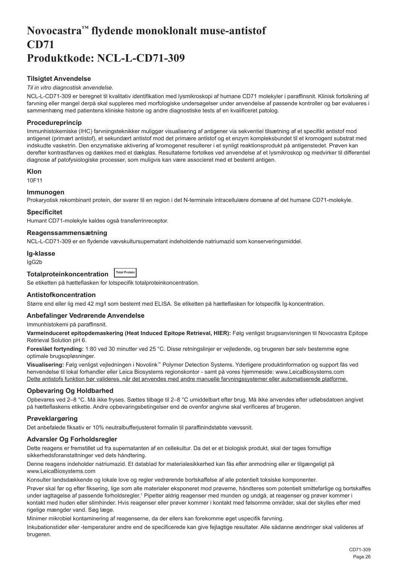## <span id="page-26-0"></span>**Novocastra™ flydende monoklonalt muse-antistof CD71 Produktkode: NCL-L-CD71-309**

## **Tilsigtet Anvendelse**

#### *Til in vitro diagnostisk anvendelse*.

NCL-L-CD71-309 er beregnet til kvalitativ identifikation med lysmikroskopi af humane CD71 molekyler i paraffinsnit. Klinisk fortolkning af farvning eller mangel derpå skal suppleres med morfologiske undersøgelser under anvendelse af passende kontroller og bør evalueres i sammenhæng med patientens kliniske historie og andre diagnostiske tests af en kvalificeret patolog.

## **Procedureprincip**

Immunhistokemiske (IHC) farvningsteknikker muliggør visualisering af antigener via sekventiel tilsætning af et specifikt antistof mod antigenet (primært antistof), et sekundært antistof mod det primære antistof og et enzym kompleksbundet til et kromogent substrat med indskudte vasketrin. Den enzymatiske aktivering af kromogenet resulterer i et synligt reaktionsprodukt på antigenstedet. Prøven kan derefter kontrastfarves og dækkes med et dækglas. Resultaterne fortolkes ved anvendelse af et lysmikroskop og medvirker til differentiel diagnose af patofysiologiske processer, som muligvis kan være associeret med et bestemt antigen.

## **Klon**

10F11

### **Immunogen**

Prokaryotisk rekombinant protein, der svarer til en region i det N-terminale intracellulære domæne af det humane CD71-molekyle.

#### **Specificitet**

Humant CD71-molekyle kaldes også transferrinreceptor.

#### **Reagenssammensætning**

NCL-L-CD71-309 er en flydende vævskultursupernatant indeholdende natriumazid som konserveringsmiddel.

#### **Ig-klasse**

IgG2b

## **Totalproteinkoncentration Total Protein**

Se etiketten på hætteflasken for lotspecifik totalproteinkoncentration.

### **Antistofkoncentration**

Større end eller lig med 42 mg/l som bestemt med ELISA. Se etiketten på hætteflasken for lotspecifik Ig-koncentration.

## **Anbefalinger Vedrørende Anvendelse**

Immunhistokemi på paraffinsnit.

**Varmeinduceret epitopdemaskering (Heat Induced Epitope Retrieval, HIER):** Følg venligst brugsanvisningen til Novocastra Epitope Retrieval Solution pH 6.

**Foreslået fortynding:** 1:80 ved 30 minutter ved 25 °C. Disse retningslinjer er vejledende, og brugeren bør selv bestemme egne optimale brugsopløsninger.

**Visualisering:** Følg venligst vejledningen i Novolink™ Polymer Detection Systems. Yderligere produktinformation og support fås ved henvendelse til lokal forhandler eller Leica Biosystems regionskontor - samt på vores hjemmeside: www.LeicaBiosystems.com Dette antistofs funktion bør valideres, når det anvendes med andre manuelle farvningssystemer eller automatiserede platforme.

### **Opbevaring Og Holdbarhed**

Opbevares ved 2–8 °C. Må ikke fryses. Sættes tilbage til 2–8 °C umiddelbart efter brug. Må ikke anvendes efter udløbsdatoen angivet på hætteflaskens etikette. Andre opbevaringsbetingelser end de ovenfor angivne skal verificeres af brugeren.

### **Prøveklargøring**

Det anbefalede fiksativ er 10% neutralbufferjusteret formalin til paraffinindstøbte vævssnit.

### **Advarsler Og Forholdsregler**

Dette reagens er fremstillet ud fra supernatanten af en cellekultur. Da det er et biologisk produkt, skal der tages fornuftige sikkerhedsforanstaltninger ved dets håndtering.

Denne reagens indeholder natriumazid. Et datablad for materialesikkerhed kan fås efter anmodning eller er tilgængeligt på www.LeicaBiosystems.com

Konsulter landsdækkende og lokale love og regler vedrørende bortskaffelse af alle potentielt toksiske komponenter.

Prøver skal før og efter fiksering, lige som alle materialer eksponeret mod prøverne, håndteres som potentielt smittefarlige og bortskaffes under iagttagelse af passende forholdsregler.<sup>1</sup> Pipetter aldrig reagenser med munden og undgå, at reagenser og prøver kommer i kontakt med huden eller slimhinder. Hvis reagenser eller prøver kommer i kontakt med følsomme områder, skal der skylles efter med rigelige mængder vand. Søg læge.

Minimer mikrobiel kontaminering af reagenserne, da der ellers kan forekomme øget uspecifik farvning.

Inkubationstider eller -temperaturer andre end de specificerede kan give fejlagtige resultater. Alle sådanne ændringer skal valideres af brugeren.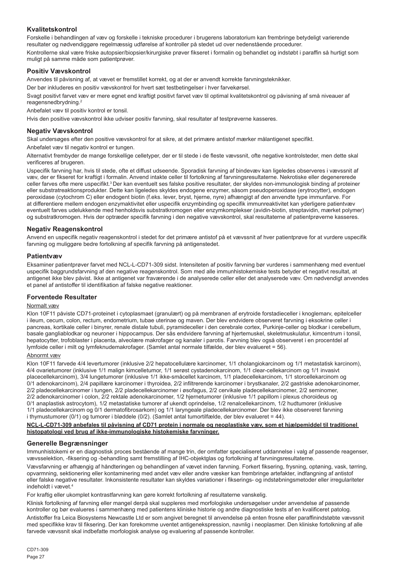## **Kvalitetskontrol**

Forskelle i behandlingen af væv og forskelle i tekniske procedurer i brugerens laboratorium kan frembringe betydeligt varierende resultater og nødvendiggøre regelmæssig udførelse af kontroller på stedet ud over nedenstående procedurer.

Kontrollerne skal være friske autopsier/biopsier/kirurgiske prøver fikseret i formalin og behandlet og indstøbt i paraffin så hurtigt som muligt på samme måde som patientprøver.

## **Positiv Vævskontrol**

Anvendes til påvisning af, at vævet er fremstillet korrekt, og at der er anvendt korrekte farvningsteknikker.

Der bør inkluderes en positiv vævskontrol for hvert sæt testbetingelser i hver farvekørsel.

Svagt positivt farvet væv er mere egnet end kraftigt positivt farvet væv til optimal kvalitetskontrol og påvisning af små niveauer af reagensnedbrydning.<sup>2</sup>

Anbefalet væv til positiv kontrol er tonsil.

Hvis den positive vævskontrol ikke udviser positiv farvning, skal resultater af testprøverne kasseres.

## **Negativ Vævskontrol**

Skal undersøges efter den positive vævskontrol for at sikre, at det primære antistof mærker målantigenet specifikt.

Anbefalet væv til negativ kontrol er tungen.

Alternativt frembyder de mange forskellige celletyper, der er til stede i de fleste vævssnit, ofte negative kontrolsteder, men dette skal verificeres af brugeren.

Uspecifik farvning har, hvis til stede, ofte et diffust udseende. Sporadisk farvning af bindevæv kan ligeledes observeres i vævssnit af væv, der er fikseret for kraftigt i formalin. Anvend intakte celler til fortolkning af farvningsresultaterne. Nekrotiske eller degenererede celler farves ofte mere uspecifikt.<sup>3</sup> Der kan eventuelt ses falske positive resultater, der skyldes non-immunologisk binding af proteiner eller substratreaktionsprodukter. Dette kan ligeledes skyldes endogene enzymer, såsom pseudoperoxidase (erytrocytter), endogen peroxidase (cytochrom C) eller endogent biotin (f.eks. lever, bryst, hjerne, nyre) afhængigt af den anvendte type immunfarve. For at differentiere mellem endogen enzymaktivitet eller uspecifik enzymbinding og specifik immunreaktivitet kan yderligere patientvæv eventuelt farves udelukkende med henholdsvis substratkromogen eller enzymkomplekser (avidin-biotin, streptavidin, mærket polymer) og substratkromogen. Hvis der optræder specifik farvning i den negative vævskontrol, skal resultaterne af patientprøverne kasseres.

## **Negativ Reagenskontrol**

Anvend en uspecifik negativ reagenskontrol i stedet for det primære antistof på et vævssnit af hver patientprøve for at vurdere uspecifik farvning og muliggøre bedre fortolkning af specifik farvning på antigenstedet.

#### **Patientvæv**

Eksaminer patientprøver farvet med NCL-L-CD71-309 sidst. Intensiteten af positiv farvning bør vurderes i sammenhæng med eventuel uspecifik baggrundsfarvning af den negative reagenskontrol. Som med alle immunhistokemiske tests betyder et negativt resultat, at antigenet ikke blev påvist. Ikke at antigenet var fraværende i de analyserede celler eller det analyserede væv. Om nødvendigt anvendes et panel af antistoffer til identifikation af falske negative reaktioner.

### **Forventede Resultater**

#### Normalt væv

Klon 10F11 påviste CD71-proteinet i cytoplasmaet (granulært) og på membranen af erytroide forstadieceller i knoglemarv, epitelceller i ileum, cecum, colon, rectum, endometrium, tubae uterinae og maven. Der blev endvidere observeret farvning i eksokrine celler i pancreas, kortikale celler i binyrer, renale distale tubuli, pyramideceller i den cerebrale cortex, Purkinje-celler og blodkar i cerebellum, basale gangliablodkar og neuroner i hippocampus. Der sås endvidere farvning af hjertemuskel, skeletmuskulatur, kimcentrum i tonsil, hepatocytter, trofoblaster i placenta, alveolære makrofager og kanaler i parotis. Farvning blev også observeret i en procentdel af lymfoide celler i milt og lymfeknudemakrofager. (Samlet antal normale tilfælde, der blev evalueret = 56).

#### Abnormt væv

Klon 10F11 farvede 4/4 levertumorer (inklusive 2/2 hepatocellulære karcinomer, 1/1 cholangiokarcinom og 1/1 metastatisk karcinom), 4/4 ovarietumorer (inklusive 1/1 malign kimcelletumor, 1/1 serøst cystadenokarcinom, 1/1 clear-cellekarcinom og 1/1 invasivt placecellekarcinom), 3/4 lungetumorer (inklusive 1/1 ikke-småcellet karcinom, 1/1 pladecellekarcinom, 1/1 storcellekarcinom og 0/1 adenokarcinom), 2/4 papillære karcinomer i thyroidea, 2/2 infiltrerende karcinomer i brystkanaler, 2/2 gastriske adenokarcinomer, 2/2 pladecellekarcinomer i tungen, 2/2 pladecellekarcinomer i øsofagus, 2/2 cervikale pladecellekarcinomer, 2/2 seminomer, 2/2 adenokarcinomer i colon, 2/2 rektale adenokarcinomer, 1/2 hjernetumorer (inklusive 1/1 papillom i plexus choroideus og 0/1 anaplastisk astrocytom), 1/2 metastatiske tumorer af ukendt oprindelse, 1/2 renalcellekarcinom, 1/2 hudtumorer (inklusive 1/1 pladecellekarcinom og 0/1 dermatofibrosarkom) og 1/1 laryngeale pladecellekarcinomer. Der blev ikke observeret farvning i thymustumorer (0/1) og tumorer i bløddele (0/2). (Samlet antal tumortilfælde, der blev evalueret = 44).

**NCL-L-CD71-309 anbefales til påvisning af CD71 protein i normale og neoplastiske væv, som et hjælpemiddel til traditionel histopatologi ved brug af ikke-immunologiske histokemiske farvninger.**

### **Generelle Begrænsninger**

Immunhistokemi er en diagnostisk proces bestående af mange trin, der omfatter specialiseret uddannelse i valg af passende reagenser, vævsselektion, -fiksering og -behandling samt fremstilling af IHC-objektglas og fortolkning af farvningsresultaterne.

Vævsfarvning er afhængig af håndteringen og behandlingen af vævet inden farvning. Forkert fiksering, frysning, optøning, vask, tørring, opvarmning, sektionering eller kontaminering med andet væv eller andre væsker kan frembringe artefakter, indfangning af antistof eller falske negative resultater. Inkonsistente resultater kan skyldes variationer i fikserings- og indstøbningsmetoder eller irregulariteter indeholdt i vævet.<sup>4</sup>

For kraftig eller ukomplet kontrastfarvning kan gøre korrekt fortolkning af resultaterne vanskelig.

Klinisk fortolkning af farvning eller mangel derpå skal suppleres med morfologiske undersøgelser under anvendelse af passende kontroller og bør evalueres i sammenhæng med patientens kliniske historie og andre diagnostiske tests af en kvalificeret patolog.

Antistoffer fra Leica Biosystems Newcastle Ltd er som angivet beregnet til anvendelse på enten frosne eller paraffinindstøbte vævssnit med specifikke krav til fiksering. Der kan forekomme uventet antigenekspression, navnlig i neoplasmer. Den kliniske fortolkning af alle farvede vævssnit skal indbefatte morfologisk analyse og evaluering af passende kontroller.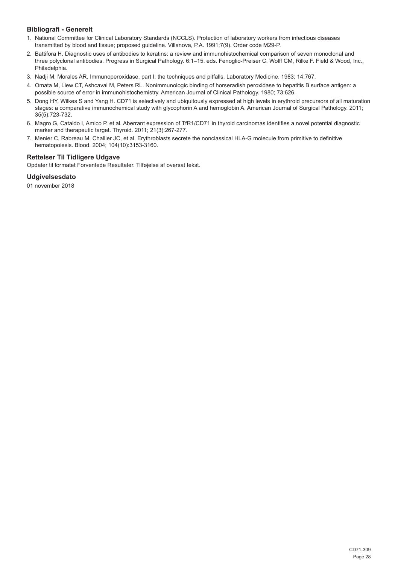## **Bibliografi - Generelt**

- 1. National Committee for Clinical Laboratory Standards (NCCLS). Protection of laboratory workers from infectious diseases transmitted by blood and tissue; proposed guideline. Villanova, P.A. 1991;7(9). Order code M29-P.
- 2. Battifora H. Diagnostic uses of antibodies to keratins: a review and immunohistochemical comparison of seven monoclonal and three polyclonal antibodies. Progress in Surgical Pathology. 6:1–15. eds. Fenoglio-Preiser C, Wolff CM, Rilke F. Field & Wood, Inc., Philadelphia.
- 3. Nadji M, Morales AR. Immunoperoxidase, part I: the techniques and pitfalls. Laboratory Medicine. 1983; 14:767.
- 4. Omata M, Liew CT, Ashcavai M, Peters RL. Nonimmunologic binding of horseradish peroxidase to hepatitis B surface antigen: a possible source of error in immunohistochemistry. American Journal of Clinical Pathology. 1980; 73:626.
- 5. Dong HY, Wilkes S and Yang H. CD71 is selectively and ubiquitously expressed at high levels in erythroid precursors of all maturation stages: a comparative immunochemical study with glycophorin A and hemoglobin A. American Journal of Surgical Pathology. 2011; 35(5):723-732.
- 6. Magro G, Cataldo I, Amico P, et al. Aberrant expression of TfR1/CD71 in thyroid carcinomas identifies a novel potential diagnostic marker and therapeutic target. Thyroid. 2011; 21(3):267-277.
- 7. Menier C, Rabreau M, Challier JC, et al. Erythroblasts secrete the nonclassical HLA-G molecule from primitive to definitive hematopoiesis. Blood. 2004; 104(10):3153-3160.

## **Rettelser Til Tidligere Udgave**

Opdater til formatet Forventede Resultater. Tilføjelse af oversat tekst.

## **Udgivelsesdato**

01 november 2018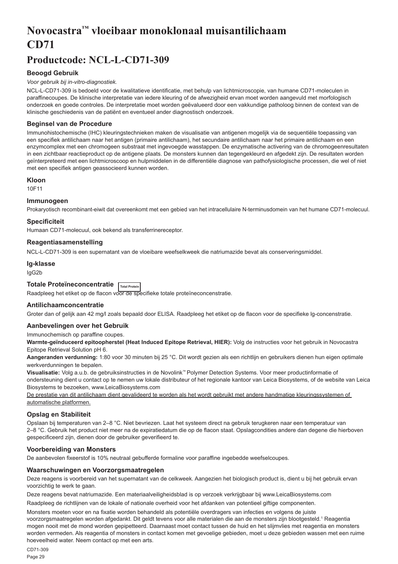# <span id="page-29-0"></span>**Novocastra™ vloeibaar monoklonaal muisantilichaam CD71**

## **Productcode: NCL-L-CD71-309**

## **Beoogd Gebruik**

#### *Voor gebruik bij in-vitro-diagnostiek.*

NCL-L-CD71-309 is bedoeld voor de kwalitatieve identificatie, met behulp van lichtmicroscopie, van humane CD71-moleculen in paraffinecoupes. De klinische interpretatie van iedere kleuring of de afwezigheid ervan moet worden aangevuld met morfologisch onderzoek en goede controles. De interpretatie moet worden geëvalueerd door een vakkundige patholoog binnen de context van de klinische geschiedenis van de patiënt en eventueel ander diagnostisch onderzoek.

### **Beginsel van de Procedure**

Immunohistochemische (IHC) kleuringstechnieken maken de visualisatie van antigenen mogelijk via de sequentiële toepassing van een specifiek antilichaam naar het antigen (primaire antilichaam), het secundaire antilichaam naar het primaire antilichaam en een enzymcomplex met een chromogeen substraat met ingevoegde wasstappen. De enzymatische activering van de chromogeenresultaten in een zichtbaar reactieproduct op de antigene plaats. De monsters kunnen dan tegengekleurd en afgedekt zijn. De resultaten worden geïnterpreteerd met een lichtmicroscoop en hulpmiddelen in de differentiële diagnose van pathofysiologische processen, die wel of niet met een specifiek antigen geassocieerd kunnen worden.

#### **Kloon**

10F11

#### **Immunogeen**

Prokaryotisch recombinant-eiwit dat overeenkomt met een gebied van het intracellulaire N-terminusdomein van het humane CD71-molecuul.

#### **Specificiteit**

Humaan CD71-molecuul, ook bekend als transferrinereceptor.

#### **Reagentiasamenstelling**

NCL-L-CD71-309 is een supernatant van de vloeibare weefselkweek die natriumazide bevat als conserveringsmiddel.

#### **Ig-klasse**

IgG2b

#### **Totale Proteïneconcentratie Total Protein**

Raadpleeg het etiket op de flacon voor de specifieke totale proteïneconcenstratie.

## **Antilichaamconcentratie**

Groter dan of gelijk aan 42 mg/l zoals bepaald door ELISA. Raadpleeg het etiket op de flacon voor de specifieke lg-concenstratie.

#### **Aanbevelingen over het Gebruik**

Immunochemisch op paraffine coupes.

**Warmte-geïnduceerd epitoopherstel (Heat Induced Epitope Retrieval, HIER):** Volg de instructies voor het gebruik in Novocastra Epitope Retrieval Solution pH 6.

**Aangeranden verdunning:** 1:80 voor 30 minuten bij 25 °C. Dit wordt gezien als een richtlijn en gebruikers dienen hun eigen optimale werkverdunningen te bepalen.

**Visualisatie:** Volg a.u.b. de gebruiksinstructies in de Novolink™ Polymer Detection Systems. Voor meer productinformatie of ondersteuning dient u contact op te nemen uw lokale distributeur of het regionale kantoor van Leica Biosystems, of de website van Leica Biosystems te bezoeken, www.LeicaBiosystems.com

De prestatie van dit antilichaam dient gevalideerd te worden als het wordt gebruikt met andere handmatige kleuringssystemen of automatische platformen.

### **Opslag en Stabiliteit**

Opslaan bij temperaturen van 2–8 °C. Niet bevriezen. Laat het systeem direct na gebruik terugkeren naar een temperatuur van 2–8 °C. Gebruik het product niet meer na de expiratiedatum die op de flacon staat. Opslagcondities andere dan degene die hierboven gespecificeerd zijn, dienen door de gebruiker geverifieerd te.

#### **Voorbereiding van Monsters**

De aanbevolen fixeerstof is 10% neutraal gebufferde formaline voor paraffine ingebedde weefselcoupes.

### **Waarschuwingen en Voorzorgsmaatregelen**

Deze reagens is voorbereid van het supernatant van de celkweek. Aangezien het biologisch product is, dient u bij het gebruik ervan voorzichtig te werk te gaan.

Deze reagens bevat natriumazide. Een materiaalveiligheidsblad is op verzoek verkrijgbaar bij www.LeicaBiosystems.com

Raadpleeg de richtlijnen van de lokale of nationale overheid voor het afdanken van potentieel giftige componenten.

Monsters moeten voor en na fixatie worden behandeld als potentiële overdragers van infecties en volgens de juiste voorzorgsmaatregelen worden afgedankt. Dit geldt tevens voor alle materialen die aan de monsters zijn blootgesteld.<sup>1</sup> Reagentia mogen nooit met de mond worden gepipetteerd. Daarnaast moet contact tussen de huid en het slijmvlies met reagentia en monsters worden vermeden. Als reagentia of monsters in contact komen met gevoelige gebieden, moet u deze gebieden wassen met een ruime hoeveelheid water. Neem contact op met een arts.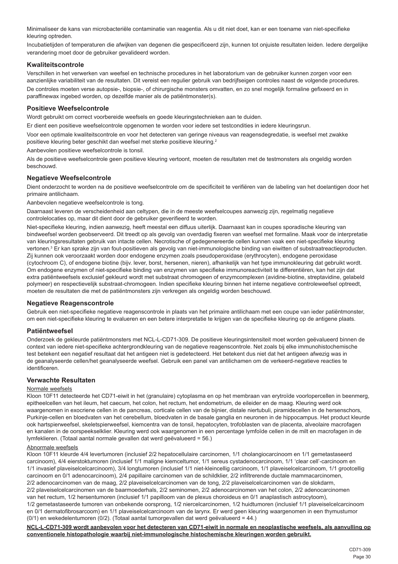Minimaliseer de kans van microbacteriële contaminatie van reagentia. Als u dit niet doet, kan er een toename van niet-specifieke kleuring optreden.

Incubatietijden of temperaturen die afwijken van degenen die gespecificeerd zijn, kunnen tot onjuiste resultaten leiden. Iedere dergelijke verandering moet door de gebruiker gevalideerd worden.

## **Kwaliteitscontrole**

Verschillen in het verwerken van weefsel en technische procedures in het laboratorium van de gebruiker kunnen zorgen voor een aanzienlijke variabiliteit van de resultaten. Dit vereist een regulier gebruik van bedrijfseigen controles naast de volgende procedures.

De controles moeten verse autopsie-, biopsie-, of chirurgische monsters omvatten, en zo snel mogelijk formaline gefixeerd en in paraffinewax ingebed worden, op dezelfde manier als de patiëntmonster(s).

## **Positieve Weefselcontrole**

Wordt gebruikt om correct voorbereide weefsels en goede kleuringstechnieken aan te duiden.

Er dient een positieve weefselcontrole opgenomen te worden voor iedere set testcondities in iedere kleuringsrun.

Voor een optimale kwaliteitscontrole en voor het detecteren van geringe niveaus van reagensdegredatie, is weefsel met zwakke positieve kleuring beter geschikt dan weefsel met sterke positieve kleuring.<sup>2</sup>

Aanbevolen positieve weefselcontrole is tonsil.

Als de positieve weefselcontrole geen positieve kleuring vertoont, moeten de resultaten met de testmonsters als ongeldig worden beschouwd.

### **Negatieve Weefselcontrole**

Dient onderzocht te worden na de positieve weefselcontrole om de specificiteit te verifiëren van de labeling van het doelantigen door het primaire antilichaam.

Aanbevolen negatieve weefselcontrole is tong.

Daarnaast leveren de verscheidenheid aan celtypen, die in de meeste weefselcoupes aanwezig zijn, regelmatig negatieve controlelocaties op, maar dit dient door de gebruiker geverifieerd te worden.

Niet-specifieke kleuring, indien aanwezig, heeft meestal een diffuus uiterlijk. Daarnaast kan in coupes sporadische kleuring van bindweefsel worden geobserveerd. Dit treedt op als gevolg van overdadig fixeren van weefsel met formaline. Maak voor de interpretatie van kleuringsresultaten gebruik van intacte cellen. Necrotische of gedegenereerde cellen kunnen vaak een niet-specifieke kleuring vertonen.<sup>3</sup> Er kan sprake zijn van fout-positieven als gevolg van niet-immunologische binding van eiwitten of substraatreactieproducten. Zij kunnen ook veroorzaakt worden door endogene enzymen zoals pseudoperoxidase (erythrocyten), endogene peroxidase (cytochroom C), of endogene biotine (bijv. lever, borst, hersenen, nieren), afhankelijk van het type immunokleuring dat gebruikt wordt. Om endogene enzymen of niet-specifieke binding van enzymen van specifieke immunoreactiviteit te differentiëren, kan het zijn dat extra patiëntweefsels exclusief gekleurd wordt met substraat chromogeen of enzymcomplexen (avidine-biotine, streptavidine, gelabeld polymeer) en respectievelijk substraat-chromogeen. Indien specifieke kleuring binnen het interne negatieve controleweefsel optreedt, moeten de resultaten die met de patiëntmonsters zijn verkregen als ongeldig worden beschouwd.

#### **Negatieve Reagenscontrole**

Gebruik een niet-specifieke negatieve reagenscontrole in plaats van het primaire antilichaam met een coupe van ieder patiëntmonster, om een niet-specifieke kleuring te evalueren en een betere interpretatie te krijgen van de specifieke kleuring op de antigene plaats.

## **Patiëntweefsel**

Onderzoek de gekleurde patiëntmonsters met NCL-L-CD71-309. De positieve kleuringsintensiteit moet worden geëvalueerd binnen de context van iedere niet-specifieke achtergrondkleuring van de negatieve reagenscontrole. Net zoals bij elke immunohistochemische test betekent een negatief resultaat dat het antigeen niet is gedetecteerd. Het betekent dus niet dat het antigeen afwezig was in de geanalyseerde cellen/het geanalyseerde weefsel. Gebruik een panel van antilichamen om de verkeerd-negatieve reacties te identificeren.

## **Verwachte Resultaten**

#### Normale weefsels

Kloon 10F11 detecteerde het CD71-eiwit in het (granulaire) cytoplasma en op het membraan van erytroïde voorlopercellen in beenmerg, epitheelcellen van het ileum, het caecum, het colon, het rectum, het endometrium, de eileider en de maag. Kleuring werd ook waargenomen in exocriene cellen in de pancreas, corticale cellen van de bijnier, distale niertubuli, piramidecellen in de hersenschors Purkinje-cellen en bloedvaten van het cerebellum, bloedvaten in de basale ganglia en neuronen in de hippocampus. Het product kleurde ook hartspierweefsel, skeletspierweefsel, kiemcentra van de tonsil, hepatocyten, trofoblasten van de placenta, alveolaire macrofagen en kanalen in de oorspeekselklier. Kleuring werd ook waargenomen in een percentage lymfoïde cellen in de milt en macrofagen in de lymfeklieren. (Totaal aantal normale gevallen dat werd geëvalueerd = 56.)

#### Abnormale weefsels

Kloon 10F11 kleurde 4/4 levertumoren (inclusief 2/2 hepatocellulaire carcinomen, 1/1 cholangiocarcinoom en 1/1 gemetastaseerd carcinoom), 4/4 eierstoktumoren (inclusief 1/1 maligne kiemceltumor, 1/1 sereus cystadenocarcinoom, 1/1 'clear cell'-carcinoom en 1/1 invasief plaveiselcelcarcinoom), 3/4 longtumoren (inclusief 1/1 niet-kleincellig carcinoom, 1/1 plaveiselcelcarcinoom, 1/1 grootcellig carcinoom en 0/1 adenocarcinoom), 2/4 papillaire carcinomen van de schildklier, 2/2 infiltrerende ductale mammacarcinomen, 2/2 adenocarcinomen van de maag, 2/2 plaveiselcelcarcinomen van de tong, 2/2 plaveiselcelcarcinomen van de slokdarm, 2/2 plaveiselcelcarcinomen van de baarmoederhals, 2/2 seminomen, 2/2 adenocarcinomen van het colon, 2/2 adenocarcinomen van het rectum, 1/2 hersentumoren (inclusief 1/1 papilloom van de plexus choroideus en 0/1 anaplastisch astrocytoom), 1/2 gemetastaseerde tumoren van onbekende oorsprong, 1/2 niercelcarcinomen, 1/2 huidtumoren (inclusief 1/1 plaveiselcelcarcinoom

en 0/1 dermatofibrosarcoom) en 1/1 plaveiselcelcarcinoom van de larynx. Er werd geen kleuring waargenomen in een thymustumor (0/1) en wekedelentumoren (0/2). (Totaal aantal tumorgevallen dat werd geëvalueerd = 44.)

**NCL-L-CD71-309 wordt aanbevolen voor het detecteren van CD71-eiwit in normale en neoplastische weefsels, als aanvulling op conventionele histopathologie waarbij niet-immunologische histochemische kleuringen worden gebruikt.**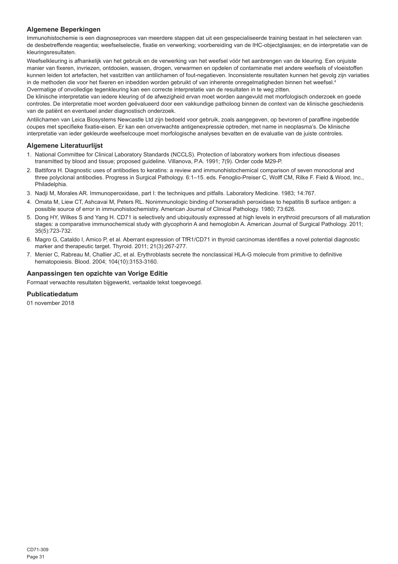## **Algemene Beperkingen**

Immunohistochemie is een diagnoseproces van meerdere stappen dat uit een gespecialiseerde training bestaat in het selecteren van de desbetreffende reagentia; weefselselectie, fixatie en verwerking; voorbereiding van de IHC-objectglaasjes; en de interpretatie van de kleuringsresultaten.

Weefselkleuring is afhankelijk van het gebruik en de verwerking van het weefsel vóór het aanbrengen van de kleuring. Een onjuiste manier van fixeren, invriezen, ontdooien, wassen, drogen, verwarmen en opdelen of contaminatie met andere weefsels of vloeistoffen kunnen leiden tot artefacten, het vastzitten van antilichamen of fout-negatieven. Inconsistente resultaten kunnen het gevolg zijn variaties in de methoden die voor het fixeren en inbedden worden gebruikt of van inherente onregelmatigheden binnen het weefsel.<sup>4</sup> Overmatige of onvolledige tegenkleuring kan een correcte interpretatie van de resultaten in te weg zitten.

De klinische interpretatie van iedere kleuring of de afwezigheid ervan moet worden aangevuld met morfologisch onderzoek en goede controles. De interpretatie moet worden geëvalueerd door een vakkundige patholoog binnen de context van de klinische geschiedenis van de patiënt en eventueel ander diagnostisch onderzoek.

Antilichamen van Leica Biosystems Newcastle Ltd zijn bedoeld voor gebruik, zoals aangegeven, op bevroren of paraffine ingebedde coupes met specifieke fixatie-eisen. Er kan een onverwachte antigenexpressie optreden, met name in neoplasma's. De klinische interpretatie van ieder gekleurde weefselcoupe moet morfologische analyses bevatten en de evaluatie van de juiste controles.

## **Algemene Literatuurlijst**

- 1. National Committee for Clinical Laboratory Standards (NCCLS). Protection of laboratory workers from infectious diseases transmitted by blood and tissue; proposed guideline. Villanova, P.A. 1991; 7(9). Order code M29-P.
- 2. Battifora H. Diagnostic uses of antibodies to keratins: a review and immunohistochemical comparison of seven monoclonal and three polyclonal antibodies. Progress in Surgical Pathology. 6:1–15. eds. Fenoglio-Preiser C, Wolff CM, Rilke F. Field & Wood, Inc., Philadelphia.
- 3. Nadji M, Morales AR. Immunoperoxidase, part I: the techniques and pitfalls. Laboratory Medicine. 1983; 14:767.
- 4. Omata M, Liew CT, Ashcavai M, Peters RL. Nonimmunologic binding of horseradish peroxidase to hepatitis B surface antigen: a possible source of error in immunohistochemistry. American Journal of Clinical Pathology. 1980; 73:626.
- 5. Dong HY, Wilkes S and Yang H. CD71 is selectively and ubiquitously expressed at high levels in erythroid precursors of all maturation stages: a comparative immunochemical study with glycophorin A and hemoglobin A. American Journal of Surgical Pathology. 2011; 35(5):723-732.
- 6. Magro G, Cataldo I, Amico P, et al. Aberrant expression of TfR1/CD71 in thyroid carcinomas identifies a novel potential diagnostic marker and therapeutic target. Thyroid. 2011; 21(3):267-277.
- 7. Menier C, Rabreau M, Challier JC, et al. Erythroblasts secrete the nonclassical HLA-G molecule from primitive to definitive hematopoiesis. Blood. 2004; 104(10):3153-3160.

### **Aanpassingen ten opzichte van Vorige Editie**

Formaat verwachte resultaten bijgewerkt, vertaalde tekst toegevoegd.

## **Publicatiedatum**

01 november 2018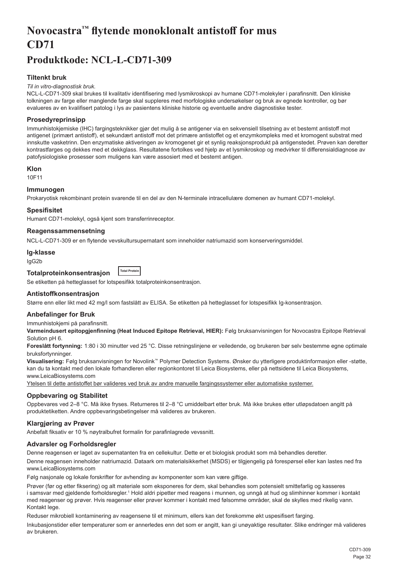# <span id="page-32-0"></span>**Novocastra™ flytende monoklonalt antistoff for mus CD71**

## **Produktkode: NCL-L-CD71-309**

## **Tiltenkt bruk**

#### *Til in vitro-diagnostisk bruk.*

NCL-L-CD71-309 skal brukes til kvalitativ identifisering med lysmikroskopi av humane CD71-molekyler i parafinsnitt. Den kliniske tolkningen av farge eller manglende farge skal suppleres med morfologiske undersøkelser og bruk av egnede kontroller, og bør evalueres av en kvalifisert patolog i lys av pasientens kliniske historie og eventuelle andre diagnostiske tester.

### **Prosedyreprinsipp**

Immunhistokjemiske (IHC) fargingsteknikker gjør det mulig å se antigener via en sekvensiell tilsetning av et bestemt antistoff mot antigenet (primært antistoff), et sekundært antistoff mot det primære antistoffet og et enzymkompleks med et kromogent substrat med innskutte vasketrinn. Den enzymatiske aktiveringen av kromogenet gir et synlig reaksjonsprodukt på antigenstedet. Prøven kan deretter kontrastfarges og dekkes med et dekkglass. Resultatene fortolkes ved hjelp av et lysmikroskop og medvirker til differensialdiagnose av patofysiologiske prosesser som muligens kan være assosiert med et bestemt antigen.

#### **Klon**

10F11

### **Immunogen**

Prokaryotisk rekombinant protein svarende til en del av den N-terminale intracellulære domenen av humant CD71-molekyl.

#### **Spesifisitet**

Humant CD71-molekyl, også kjent som transferrinreceptor.

#### **Reagenssammensetning**

NCL-L-CD71-309 er en flytende vevskultursupernatant som inneholder natriumazid som konserveringsmiddel.

#### **Ig-klasse**

IgG2b

#### **Totalproteinkonsentrasjon Total Protein**

Se etiketten på hetteglasset for lotspesifikk totalproteinkonsentrasjon.

### **Antistoffkonsentrasjon**

Større enn eller likt med 42 mg/l som fastslått av ELISA. Se etiketten på hetteglasset for lotspesifikk Ig-konsentrasjon.

#### **Anbefalinger for Bruk**

Immunhistokjemi på parafinsnitt.

**Varmeindusert epitopgjenfinning (Heat Induced Epitope Retrieval, HIER):** Følg bruksanvisningen for Novocastra Epitope Retrieval Solution pH 6.

**Foreslått fortynning:** 1:80 i 30 minutter ved 25 °C. Disse retningslinjene er veiledende, og brukeren bør selv bestemme egne optimale bruksfortynninger.

**Visualisering:** Følg bruksanvisningen for Novolink™ Polymer Detection Systems. Ønsker du ytterligere produktinformasjon eller -støtte, kan du ta kontakt med den lokale forhandleren eller regionkontoret til Leica Biosystems, eller på nettsidene til Leica Biosystems, www.LeicaBiosystems.com

Ytelsen til dette antistoffet bør valideres ved bruk av andre manuelle fargingssystemer eller automatiske systemer.

#### **Oppbevaring og Stabilitet**

Oppbevares ved 2–8 °C. Må ikke fryses. Returneres til 2–8 °C umiddelbart etter bruk. Må ikke brukes etter utløpsdatoen angitt på produktetiketten. Andre oppbevaringsbetingelser må valideres av brukeren.

#### **Klargjøring av Prøver**

Anbefalt fiksativ er 10 % nøytralbufret formalin for parafinlagrede vevssnitt.

#### **Advarsler og Forholdsregler**

Denne reagensen er laget av supernatanten fra en cellekultur. Dette er et biologisk produkt som må behandles deretter.

Denne reagensen inneholder natriumazid. Dataark om materialsikkerhet (MSDS) er tilgjengelig på forespørsel eller kan lastes ned fra www.LeicaBiosystems.com

Følg nasjonale og lokale forskrifter for avhending av komponenter som kan være giftige.

Prøver (før og etter fiksering) og alt materiale som eksponeres for dem, skal behandles som potensielt smittefarlig og kasseres i samsvar med gjeldende forholdsregler.1 Hold aldri pipetter med reagens i munnen, og unngå at hud og slimhinner kommer i kontakt med reagenser og prøver. Hvis reagenser eller prøver kommer i kontakt med følsomme områder, skal de skylles med rikelig vann. Kontakt lege.

Reduser mikrobiell kontaminering av reagensene til et minimum, ellers kan det forekomme økt uspesifisert farging.

Inkubasjonstider eller temperaturer som er annerledes enn det som er angitt, kan gi unøyaktige resultater. Slike endringer må valideres av brukeren.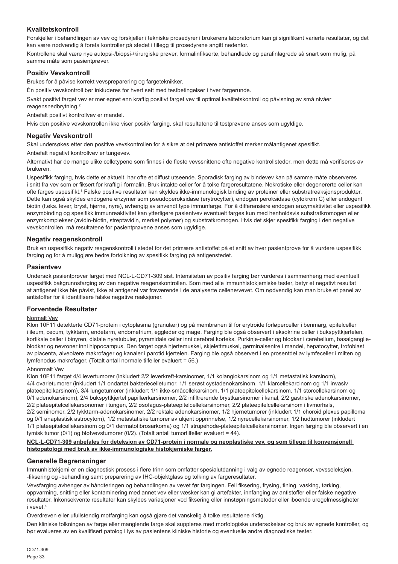## **Kvalitetskontroll**

Forskjeller i behandlingen av vev og forskjeller i tekniske prosedyrer i brukerens laboratorium kan gi signifikant varierte resultater, og det kan være nødvendig å foreta kontroller på stedet i tillegg til prosedyrene angitt nedenfor.

Kontrollene skal være nye autopsi-/biopsi-/kirurgiske prøver, formalinfikserte, behandlede og parafinlagrede så snart som mulig, på samme måte som pasientprøver.

## **Positiv Vevskontroll**

Brukes for å påvise korrekt vevspreparering og fargeteknikker.

Én positiv vevskontroll bør inkluderes for hvert sett med testbetingelser i hver fargerunde.

Svakt positivt farget vev er mer egnet enn kraftig positivt farget vev til optimal kvalitetskontroll og påvisning av små nivåer reagensnedbrytning.<sup>2</sup>

Anbefalt positivt kontrollvev er mandel.

Hvis den positive vevskontrollen ikke viser positiv farging, skal resultatene til testprøvene anses som ugyldige.

## **Negativ Vevskontroll**

Skal undersøkes etter den positive vevskontrollen for å sikre at det primære antistoffet merker målantigenet spesifikt.

Anbefalt negativt kontrollvev er tungevev.

Alternativt har de mange ulike celletypene som finnes i de fleste vevssnittene ofte negative kontrollsteder, men dette må verifiseres av brukeren.

Uspesifikk farging, hvis dette er aktuelt, har ofte et diffust utseende. Sporadisk farging av bindevev kan på samme måte observeres i snitt fra vev som er fiksert for kraftig i formalin. Bruk intakte celler for å tolke fargeresultatene. Nekrotiske eller degenererte celler kan ofte farges uspesifikt.<sup>3</sup> Falske positive resultater kan skyldes ikke-immunologisk binding av proteiner eller substratreaksjonsprodukter. Dette kan også skyldes endogene enzymer som pseudoperoksidase (erytrocytter), endogen peroksidase (cytokrom C) eller endogent biotin (f.eks. lever, bryst, hjerne, nyre), avhengig av anvendt type immunfarge. For å differensiere endogen enzymaktivitet eller uspesifikk enzymbinding og spesifikk immunreaktivitet kan ytterligere pasientvev eventuelt farges kun med henholdsvis substratkromogen eller enzymkomplekser (avidin-biotin, streptavidin, merket polymer) og substratkromogen. Hvis det skjer spesifikk farging i den negative vevskontrollen, må resultatene for pasientprøvene anses som ugyldige.

## **Negativ reagenskontroll**

Bruk en uspesifikk negativ reagenskontroll i stedet for det primære antistoffet på et snitt av hver pasientprøve for å vurdere uspesifikk farging og for å muliggjøre bedre fortolkning av spesifikk farging på antigenstedet.

### **Pasientvev**

Undersøk pasientprøver farget med NCL-L-CD71-309 sist. Intensiteten av positiv farging bør vurderes i sammenheng med eventuell uspesifikk bakgrunnsfarging av den negative reagenskontrollen. Som med alle immunhistokjemiske tester, betyr et negativt resultat at antigenet ikke ble påvist, ikke at antigenet var fraværende i de analyserte cellene/vevet. Om nødvendig kan man bruke et panel av antistoffer for å identifisere falske negative reaksjoner.

### **Forventede Resultater**

### Normalt Vev

Klon 10F11 detekterte CD71-protein i cytoplasma (granulær) og på membranen til for erytroide forløperceller i benmarg, epitelceller i ileum, cecum, tykktarm, endetarm, endometrium, eggleder og mage. Farging ble også observert i eksokrine celler i bukspyttkjertelen, kortikale celler i binyren, distale nyretubuler, pyramidale celler inni cerebral korteks, Purkinje-celler og blodkar i cerebellum, basalganglieblodkar og nevroner inni hippocampus. Den farget også hjertemuskel, skjelettmuskel, germinalsentre i mandel, hepatocytter, trofoblast av placenta, alveolære makrofager og kanaler i parotid kjertelen. Farging ble også observert i en prosentdel av lymfeceller i milten og lymfenodus makrofager. (Totalt antall normale tilfeller evaluert = 56.)

#### Abnormalt Vev

Klon 10F11 farget 4/4 levertumorer (inkludert 2/2 leverkreft-karsinomer, 1/1 kolangiokarsinom og 1/1 metastatisk karsinom), 4/4 ovarietumorer (inkludert 1/1 ondartet bakteriecelletumor, 1/1 serøst cystadenokarsinom, 1/1 klarcellekarcinom og 1/1 invasiv plateepitelkarsinom), 3/4 lungetumorer (inkludert 1/1 ikke-småcellekarsinom, 1/1 plateepitelcellekarsinom, 1/1 storcellekarsinom og 0/1 adenokarsinom), 2/4 bukspyttkjertel papillærkarsinomer, 2/2 infiltrerende brystkarsinomer i kanal, 2/2 gastriske adenokarsinomer, 2/2 plateepitelcellekarsonomer i tungen, 2/2 øsofagus-plateepitelcellekarsinomer, 2/2 plateepitelcellekarsinom i livmorhals, 2/2 seminomer, 2/2 tykktarm-adenokarsinomer, 2/2 rektale adenokarsinomer, 1/2 hjernetumorer (inkludert 1/1 choroid plexus papilloma og 0/1 anaplastisk astrocytom), 1/2 metastatiske tumorer av ukjent opprinnelse, 1/2 nyrecellekarsinomer, 1/2 hudtumorer (inkludert 1/1 plateepitelcellekarsinom og 0/1 dermatofibrosarkoma) og 1/1 strupehode-plateepitelcellekarsinomer. Ingen farging ble observert i en tymisk tumor (0/1) og bløtvevstumorer (0/2). (Totalt antall tumortilfeller evaluert = 44).

#### **NCL-L-CD71-309 anbefales for deteksjon av CD71-protein i normale og neoplastiske vev, og som tillegg til konvensjonell histopatologi med bruk av ikke-immunologiske histokjemiske farger.**

### **Generelle Begrensninger**

Immunhistokjemi er en diagnostisk prosess i flere trinn som omfatter spesialutdanning i valg av egnede reagenser, vevsseleksjon, -fiksering og -behandling samt preparering av IHC-objektglass og tolking av fargeresultater.

Vevsfarging avhenger av håndteringen og behandlingen av vevet før fargingen. Feil fiksering, frysing, tining, vasking, tørking, oppvarming, snitting eller kontaminering med annet vev eller væsker kan gi artefakter, innfanging av antistoffer eller falske negative resultater. Inkonsekvente resultater kan skyldes variasjoner ved fiksering eller innstøpningsmetoder eller iboende uregelmessigheter i vevet<sup>4</sup>

Overdreven eller ufullstendig motfarging kan også gjøre det vanskelig å tolke resultatene riktig.

Den kliniske tolkningen av farge eller manglende farge skal suppleres med morfologiske undersøkelser og bruk av egnede kontroller, og bør evalueres av en kvalifisert patolog i lys av pasientens kliniske historie og eventuelle andre diagnostiske tester.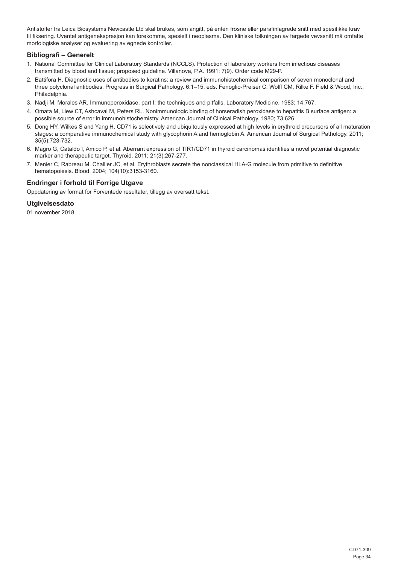Antistoffer fra Leica Biosystems Newcastle Ltd skal brukes, som angitt, på enten frosne eller parafinlagrede snitt med spesifikke krav til fiksering. Uventet antigenekspresjon kan forekomme, spesielt i neoplasma. Den kliniske tolkningen av fargede vevssnitt må omfatte morfologiske analyser og evaluering av egnede kontroller.

## **Bibliografi – Generelt**

- 1. National Committee for Clinical Laboratory Standards (NCCLS). Protection of laboratory workers from infectious diseases transmitted by blood and tissue; proposed guideline. Villanova, P.A. 1991; 7(9). Order code M29-P.
- 2. Battifora H. Diagnostic uses of antibodies to keratins: a review and immunohistochemical comparison of seven monoclonal and three polyclonal antibodies. Progress in Surgical Pathology. 6:1–15. eds. Fenoglio-Preiser C, Wolff CM, Rilke F. Field & Wood, Inc., Philadelphia.
- 3. Nadji M, Morales AR. Immunoperoxidase, part I: the techniques and pitfalls. Laboratory Medicine. 1983; 14:767.
- 4. Omata M, Liew CT, Ashcavai M, Peters RL. Nonimmunologic binding of horseradish peroxidase to hepatitis B surface antigen: a possible source of error in immunohistochemistry. American Journal of Clinical Pathology. 1980; 73:626.
- 5. Dong HY, Wilkes S and Yang H. CD71 is selectively and ubiquitously expressed at high levels in erythroid precursors of all maturation stages: a comparative immunochemical study with glycophorin A and hemoglobin A. American Journal of Surgical Pathology. 2011; 35(5):723-732.
- 6. Magro G, Cataldo I, Amico P, et al. Aberrant expression of TfR1/CD71 in thyroid carcinomas identifies a novel potential diagnostic marker and therapeutic target. Thyroid. 2011; 21(3):267-277.
- 7. Menier C, Rabreau M, Challier JC, et al. Erythroblasts secrete the nonclassical HLA-G molecule from primitive to definitive hematopoiesis. Blood. 2004; 104(10):3153-3160.

## **Endringer i forhold til Forrige Utgave**

Oppdatering av format for Forventede resultater, tillegg av oversatt tekst.

## **Utgivelsesdato**

01 november 2018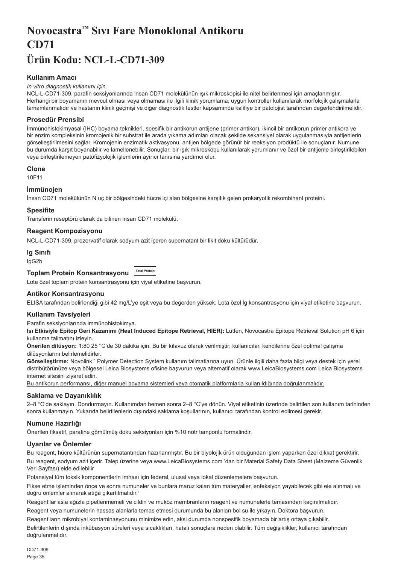## <span id="page-35-0"></span>**Novocastra™ Sıvı Fare Monoklonal Antikoru CD71 Ürün Kodu: NCL-L-CD71-309**

## **Kullanım Amacı**

#### *In vitro diagnostik kullanımı için.*

NCL-L-CD71-309, parafin seksiyonlarında insan CD71 molekülünün ışık mikroskopisi ile nitel belirlenmesi için amaçlanmıştır. Herhangi bir boyamanın mevcut olması veya olmaması ile ilgili klinik yorumlama, uygun kontroller kullanılarak morfolojik çalışmalarla tamamlanmalıdır ve hastanın klinik geçmişi ve diğer diagnostik testler kapsamında kalifiye bir patolojist tarafından değerlendirilmelidir.

#### **Prosedür Prensibi**

İmmünohistokimyasal (IHC) boyama teknikleri, spesifik bir antikorun antijene (primer antikor), ikincil bir antikorun primer antikora ve bir enzim kompleksinin kromojenik bir substrat ile arada yıkama adımları olacak şekilde sekansiyel olarak uygulanmasıyla antijenlerin görselleştirilmesini sağlar. Kromojenin enzimatik aktivasyonu, antijen bölgede görünür bir reaksiyon prodüktü ile sonuçlanır. Numune bu durumda karşıt boyanabilir ve lamellenebilir. Sonuçlar, bir ışık mikroskopu kullanılarak yorumlanır ve özel bir antijenle birleştirilebilen veya birleştirilemeyen patofizyolojik işlemlerin ayırıcı tanısına yardımcı olur.

#### **Clone**

10F11

#### **İmmünojen**

İnsan CD71 molekülünün N uç bir bölgesindeki hücre içi alan bölgesine karşılık gelen prokaryotik rekombinant proteini.

#### **Spesifite**

Transferin reseptörü olarak da bilinen insan CD71 molekülü.

#### **Reagent Kompozisyonu**

NCL-L-CD71-309, prezervatif olarak sodyum azit içeren supernatant bir likit doku kültürüdür.

#### **Ig Sınıfı**

IgG2b

#### **Toplam Protein Konsantrasyonu Total Protein**

Lota özel toplam protein konsantrasyonu için viyal etiketine başvurun.

#### **Antikor Konsantrasyonu**

ELISA tarafından belirlendiği gibi 42 mg/L'ye eşit veya bu değerden yüksek. Lota özel lg konsantrasyonu için viyal etiketine başvurun.

#### **Kullanım Tavsiyeleri**

Parafin seksiyonlarında immünohistokimya.

**Isı Etkisiyle Epitop Geri Kazanımı (Heat Induced Epitope Retrieval, HIER):** Lütfen, Novocastra Epitope Retrieval Solution pH 6 için kullanma talimatını izleyin.

**Önerilen dilüsyon:** 1:80 25 °C'de 30 dakika için. Bu bir kılavuz olarak verilmiştir; kullanıcılar, kendilerine özel optimal çalışma dilüsyonlarını belirlemelidirler.

**Görselleştirme:** Novolink™ Polymer Detection System kullanım talimatlarına uyun. Ürünle ilgili daha fazla bilgi veya destek için yerel distribütörünüze veya bölgesel Leica Biosystems ofisine başvurun veya alternatif olarak www.LeicaBiosystems.com Leica Biosystems internet sitesini ziyaret edin.

Bu antikorun performansı, diğer manuel boyama sistemleri veya otomatik platformlarla kullanıldığında doğrulanmalıdır.

#### **Saklama ve Dayanıklılık**

2–8 °C'de saklayın. Dondurmayın. Kullanımdan hemen sonra 2–8 °C'ye dönün. Viyal etiketinin üzerinde belirtilen son kullanım tarihinden sonra kullanmayın. Yukarıda belirtilenlerin dışındaki saklama koşullarının, kullanıcı tarafından kontrol edilmesi gerekir.

### **Numune Hazırlığı**

Önerilen fiksatif, parafine gömülmüş doku seksiyonları için %10 nötr tamponlu formalindir.

## **Uyarılar ve Önlemler**

Bu reagent, hücre kültürünün supernatantından hazırlanmıştır. Bu bir biyolojik ürün olduğundan işlem yaparken özel dikkat gerektirir.

Bu reagent, sodyum azit içerir. Talep üzerine veya www.LeicaBiosystems.com 'dan bir Material Safety Data Sheet (Malzeme Güvenlik Veri Sayfası) elde edilebilir

Potansiyel tüm toksik komponentlerin imhası için federal, ulusal veya lokal düzenlemelere başvurun.

Fikse etme işleminden önce ve sonra numuneler ve bunlara maruz kalan tüm materyaller, enfeksiyon yayabilecek gibi ele alınmalı ve doğru önlemler alınarak atığa çıkartılmalıdır.<sup>1</sup>

Reagent'lar asla ağızla pipetlenmemeli ve cildin ve muköz membranların reagent ve numunelerle temasından kaçınılmalıdır.

Reagent veya numunelerin hassas alanlarla temas etmesi durumunda bu alanları bol su ile yıkayın. Doktora başvurun.

Reagent'ların mikrobiyal kontaminasyonunu minimize edin, aksi durumda nonspesifik boyamada bir artış ortaya çıkabilir.

Belirtilenlerin dışında inkübasyon süreleri veya sıcaklıkları, hatalı sonuçlara neden olabilir. Tüm değişiklikler, kullanıcı tarafından doğrulanmalıdır.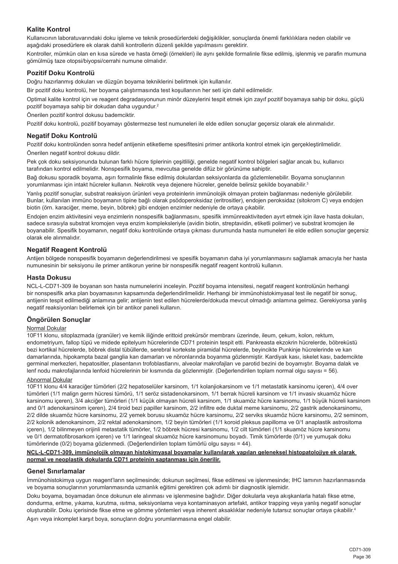## **Kalite Kontrol**

Kullanıcının laboratuvarındaki doku işleme ve teknik prosedürlerdeki değişiklikler, sonuçlarda önemli farklılıklara neden olabilir ve aşağıdaki prosedürlere ek olarak dahili kontrollerin düzenli şekilde yapılmasını gerektirir.

Kontroller, mümkün olan en kısa sürede ve hasta örneği (örnekleri) ile aynı şekilde formalinle fikse edilmiş, işlenmiş ve parafin mumuna gömülmüş taze otopsi/biyopsi/cerrahi numune olmalıdır.

### **Pozitif Doku Kontrolü**

Doğru hazırlanmış dokuları ve düzgün boyama tekniklerini belirtmek için kullanılır.

Bir pozitif doku kontrolü, her boyama çalıştırmasında test koşullarının her seti için dahil edilmelidir.

Optimal kalite kontrol için ve reagent degradasyonunun minör düzeylerini tespit etmek için zayıf pozitif boyamaya sahip bir doku, güçlü pozitif boyamaya sahip bir dokudan daha uygundur.<sup>2</sup>

Önerilen pozitif kontrol dokusu bademciktir.

Pozitif doku kontrolü, pozitif boyamayı göstermezse test numuneleri ile elde edilen sonuçlar geçersiz olarak ele alınmalıdır.

#### **Negatif Doku Kontrolü**

Pozitif doku kontrolünden sonra hedef antijenin etiketleme spesifitesini primer antikorla kontrol etmek için gerçekleştirilmelidir. Önerilen negatif kontrol dokusu dildir.

Pek çok doku seksiyonunda bulunan farklı hücre tiplerinin çeşitliliği, genelde negatif kontrol bölgeleri sağlar ancak bu, kullanıcı tarafından kontrol edilmelidir. Nonspesifik boyama, mevcutsa genelde difüz bir görünüme sahiptir.

Bağ dokusu sporadik boyama, aşırı formalinle fikse edilmiş dokulardan seksiyonlarda da gözlemlenebilir. Boyama sonuçlarının yorumlanması için intakt hücreler kullanın. Nekrotik veya dejenere hücreler, genelde belirsiz şekilde boyanabilir.<sup>3</sup>

Yanlış pozitif sonuçlar, substrat reaksiyon ürünleri veya proteinlerin immünolojik olmayan protein bağlanması nedeniyle görülebilir. Bunlar, kullanılan immüno boyamanın tipine bağlı olarak psödoperoksidaz (eritrositler), endojen peroksidaz (sitokrom C) veya endojen biotin (örn. karaciğer, meme, beyin, böbrek) gibi endojen enzimler nedeniyle de ortaya çıkabilir.

Endojen enzim aktivitesini veya enzimlerin nonspesifik bağlanmasını, spesifik immünreaktiviteden ayırt etmek için ilave hasta dokuları, sadece sırasıyla substrat kromojen veya enzim kompleksleriyle (avidin biotin, streptavidin, etiketli polimer) ve substrat kromojen ile boyanabilir. Spesifik boyamanın, negatif doku kontrolünde ortaya çıkması durumunda hasta numuneleri ile elde edilen sonuçlar geçersiz olarak ele alınmalıdır.

### **Negatif Reagent Kontrolü**

Antijen bölgede nonspesifik boyamanın değerlendirilmesi ve spesifik boyamanın daha iyi yorumlanmasını sağlamak amacıyla her hasta numunesinin bir seksiyonu ile primer antikorun yerine bir nonspesifik negatif reagent kontrolü kullanın.

### **Hasta Dokusu**

NCL-L-CD71-309 ile boyanan son hasta numunelerini inceleyin. Pozitif boyama intensitesi, negatif reagent kontrolünün herhangi bir nonspesifik arka plan boyamasının kapsamında değerlendirilmelidir. Herhangi bir immünohistokimyasal test ile negatif bir sonuç, antijenin tespit edilmediği anlamına gelir; antijenin test edilen hücrelerde/dokuda mevcut olmadığı anlamına gelmez. Gerekiyorsa yanlış negatif reaksiyonları belirlemek için bir antikor paneli kullanın.

### **Öngörülen Sonuçlar**

#### Normal Dokular

10F11 klonu, sitoplazmada (granüler) ve kemik iliğinde erittoid prekürsör membranı üzerinde, ileum, çekum, kolon, rektum, endometriyum, fallop tüpü ve midede epitelyum hücrelerinde CD71 proteinin tespit etti. Pankreasta ekzokrin hücrelerde, böbreküstü bezi kortikal hücrelerde, böbrek distal tübüllerde, serebral kortekste piramidal hücrelerde, beyincikte Punkinje hücrelerinde ve kan damarlarında, hipokampta bazal ganglia kan damarları ve nöronlarında boyanma gözlenmiştir. Kardiyak kası, iskelet kası, bademcikte germinal merkezleri, hepatositler, plasentanın trofoblastlarını, alveolar makrofajları ve parotid bezini de boyamıştır. Boyama dalak ve lenf nodu makrofajlarında lenfoid hücrelerinin bir kısmında da gözlenmiştir. (Değerlendirilen toplam normal olgu sayısı = 56).

## Abnormal Dokular

10F11 klonu 4/4 karaciğer tümörleri (2/2 hepatoselüler karsinom, 1/1 kolanjiokarsinom ve 1/1 metastatik karsinomu içeren), 4/4 over tümörleri (1/1 malign germ hücresi tümörü, 1/1 seröz sistadenokarsinom, 1/1 berrak hücreli karsinom ve 1/1 invasiv skuamöz hücre karsinomu içeren), 3/4 akciğer tümörleri (1/1 küçük olmayan hücreli karsinom, 1/1 skuamöz hücre karsinomu, 1/1 büyük hücreli karsinom and 0/1 adenokarsinom içeren), 2/4 tiroid bezi papiller karsinom, 2/2 infiltre ede duktal meme karsinomu, 2/2 gastrik adenokarsinomu, 2/2 dilde skuamöz hücre karsinomu, 2/2 yemek borusu skuamöz hücre karsinomu, 2/2 serviks skuamöz hücre karsinomu, 2/2 seminom, 2/2 kolonik adenokarsinom, 2/2 rektal adenokarsinom, 1/2 beyin tümörleri (1/1 koroid pleksus papilloma ve 0/1 anaplastik astrositoma içeren), 1/2 bilinmeyen orijinli metastatik tümörler, 1/2 böbrek hücresi karsinomu, 1/2 cilt tümörleri (1/1 skuamöz hücre karsinomu ve 0/1 dermatofibrosarkom içeren) ve 1/1 laringeal skuamöz hücre karsinomunu boyadı. Timik tümörlerde (0/1) ve yumuşak doku tümörlerinde (0/2) boyama gözlenmedi. (Değerlendirilen toplam tümörlü olgu sayısı = 44).

#### **NCL-L-CD71-309, immünolojik olmayan histokimyasal boyamalar kullanılarak yapılan geleneksel histopatolojiye ek olarak normal ve neoplastik dokularda CD71 proteinin saptanması için önerilir.**

#### **Genel Sınırlamalar**

İmmünohistokimya uygun reagent'ların seçilmesinde; dokunun seçilmesi, fikse edilmesi ve işlenmesinde; IHC lamının hazırlanmasında ve boyama sonuçlarının yorumlanmasında uzmanlık eğitimi gerektiren çok adımlı bir diagnostik işlemidir.

Doku boyama, boyamadan önce dokunun ele alınması ve işlenmesine bağlıdır. Diğer dokularla veya akışkanlarla hatalı fikse etme, dondurma, eritme, yıkama, kurutma, ısıtma, seksiyonlama veya kontaminasyon artefakt, antikor trapping veya yanlış negatif sonuçlar oluşturabilir. Doku içerisinde fikse etme ve gömme yöntemleri veya inherent aksaklıklar nedeniyle tutarsız sonuçlar ortaya çıkabilir.<sup>4</sup> Aşırı veya inkomplet karşıt boya, sonuçların doğru yorumlanmasına engel olabilir.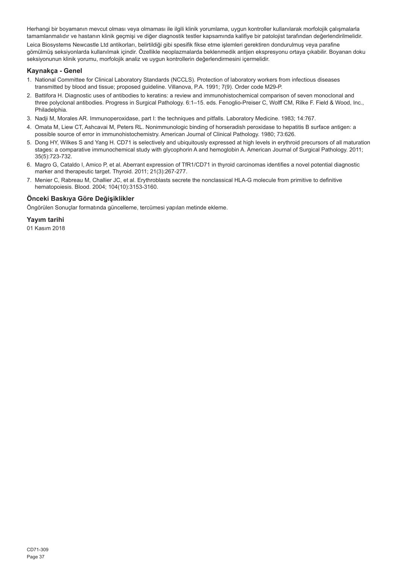Herhangi bir boyamanın mevcut olması veya olmaması ile ilgili klinik yorumlama, uygun kontroller kullanılarak morfolojik çalışmalarla tamamlanmalıdır ve hastanın klinik geçmişi ve diğer diagnostik testler kapsamında kalifiye bir patolojist tarafından değerlendirilmelidir.

Leica Biosystems Newcastle Ltd antikorları, belirtildiği gibi spesifik fikse etme işlemleri gerektiren dondurulmuş veya parafine gömülmüş seksiyonlarda kullanılmak içindir. Özellikle neoplazmalarda beklenmedik antijen ekspresyonu ortaya çıkabilir. Boyanan doku seksiyonunun klinik yorumu, morfolojik analiz ve uygun kontrollerin değerlendirmesini içermelidir.

#### **Kaynakça - Genel**

- 1. National Committee for Clinical Laboratory Standards (NCCLS). Protection of laboratory workers from infectious diseases transmitted by blood and tissue; proposed guideline. Villanova, P.A. 1991; 7(9). Order code M29-P.
- 2. Battifora H. Diagnostic uses of antibodies to keratins: a review and immunohistochemical comparison of seven monoclonal and three polyclonal antibodies. Progress in Surgical Pathology. 6:1–15. eds. Fenoglio-Preiser C, Wolff CM, Rilke F. Field & Wood, Inc., Philadelphia.
- 3. Nadji M, Morales AR. Immunoperoxidase, part I: the techniques and pitfalls. Laboratory Medicine. 1983; 14:767.
- 4. Omata M, Liew CT, Ashcavai M, Peters RL. Nonimmunologic binding of horseradish peroxidase to hepatitis B surface antigen: a possible source of error in immunohistochemistry. American Journal of Clinical Pathology. 1980; 73:626.
- 5. Dong HY, Wilkes S and Yang H. CD71 is selectively and ubiquitously expressed at high levels in erythroid precursors of all maturation stages: a comparative immunochemical study with glycophorin A and hemoglobin A. American Journal of Surgical Pathology. 2011; 35(5):723-732.
- 6. Magro G, Cataldo I, Amico P, et al. Aberrant expression of TfR1/CD71 in thyroid carcinomas identifies a novel potential diagnostic marker and therapeutic target. Thyroid. 2011; 21(3):267-277.
- 7. Menier C, Rabreau M, Challier JC, et al. Erythroblasts secrete the nonclassical HLA-G molecule from primitive to definitive hematopoiesis. Blood. 2004; 104(10):3153-3160.

### **Önceki Baskıya Göre Değişiklikler**

Öngörülen Sonuçlar formatında güncelleme, tercümesi yapılan metinde ekleme.

#### **Yayım tarihi**

01 Kasım 2018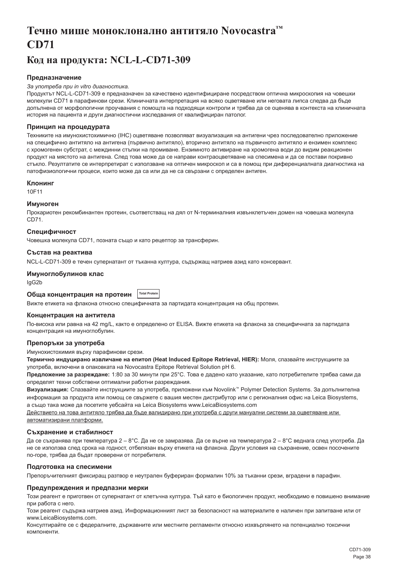## <span id="page-38-0"></span>**Течно мише моноклонално антитяло Novocastra™ CD71**

## **Код на продукта: NCL-L-CD71-309**

### **Предназначение**

#### *За употреба при in vitro диагностика.*

Продуктът NCL-L-CD71-309 е предназначен за качествено идентифициране посредством оптична микроскопия на човешки молекули CD71 в парафинови срези. Клиничната интерпретация на всяко оцветяване или неговата липса следва да бъде допълнена от морфологични проучвания с помощта на подходящи контроли и трябва да се оценява в контекста на клиничната история на пациента и други диагностични изследвания от квалифициран патолог.

#### **Принцип на процедурата**

Техниките на имунохистохимично (IHC) оцветяване позволяват визуализация на антигени чрез последователно приложение на специфично антитяло на антигена (първично антитяло), вторично антитяло на първичното антитяло и ензимен комплекс с хромогенен субстрат, с междинни стъпки на промиване. Ензимното активиране на хромогена води до видим реакционен продукт на мястото на антигена. След това може да се направи контраоцветяване на спесимена и да се постави покривно стъкло. Резултатите се интерпретират с използване на оптичен микроскоп и са в помощ при диференциалната диагностика на патофизиологични процеси, които може да са или да не са свързани с определен антиген.

#### **Клонинг**

10F11

#### **Имуноген**

Прокариотен рекомбинантен протеин, съответстващ на дял от N-терминалния извънклетъчен домен на човешка молекула CD71.

## **Специфичност**

Човешка молекула CD71, позната също и като рецептор за трансферин.

#### **Състав на реактива**

NCL-L-CD71-309 е течен супернатант от тъканна култура, съдържащ натриев азид като консервант.

#### **Имуноглобулинов клас**

IgG2b

#### **Обща концентрация на протеин Total Protein**

Вижте етикета на флакона относно специфичната за партидата концентрация на общ протеин.

#### **Концентрация на антитела**

По-висока или равна на 42 mg/L, както е определено от ELISA. Вижте етикета на флакона за специфичната за партидата концентрация на имуноглобулин.

### **Препоръки за употреба**

Имунохистохимия върху парафинови срези.

**Термично индуцирано извличане на епитоп (Heat Induced Epitope Retrieval, HIER):** Моля, спазвайте инструкциите за употреба, включени в опаковката на Novocastra Epitope Retrieval Solution pH 6.

**Предложение за разреждане:** 1:80 за 30 минути при 25°C. Това е дадено като указание, като потребителите трябва сами да определят техни собствени оптимални работни разреждания.

**Визуализация:** Спазвайте инструкциите за употреба, приложени към Novolink™ Polymer Detection Systems. За допълнителна информация за продукта или помощ се свържете с вашия местен дистрибутор или с регионалния офис на Leica Biosystems, а също така може да посетите уебсайта на Leica Biosystems www.LeicaBiosystems.com

Действието на това антитяло трябва да бъде валидирано при употреба с други мануални системи за оцветяване или автоматизирани платформи.

### **Съхранение и стабилност**

Да се съхранява при температура 2 – 8°C. Да не се замразява. Да се върне на температура 2 – 8°C веднага след употреба. Да не се използва след срока на годност, отбелязан върху етикета на флакона. Други условия на съхранение, освен посочените по-горе, трябва да бъдат проверени от потребителя.

### **Подготовка на спесимени**

Препоръчителният фиксиращ разтвор е неутрален буфериран формалин 10% за тъканни срези, вградени в парафин.

#### **Предупреждения и предпазни мерки**

Този реагент е приготвен от супернатант от клетъчна култура. Тъй като е биологичен продукт, необходимо е повишено внимание при работа с него.

Този реагент съдържа натриев азид. Информационният лист за безопасност на материалите е наличен при запитване или от www.LeicaBiosystems.com.

Консултирайте се с федералните, държавните или местните регламенти относно изхвърлянето на потенциално токсични компоненти.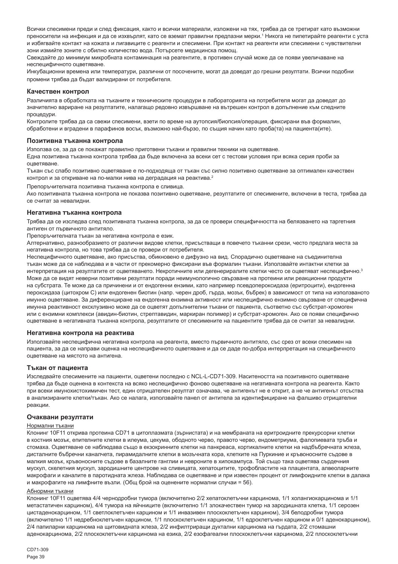Всички спесимени преди и след фиксация, както и всички материали, изложени на тях, трябва да се третират като възможни преносители на инфекция и да се изхвърлят, като се вземат правилни предпазни мерки.' Никога не пипетирайте реагенти с уста и избягвайте контакт на кожата и лигавиците с реагенти и спесимени. При контакт на реагенти или спесимени с чувствителни зони измийте зоните с обилно количество вода. Потърсете медицинска помощ.

Свеждайте до минимум микробната контаминация на реагентите, в противен случай може да се появи увеличаване на неспецифичното оцветяване.

Инкубационни времена или температури, различни от посочените, могат да доведат до грешни резултати. Всички подобни промени трябва да бъдат валидирани от потребителя.

#### **Качествен контрол**

Различията в обработката на тъканите и техническите процедури в лабораторията на потребителя могат да доведат до значително вариране на резултатите, налагащо редовно извършване на вътрешен контрол в допълнение към следните процедури.

Контролите трябва да са свежи спесимени, взети по време на аутопсия/биопсия/операция, фиксирани във формалин, обработени и вградени в парафинов восък, възможно най-бързо, по същия начин като проба(та) на пациента(ите).

#### **Позитивна тъканна контрола**

Използва се, за да се покажат правилно приготвени тъкани и правилни техники на оцветяване.

Една позитивна тъканна контрола трябва да бъде включена за всеки сет с тестови условия при всяка серия проби за оцветяване.

Тъкан със слабо позитивно оцветяване е по-подходяща от тъкан със силно позитивно оцветяване за оптимален качествен контрол и за откриване на по-малки нива на деградация на реактива.<sup>2</sup>

Препоръчителната позитивна тъканна контрола е сливица.

Ако позитивната тъканна контрола не показва позитивно оцветяване, резултатите от спесимените, включени в теста, трябва да се считат за невалидни.

#### **Негативна тъканна контрола**

Трябва да се изследва след позитивната тъканна контрола, за да се провери специфичността на белязването на таргетния антиген от първичното антитяло.

Препоръчителната тъкан за негативна контрола е език.

Алтернативно, разнообразието от различни видове клетки, присъстващи в повечето тъканни срези, често предлага места за негативна контрола, но това трябва да се провери от потребителя.

Неспецифичното оцветяване, ако присъства, обикновено е дифузно на вид. Спорадично оцветяване на съединителна тъкан може да се наблюдава и в части от прекомерно фиксирани във формалин тъкани. Използвайте интактни клетки за интерпретация на резултатите от оцветяването. Некротичните или дегенериралите клетки често се оцветяват неспецифично.<sup>3</sup> Може да се видят неверни позитивни резултати поради неимунологично свързване на протеини или реакционни продукти на субстрата. Те може да са причинени и от ендогенни ензими, като например псевдопероксидаза (еритроцити), ендогенна пероксидаза (цитохром C) или ендогенен биотин (напр. черен дроб, гърда, мозък, бъбрек) в зависимост от типа на използваното имунно оцветяване. За диференциране на ендогенна ензимна активност или неспецифично ензимно свързване от специфична имунна реактивност ексклузивно може да се оцветят допълнителни тъкани от пациента, съответно със субстрат-хромоген или с ензимни комплекси (авидин-биотин, стрептавидин, маркиран полимер) и субстрат-хромоген. Ако се появи специфично оцветяване в негативната тъканна контрола, резултатите от спесимените на пациентите трябва да се считат за невалидни.

#### **Негативна контрола на реактива**

Използвайте неспецифична негативна контрола на реагента, вместо първичното антитяло, със срез от всеки спесимен на пациента, за да се направи оценка на неспецифичното оцветяване и да се даде по-добра интерпретация на специфичното оцветяване на мястото на антигена.

#### **Тъкан от пациента**

Изследвайте спесимените на пациенти, оцветени последно с NCL-L-CD71-309. Наситеността на позитивното оцветяване трябва да бъде оценена в контекста на всяко неспецифично фоново оцветяване на негативната контрола на реагента. Както при всеки имунохистохимичен тест, един отрицателен резултат означава, че антигенът не е открит, а не че антигенът отсъства в анализираните клетки/тъкан. Ако се налага, използвайте панел от антитела за идентифициране на фалшиво отрицателни реакции.

#### **Очаквани резултати**

#### Нормални тъкани

Клонинг 10F11 открива протеина CD71 в цитоплазмата (зърнистата) и на мембраната на еритроидните прекурсорни клетки в костния мозък, епителните клетки в илеума, цекума, ободното черво, правото черво, ендометриума, фалопиевата тръба и стомаха. Оцветяване се наблюдава също в екзокринните клетки на панкреаса, кортикалните клетки на надбъбречната жлеза, дисталните бъбречни каналчета, пирамидалните клетки в мозъчната кора, клетките на Пуркиние и кръвоносните съдове в малкия мозък, кръвоносните съдове в базалните ганглии и невроните в хипокампуса. Той също така оцветява сърдечния мускул, скелетния мускул, зародишните центрове на сливицата, хепатоцитите, трофобластите на плацентата, алвеоларните макрофаги и каналите в паротидната жлеза. Наблюдава се оцветяване и при известен процент от лимфоидните клетки в далака и макрофагите на лимфните възли. (Общ брой на оценените нормални случаи = 56).

#### Абнормни тъкани

Клонинг 10F11 оцветява 4/4 чернодробни тумора (включително 2/2 хепатоклетъчни карцинома, 1/1 холангиокарцинома и 1/1 метастатичен карцином), 4/4 тумора на яйчниците (включително 1/1 злокачествен тумор на зародишната клетка, 1/1 серозен цистаденокарцином, 1/1 светлоклетъчен карцином и 1/1 инвазивен плоскоклетъчен карцином), 3/4 белодробни тумора (включително 1/1 недребноклетъчен карцином, 1/1 плоскоклетъчен карцином, 1/1 едроклетъчен карцином и 0/1 аденокарцином), 2/4 папиларни карцинома на щитовидната жлеза, 2/2 инфилтриращи дуктални карцинома на гърдата, 2/2 стомашни аденокарцинома, 2/2 плоскоклетъчни карцинома на езика, 2/2 езофагеални плоскоклетъчни карцинома, 2/2 плоскоклетъчни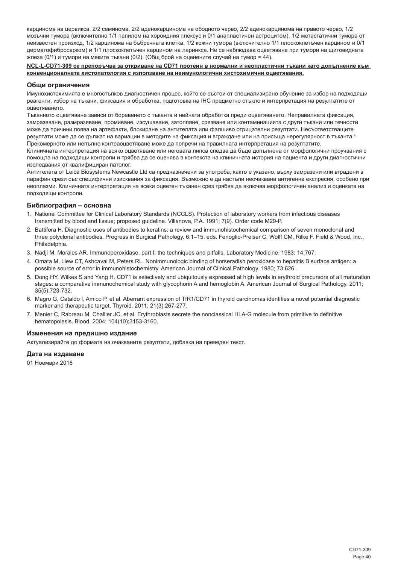карцинома на цервикса, 2/2 семинома, 2/2 аденокарцинома на ободното черво, 2/2 аденокарцинома на правото черво, 1/2 мозъчни тумора (включително 1/1 папилом на хороидния плексус и 0/1 анапластичен астроцитом), 1/2 метастатични тумора от неизвестен произход, 1/2 карцинома на бъбречната клетка, 1/2 кожни тумора (включително 1/1 плоскоклетъчен карцином и 0/1 дерматофибросарком) и 1/1 плоскоклетъчен карцином на ларинкса. Не се наблюдава оцветяване при тумори на щитовидната жлеза (0/1) и тумори на меките тъкани (0/2). (Общ брой на оценените случай на тумор = 44).

#### **NCL-L-CD71-309 се препоръчва за откриване на CD71 протеин в нормални и неопластични тъкани като допълнение към конвенционалната хистопатология с използване на неимунологични хистохимични оцветявания.**

#### **Общи ограничения**

Имунохистохимията е многостъпков диагностичен процес, който се състои от специализирано обучение за избор на подходящи реагенти, избор на тъкани, фиксация и обработка, подготовка на IHC предметно стъкло и интерпретация на резултатите от оцветяването.

Тъканното оцветяване зависи от боравенето с тъканта и нейната обработка преди оцветяването. Неправилната фиксация, замразяване, размразяване, промиване, изсушаване, затопляне, срязване или контаминацията с други тъкани или течности може да причини поява на артефакти, блокиране на антителата или фалшиво отрицателни резултати. Несъответстващите резултати може да се дължат на вариации в методите на фиксация и вграждане или на присъща нерегулярност в тъканта.<sup>4</sup> Прекомерното или непълно контраоцветяване може да попречи на правилната интерпретация на резултатите.

Клиничната интерпретация на всяко оцветяване или неговата липса следва да бъде допълнена от морфологични проучвания с помощта на подходящи контроли и трябва да се оценява в контекста на клиничната история на пациента и други диагностични изследвания от квалифициран патолог.

Антителата от Leica Biosystems Newcastle Ltd са предназначени за употреба, както е указано, върху замразени или вградени в парафин срези със специфични изисквания за фиксация. Възможно е да настъпи неочаквана антигенна експресия, особено при неоплазми. Клиничната интерпретация на всеки оцветен тъканен срез трябва да включва морфологичен анализ и оценката на подходящи контроли.

#### **Библиография – основна**

- 1. National Committee for Clinical Laboratory Standards (NCCLS). Protection of laboratory workers from infectious diseases transmitted by blood and tissue; proposed guideline. Villanova, P.A. 1991; 7(9). Order code M29-P.
- 2. Battifora H. Diagnostic uses of antibodies to keratins: a review and immunohistochemical comparison of seven monoclonal and three polyclonal antibodies. Progress in Surgical Pathology. 6:1–15. eds. Fenoglio-Preiser C, Wolff CM, Rilke F. Field & Wood, Inc., Philadelphia.
- 3. Nadji M, Morales AR. Immunoperoxidase, part I: the techniques and pitfalls. Laboratory Medicine. 1983; 14:767.
- 4. Omata M, Liew CT, Ashcavai M, Peters RL. Nonimmunologic binding of horseradish peroxidase to hepatitis B surface antigen: a possible source of error in immunohistochemistry. American Journal of Clinical Pathology. 1980; 73:626.
- 5. Dong HY, Wilkes S and Yang H. CD71 is selectively and ubiquitously expressed at high levels in erythroid precursors of all maturation stages: a comparative immunochemical study with glycophorin A and hemoglobin A. American Journal of Surgical Pathology. 2011; 35(5):723-732.
- 6. Magro G, Cataldo I, Amico P, et al. Aberrant expression of TfR1/CD71 in thyroid carcinomas identifies a novel potential diagnostic marker and therapeutic target. Thyroid. 2011; 21(3):267-277.
- 7. Menier C, Rabreau M, Challier JC, et al. Erythroblasts secrete the nonclassical HLA-G molecule from primitive to definitive hematopoiesis. Blood. 2004; 104(10):3153-3160.

#### **Изменения на предишно издание**

Актуализирайте до формата на очакваните резултати, добавка на преведен текст.

#### **Дата на издаване**

01 Ноември 2018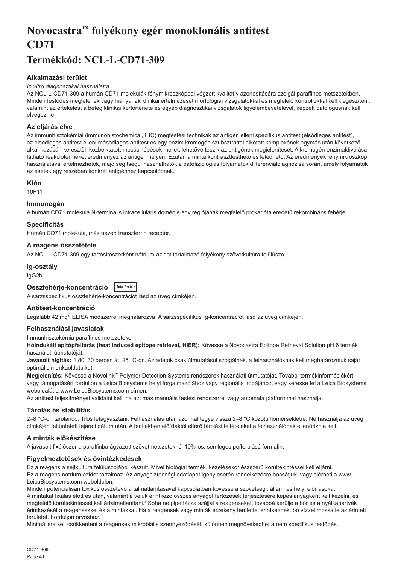# <span id="page-41-0"></span>**Novocastra™ folyékony egér monoklonális antitest CD71**

## **Termékkód: NCL-L-CD71-309**

## **Alkalmazási terület**

#### *In vitro diagnosztikai használatra.*

Az NCL-L-CD71-309 a humán CD71 molekulák fénymikroszkóppal végzett kvalitatív azonosítására szolgál paraffinos metszetekben. Minden festődés meglétének vagy hiányának klinikai értelmezését morfológiai vizsgálatokkal és megfelelő kontrollokkal kell kiegészíteni, valamint az értékelést a beteg klinikai kórtörténete és egyéb diagnosztikai vizsgálatok figyelembevételével, képzett patológusnak kell elvégeznie.

## **Az eljárás elve**

Az immunhisztokémiai (immunohistochemical, IHC) megfestési technikák az antigén elleni specifikus antitest (elsődleges antitest), az elsődleges antitest elleni másodlagos antitest és egy enzim kromogén szubsztráttal alkotott komplexének egymás után következő alkalmazásán keresztül, közbeiktatott mosási lépések mellett lehetővé teszik az antigének megjelenítését. A kromogén enzimaktiválása látható reakcióterméket eredményez az antigén helyén. Ezután a minta kontrasztfesthető és lefedhető. Az eredmények fénymikroszkóp használatával értelmezhetők, majd segítségül használhatók a patofiziológiás folyamatok differenciáldiagnózisa során, amely folyamatok az esetek egy részében konkrét antigénhez kapcsolódnak.

### **Klón**

10F11

## **Immunogén**

A humán CD71 molekula N-terminális intracelluláris doménje egy régiójának megfelelő prokarióta eredetű rekombináns fehérje.

## **Specificitás**

Humán CD71 molekula, más néven transzferrin receptor.

## **A reagens összetétele**

Az NCL-L-CD71-309 egy tartósítószerként nátrium-azidot tartalmazó folyékony szövetkultúra felülúszó.

### **Ig-osztály**

IgG2b

| Összfehérje-koncentráció | <b>Total Protein</b> |
|--------------------------|----------------------|
|                          |                      |

A sarzsspecifikus összfehérje-koncentrációt lásd az üveg címkéjén.

### **Antitest-koncentráció**

Legalább 42 mg/l ELISA módszerrel meghatározva. A sarzsspecifikus Ig-koncentrációt lásd az üveg címkéjén.

### **Felhasználási javaslatok**

Immunhisztokémia paraffinos metszeteken.

**Hőindukált epitópfeltárás (heat induced epitope retrieval, HIER):** Kövesse a Novocastra Epitope Retrieval Solution pH 6 termék használati útmutatóját.

**Javasolt hígítás:** 1:80, 30 percen át, 25 °C-on. Az adatok csak útmutatásul szolgálnak, a felhasználóknak kell meghatározniuk saját optimális munkaoldataikat.

**Megjelenítés:** Kövesse a Novolink™ Polymer Detection Systems rendszerek használati útmutatóját. További termékinformációkért vagy támogatásért forduljon a Leica Biosystems helyi forgalmazójához vagy regionális irodájához, vagy keresse fel a Leica Biosystems weboldalát a www.LeicaBiosystems.com címen.

Az antitest teljesítményét validálni kell, ha azt más manuális festési rendszerrel vagy automata platformmal használja.

## **Tárolás és stabilitás**

2–8 °C-on tárolandó. Tilos lefagyasztani. Felhasználás után azonnal tegye vissza 2–8 °C közötti hőmérsékletre. Ne használja az üveg címkéjén feltüntetett lejárati dátum után. A fentiekben előírtaktól eltérő tárolási feltételeket a felhasználónak ellenőriznie kell.

## **A minták előkészítése**

A javasolt fixálószer a paraffinba ágyazott szövetmetszeteknél 10%-os, semleges pufferolású formalin.

## **Figyelmeztetések és óvintézkedések**

Ez a reagens a sejtkultúra felülúszójából készült. Mivel biológiai termék, kezelésekor észszerű körültekintéssel kell eljárni. Ez a reagens nátrium-azidot tartalmaz. Az anyagbiztonsági adatlapot igény esetén rendelkezésre bocsátjuk, vagy elérheti a www. LeicaBiosystems.com weboldalon.

Minden potenciálisan toxikus összetevő ártalmatlanításával kapcsolatban kövesse a szövetségi, állami és helyi előírásokat. A mintákat fixálás előtt és után, valamint a velük érintkező összes anyagot fertőzések terjesztésére képes anyagként kell kezelni, és megfelelő körültekintéssel kell ártalmatlanítani.1 Soha ne pipettázza szájjal a reagenseket, továbbá kerülje a bőr és a nyálkahártyák érintkezését a reagensekkel és a mintákkal. Ha a reagensek vagy minták érzékeny területtel érintkeznek, bő vízzel mossa le az érintett területet. Forduljon orvoshoz.

Minimálisra kell csökkenteni a reagensek mikrobiális szennyeződését, különben megnövekedhet a nem specifikus festődés.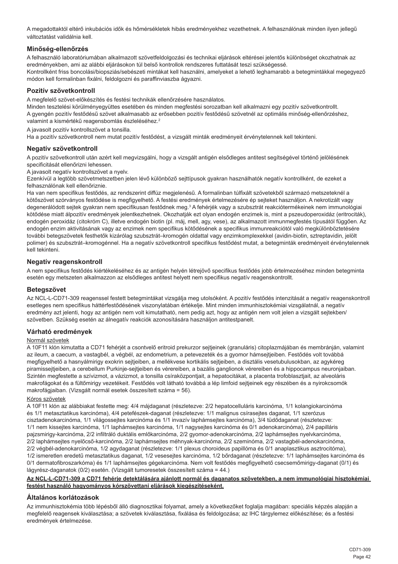A megadottaktól eltérő inkubációs idők és hőmérsékletek hibás eredményekhez vezethetnek. A felhasználónak minden ilyen jellegű változtatást validálnia kell.

## **Minőség-ellenőrzés**

A felhasználó laboratóriumában alkalmazott szövetfeldolgozási és technikai eljárások eltérései jelentős különbséget okozhatnak az eredményekben, ami az alábbi eljárásokon túl belső kontrollok rendszeres futtatását teszi szükségessé. Kontrollként friss boncolási/biopsziás/sebészeti mintákat kell használni, amelyeket a lehető leghamarabb a betegmintákkal megegyező módon kell formalinban fixálni, feldolgozni és paraffinviaszba ágyazni.

## **Pozitív szövetkontroll**

A megfelelő szövet-előkészítés és festési technikák ellenőrzésére használatos.

Minden tesztelési körülményegyüttes esetében és minden megfestési sorozatban kell alkalmazni egy pozitív szövetkontrollt. A gyengén pozitív festődésű szövet alkalmasabb az erősebben pozitív festődésű szövetnél az optimális minőség-ellenőrzéshez, valamint a kismértékű reagensbomlás észleléséhez.<sup>2</sup>

A javasolt pozitív kontrollszövet a tonsilla.

Ha a pozitív szövetkontroll nem mutat pozitív festődést, a vizsgált minták eredményeit érvénytelennek kell tekinteni.

## **Negatív szövetkontroll**

A pozitív szövetkontroll után azért kell megvizsgálni, hogy a vizsgált antigén elsődleges antitest segítségével történő jelölésének specificitását ellenőrizni lehessen.

A javasolt negatív kontrollszövet a nyelv.

Ezenkívül a legtöbb szövetmetszetben jelen lévő különböző sejttípusok gyakran használhatók negatív kontrollként, de ezeket a felhasználónak kell ellenőriznie.

Ha van nem specifikus festődés, az rendszerint diffúz megjelenésű. A formalinban túlfixált szövetekből származó metszeteknél a kötőszövet szórványos festődése is megfigyelhető. A festési eredmények értelmezésére ép sejteket használjon. A nekrotizált vagy degenerálódott sejtek gyakran nem specifikusan festődnek meg.<sup>3</sup> A fehérjék vagy a szubsztrát reakciótermékeinek nem immunológiai kötődése miatt álpozitív eredmények jelentkezhetnek. Okozhatják ezt olyan endogén enzimek is, mint a pszeudoperoxidáz (eritrociták), endogén peroxidáz (citokróm C), illetve endogén biotin (pl. máj, mell, agy, vese), az alkalmazott immunmegfestés típusától függően. Az endogén enzim aktivitásának vagy az enzimek nem specifikus kötődésének a specifikus immunreakciótól való megkülönböztetésére további betegszövetek festhetők kizárólag szubsztrát–kromogén oldattal vagy enzimkomplexekkel (avidin-biotin, sztreptavidin, jelölt polimer) és szubsztrát–kromogénnel. Ha a negatív szövetkontroll specifikus festődést mutat, a betegminták eredményeit érvénytelennek kell tekinteni.

### **Negatív reagenskontroll**

A nem specifikus festődés kiértékeléséhez és az antigén helyén létrejövő specifikus festődés jobb értelmezéséhez minden betegminta esetén egy metszeten alkalmazzon az elsődleges antitest helyett nem specifikus negatív reagenskontrollt.

### **Betegszövet**

Az NCL-L-CD71-309 reagenssel festett betegmintákat vizsgálja meg utolsóként. A pozitív festődés intenzitását a negatív reagenskontroll esetleges nem specifikus háttérfestődésének viszonylatában értékelje. Mint minden immunhisztokémiai vizsgálatnál, a negatív eredmény azt jelenti, hogy az antigén nem volt kimutatható, nem pedig azt, hogy az antigén nem volt jelen a vizsgált sejtekben/ szövetben. Szükség esetén az álnegatív reakciók azonosítására használjon antitestpanelt.

### **Várható eredmények**

#### Normál szövetek

A 10F11 klón kimutatta a CD71 fehérjét a csontvelő eritroid prekurzor sejtjeinek (granuláris) citoplazmájában és membránján, valamint az ileum, a caecum, a vastagbél, a végbél, az endometrium, a petevezeték és a gyomor hámsejtjeiben. Festődés volt továbbá megfigyelhető a hasnyálmirigy exokrin sejtjeiben, a mellékvese kortikális sejtjeiben, a disztális vesetubulusokban, az agykéreg piramissejtjeiben, a cerebellum Purkinje-sejtjeiben és vérereiben, a bazális ganglionok vérereiben és a hippocampus neuronjaiban. Szintén megfestette a szívizmot, a vázizmot, a tonsilla csíraközpontjait, a hepatocitákat, a placenta trofoblasztjait, az alveoláris makrofágokat és a fültőmirigy vezetékeit. Festődés volt látható továbbá a lép limfoid sejtjeinek egy részében és a nyirokcsomók makrofágjaiban. (Vizsgált normál esetek összesített száma = 56).

#### Kóros szövetek

A 10F11 klón az alábbiakat festette meg: 4/4 májdaganat (részletezve: 2/2 hepatocelluláris karcinóma, 1/1 kolangiokarcinóma és 1/1 metasztatikus karcinóma), 4/4 petefészek-daganat (részletezve: 1/1 malignus csírasejtes daganat, 1/1 szerózus cisztadenokarcinóma, 1/1 világossejtes karcinóma és 1/1 invazív laphámsejtes karcinóma), 3/4 tüdődaganat (részletezve: 1/1 nem kissejtes karcinóma, 1/1 laphámsejtes karcinóma, 1/1 nagysejtes karcinóma és 0/1 adenokarcinóma), 2/4 papilláris pajzsmirigy-karcinóma, 2/2 infiltráló duktális emlőkarcinóma, 2/2 gyomor-adenokarcinóma, 2/2 laphámsejtes nyelvkarcinóma, 2/2 laphámsejtes nyelőcső-karcinóma, 2/2 laphámsejtes méhnyak-karcinóma, 2/2 szeminóma, 2/2 vastagbél-adenokarcinóma, 2/2 végbél-adenokarcinóma, 1/2 agydaganat (részletezve: 1/1 plexus choroideus papillóma és 0/1 anaplasztikus asztrocitóma), 1/2 ismeretlen eredetű metasztatikus daganat, 1/2 vesesejtes karcinóma, 1/2 bőrdaganat (részletezve: 1/1 laphámsejtes karcinóma és 0/1 dermatofibroszarkóma) és 1/1 laphámsejtes gégekarcinóma. Nem volt festődés megfigyelhető csecsemőmirigy-daganat (0/1) és lágyrész-daganatok (0/2) esetén. (Vizsgált tumoresetek összesített száma = 44.)

#### **Az NCL-L-CD71-309 a CD71 fehérje detektálására ajánlott normál és daganatos szövetekben, a nem immunológiai hisztokémiai festést használó hagyományos kórszövettani eljárások kiegészítéseként.**

### **Általános korlátozások**

Az immunhisztokémia több lépésből álló diagnosztikai folyamat, amely a következőket foglalja magában: speciális képzés alapján a megfelelő reagensek kiválasztása; a szövetek kiválasztása, fixálása és feldolgozása; az IHC tárgylemez előkészítése; és a festési eredmények értelmezése.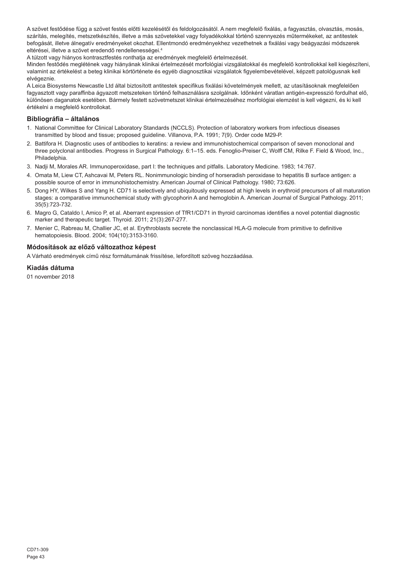A szövet festődése függ a szövet festés előtti kezelésétől és feldolgozásától. A nem megfelelő fixálás, a fagyasztás, olvasztás, mosás, szárítás, melegítés, metszetkészítés, illetve a más szövetekkel vagy folyadékokkal történő szennyezés műtermékeket, az antitestek befogását, illetve álnegatív eredményeket okozhat. Ellentmondó eredményekhez vezethetnek a fixálási vagy beágyazási módszerek eltérései, illetve a szövet eredendő rendellenességei.<sup>4</sup>

A túlzott vagy hiányos kontrasztfestés ronthatja az eredmények megfelelő értelmezését.

Minden festődés meglétének vagy hiányának klinikai értelmezését morfológiai vizsgálatokkal és megfelelő kontrollokkal kell kiegészíteni, valamint az értékelést a beteg klinikai kórtörténete és egyéb diagnosztikai vizsgálatok figyelembevételével, képzett patológusnak kell elvégeznie.

A Leica Biosystems Newcastle Ltd által biztosított antitestek specifikus fixálási követelmények mellett, az utasításoknak megfelelően fagyasztott vagy paraffinba ágyazott metszeteken történő felhasználásra szolgálnak. Időnként váratlan antigén-expresszió fordulhat elő, különösen daganatok esetében. Bármely festett szövetmetszet klinikai értelmezéséhez morfológiai elemzést is kell végezni, és ki kell értékelni a megfelelő kontrollokat.

## **Bibliográfia – általános**

- 1. National Committee for Clinical Laboratory Standards (NCCLS). Protection of laboratory workers from infectious diseases transmitted by blood and tissue; proposed guideline. Villanova, P.A. 1991; 7(9). Order code M29-P.
- 2. Battifora H. Diagnostic uses of antibodies to keratins: a review and immunohistochemical comparison of seven monoclonal and three polyclonal antibodies. Progress in Surgical Pathology. 6:1–15. eds. Fenoglio-Preiser C, Wolff CM, Rilke F. Field & Wood, Inc., Philadelphia.
- 3. Nadji M, Morales AR. Immunoperoxidase, part I: the techniques and pitfalls. Laboratory Medicine. 1983; 14:767.
- 4. Omata M, Liew CT, Ashcavai M, Peters RL. Nonimmunologic binding of horseradish peroxidase to hepatitis B surface antigen: a possible source of error in immunohistochemistry. American Journal of Clinical Pathology. 1980; 73:626.
- 5. Dong HY, Wilkes S and Yang H. CD71 is selectively and ubiquitously expressed at high levels in erythroid precursors of all maturation stages: a comparative immunochemical study with glycophorin A and hemoglobin A. American Journal of Surgical Pathology. 2011; 35(5):723-732.
- 6. Magro G, Cataldo I, Amico P, et al. Aberrant expression of TfR1/CD71 in thyroid carcinomas identifies a novel potential diagnostic marker and therapeutic target. Thyroid. 2011; 21(3):267-277.
- 7. Menier C, Rabreau M, Challier JC, et al. Erythroblasts secrete the nonclassical HLA-G molecule from primitive to definitive hematopoiesis. Blood. 2004; 104(10):3153-3160.

## **Módosítások az előző változathoz képest**

A Várható eredmények című rész formátumának frissítése, lefordított szöveg hozzáadása.

## **Kiadás dátuma**

01 november 2018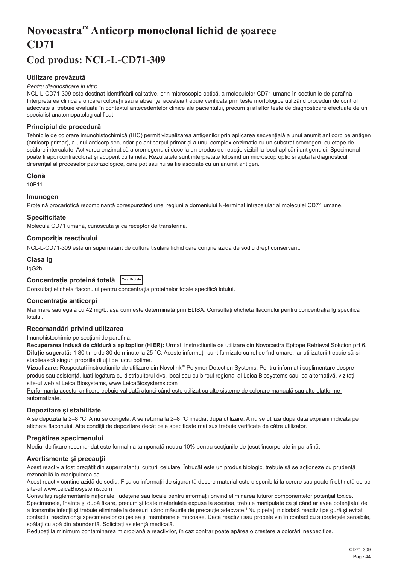# <span id="page-44-0"></span>**Novocastra™ Anticorp monoclonal lichid de șoarece CD71**

## **Cod produs: NCL-L-CD71-309**

## **Utilizare prevăzută**

#### *Pentru diagnosticare in vitro.*

NCL-L-CD71-309 este destinat identificării calitative, prin microscopie optică, a moleculelor CD71 umane în secțiunile de parafină Interpretarea clinică a oricărei coloraţii sau a absenţei acesteia trebuie verificată prin teste morfologice utilizând proceduri de control adecvate şi trebuie evaluată în contextul antecedentelor clinice ale pacientului, precum şi al altor teste de diagnosticare efectuate de un specialist anatomopatolog calificat.

#### **Principiul de procedură**

Tehnicile de colorare imunohistochimică (IHC) permit vizualizarea antigenilor prin aplicarea secvențială a unui anumit anticorp pe antigen (anticorp primar), a unui anticorp secundar pe anticorpul primar și a unui complex enzimatic cu un substrat cromogen, cu etape de spălare intercalate. Activarea enzimatică a cromogenului duce la un produs de reacție vizibil la locul aplicării antigenului. Specimenul poate fi apoi contracolorat și acoperit cu lamelă. Rezultatele sunt interpretate folosind un microscop optic și ajută la diagnosticul diferențial al proceselor patofiziologice, care pot sau nu să fie asociate cu un anumit antigen.

#### **Clonă**

10F11

#### **Imunogen**

Proteină procariotică recombinantă corespunzând unei regiuni a domeniului N-terminal intracelular al moleculei CD71 umane.

#### **Specificitate**

Moleculă CD71 umană, cunoscută și ca receptor de transferină.

### **Compoziția reactivului**

NCL-L-CD71-309 este un supernatant de cultură tisulară lichid care conține azidă de sodiu drept conservant.

## **Clasa Ig**

IgG2b

## **Concentrație proteină totală Total Protein**

Consultați eticheta flaconului pentru concentrația proteinelor totale specifică lotului.

#### **Concentrație anticorpi**

Mai mare sau egală cu 42 mg/L, asa cum este determinată prin ELISA. Consultati eticheta flaconului pentru concentratia Ig specifică lotului.

#### **Recomandări privind utilizarea**

#### Imunohistochimie pe secțiuni de parafină.

**Recuperarea indusă de căldură a epitopilor (HIER):** Urmați instrucțiunile de utilizare din Novocastra Epitope Retrieval Solution pH 6. **Diluție sugerată:** 1:80 timp de 30 de minute la 25 °C. Aceste informații sunt furnizate cu rol de îndrumare, iar utilizatorii trebuie să-și stabilească singuri propriile diluții de lucru optime.

**Vizualizare:** Respectați instrucțiunile de utilizare din Novolink™ Polymer Detection Systems. Pentru informații suplimentare despre produs sau asistență, luați legătura cu distribuitorul dvs. local sau cu biroul regional al Leica Biosystems sau, ca alternativă, vizitați site-ul web al Leica Biosystems, www.LeicaBiosystems.com

Performanța acestui anticorp trebuie validată atunci când este utilizat cu alte sisteme de colorare manuală sau alte platforme automatizate.

#### **Depozitare și stabilitate**

A se depozita la 2–8 °C. A nu se congela. A se returna la 2–8 °C imediat după utilizare. A nu se utiliza după data expirării indicată pe eticheta flaconului. Alte condiții de depozitare decât cele specificate mai sus trebuie verificate de către utilizator.

## **Pregătirea specimenului**

Mediul de fixare recomandat este formalină tamponată neutru 10% pentru secțiunile de țesut încorporate în parafină.

#### **Avertismente și precauții**

Acest reactiv a fost pregătit din supernatantul culturii celulare. Întrucât este un produs biologic, trebuie să se actioneze cu prudentă rezonabilă la manipularea sa.

Acest reactiv conține azidă de sodiu. Fișa cu informații de siguranță despre material este disponibilă la cerere sau poate fi obținută de pe site-ul www.LeicaBiosystems.com

Consultați reglementările naționale, județene sau locale pentru informații privind eliminarea tuturor componentelor potențial toxice. Specimenele, înainte și după fixare, precum și toate materialele expuse la acestea, trebuie manipulate ca și când ar avea potentialul de a transmite infecții și trebuie eliminate la deșeuri luând măsurile de precauție adecvate.<sup>1</sup>Nu pipetați niciodată reactivii pe gură și evitați contactul reactivilor și specimenelor cu pielea și membranele mucoase. Dacă reactivii sau probele vin în contact cu suprafețele sensibile, spălați cu apă din abundență. Solicitați asistență medicală.

Reduceți la minimum contaminarea microbiană a reactivilor, în caz contrar poate apărea o creștere a colorării nespecifice.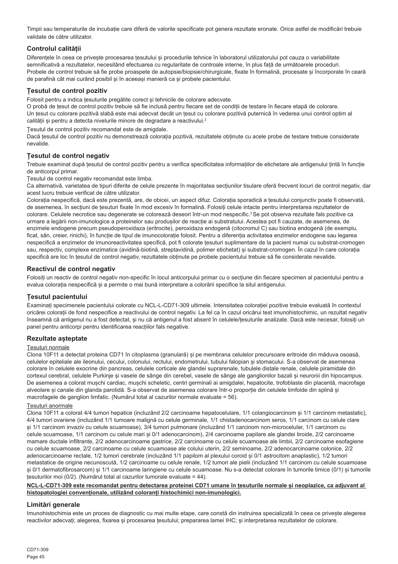Timpii sau temperaturile de incubație care diferă de valorile specificate pot genera rezultate eronate. Orice astfel de modificări trebuie validate de către utilizator.

## **Controlul calității**

Diferentele în ceea ce priveste procesarea tesutului și procedurile tehnice în laboratorul utilizatorului pot cauza o variabilitate semnificativă a rezultatelor, necesitând efectuarea cu regularitate de controale interne, în plus față de următoarele proceduri. Probele de control trebuie să fie probe proaspete de autopsie/biopsie/chirurgicale, fixate în formalină, procesate și încorporate în ceară de parafină cât mai curând posibil și în aceeași manieră ca și probele pacientului.

## **Țesutul de control pozitiv**

Folosit pentru a indica țesuturile pregătite corect și tehnicile de colorare adecvate.

O probă de țesut de control pozitiv trebuie să fie inclusă pentru fiecare set de condiții de testare în fiecare etapă de colorare. Un țesut cu colorare pozitivă slabă este mai adecvat decât un țesut cu colorare pozitivă puternică în vederea unui control optim al calității și pentru a detecta nivelurile minore de degradare a reactivului.<sup>2</sup>

Țesutul de control pozitiv recomandat este de amigdale.

Dacă țesutul de control pozitiv nu demonstrează colorația pozitivă, rezultatele obținute cu acele probe de testare trebuie considerate nevalide.

## **Țesutul de control negativ**

Trebuie examinat după țesutul de control pozitiv pentru a verifica specificitatea informațiilor de etichetare ale antigenului țintă în funcție de anticorpul primar.

Țesutul de control negativ recomandat este limba.

Ca alternativă, varietatea de tipuri diferite de celule prezente în majoritatea secțiunilor tisulare oferă frecvent locuri de control negativ, dar acest lucru trebuie verificat de către utilizator.

Colorația nespecifică, dacă este prezentă, are, de obicei, un aspect difuz. Colorația sporadică a tesutului conjunctiv poate fi observată, de asemenea, în secțiuni de țesuturi fixate în mod excesiv în formalină. Folosiți celule intacte pentru interpretarea rezultatelor de colorare. Celulele necrotice sau degenerate se colorează deseori într-un mod nespecific.<sup>3</sup> Se pot observa rezultate fals pozitive ca urmare a legării non-imunologice a proteinelor sau produșilor de reacție ai substratului. Acestea pot fi cauzate, de asemenea, de enzimele endogene precum pseudoperoxidaza (eritrocite), peroxidaza endogenă (citocromul C) sau biotina endogenă (de exemplu, ficat, sân, creier, rinichi), în funcție de tipul de imunocolorație folosit. Pentru a diferenția activitatea enzimelor endogene sau legarea nespecifică a enzimelor de imunoreactivitatea specifică, pot fi colorate țesuturi suplimentare de la pacient numai cu substrat-cromogen sau, respectiv, complexe enzimatice (avidină-biotină, streptavidină, polimer etichetat) și substrat-cromogen. În cazul în care colorația specifică are loc în țesutul de control negativ, rezultatele obținute pe probele pacientului trebuie să fie considerate nevalide.

### **Reactivul de control negativ**

Folosiți un reactiv de control negativ non-specific în locul anticorpului primar cu o secțiune din fiecare specimen al pacientului pentru a evalua colorația nespecifică și a permite o mai bună interpretare a colorării specifice la situl antigenului.

## **Țesutul pacientului**

Examinați specimenele pacientului colorate cu NCL-L-CD71-309 ultimele. Intensitatea colorației pozitive trebuie evaluată în contextul oricărei colorații de fond nespecifice a reactivului de control negativ. La fel ca în cazul oricărui test imunohistochimic, un rezultat negativ înseamnă că antigenul nu a fost detectat, și nu că antigenul a fost absent în celulele/țesuturile analizate. Dacă este necesar, folosiți un panel pentru anticorpi pentru identificarea reacțiilor fals negative.

### **Rezultate așteptate**

## Țesuturi normale

Clona 10F11 a detectat proteina CD71 în citoplasma (granulară) și pe membrana celulelor precursoare eritroide din măduva osoasă, celulelor epiteliale ale ileonului, cecului, colonului, rectului, endometrului, tubului falopian și stomacului. S-a observat de asemenea colorare în celulele exocrine din pancreas, celulele corticale ale glandei suprarenale, tubulele distale renale, celulele piramidale din cortexul cerebral, celulele Purkinje și vasele de sânge din cerebel, vasele de sânge ale ganglionilor bazali și neuronii din hipocampus. De asemenea a colorat muschi cardiac, muschi scheletic, centri germinali ai amigdalei, hepatocite, trofoblaste din placentă, macrofage alveolare și canale din glanda parotidă. S-a observat de asemenea colorare într-o proporție din celulele limfoide din splină și macrofagele de ganglion limfatic. (Numărul total al cazurilor normale evaluate = 56).

#### Țesuturi anormale

Clona 10F11 a colorat 4/4 tumori hepatice (incluzând 2/2 carcinoame hepatocelulare, 1/1 colangiocarcinom și 1/1 carcinom metastatic), 4/4 tumori ovariene (incluzând 1/1 tumoare malignă cu celule germinale, 1/1 chistadenocarcinom seros, 1/1 carcinom cu celule clare și 1/1 carcinom invaziv cu celule scuamoase), 3/4 tumori pulmonare (incluzând 1/1 carcinom non-microcelular, 1/1 carcinom cu celule scuamoase, 1/1 carcinom cu celule mari și 0/1 adenocarcinom), 2/4 carcinoame papilare ale glandei tiroide, 2/2 carcinoame mamare ductale infiltrante, 2/2 adenocarcinoame gastrice, 2/2 carcinoame cu celule scuamoase ale limbii, 2/2 carcinoame esofagiene cu celule scuamoase, 2/2 carcinoame cu celule scuamoase ale colului uterin, 2/2 seminoame, 2/2 adenocarcinoame colonice, 2/2 adenocarcinoame rectale, 1/2 tumori cerebrale (incluzând 1/1 papilom al plexului coroid și 0/1 astrocitom anaplastic), 1/2 tumori metastatice de origine necunoscută, 1/2 carcinoame cu celule renale, 1/2 tumori ale pielii (incluzând 1/1 carcinom cu celule scuamoase și 0/1 dermatofibrosarcom) și 1/1 carcinoame laringiene cu celule scuamoase. Nu s-a detectat colorare în tumorile timice (0/1) și tumorile țesuturilor moi (0/2). (Numărul total al cazurilor tumorale evaluate = 44).

#### **NCL-L-CD71-309 este recomandat pentru detectarea proteinei CD71 umane în țesuturile normale și neoplazice, ca adjuvant al histopatologiei convenționale, utilizând coloranți histochimici non-imunologici.**

### **Limitări generale**

Imunohistochimia este un proces de diagnostic cu mai multe etape, care constă din instruirea specializată în ceea ce privește alegerea reactivilor adecvați; alegerea, fixarea și procesarea țesutului; prepararea lamei IHC; și interpretarea rezultatelor de colorare.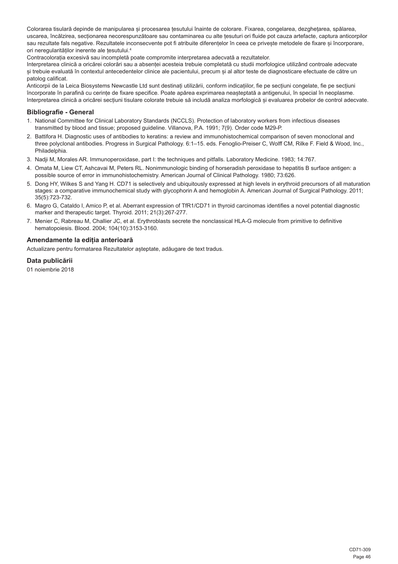Colorarea tisulară depinde de manipularea și procesarea țesutului înainte de colorare. Fixarea, congelarea, dezghețarea, spălarea, uscarea, încălzirea, secționarea necorespunzătoare sau contaminarea cu alte țesuturi ori fluide pot cauza artefacte, captura anticorpilor sau rezultate fals negative. Rezultatele inconsecvente pot fi atribuite diferențelor în ceea ce privește metodele de fixare și încorporare. ori neregularităților inerente ale țesutului.<sup>4</sup>

Contracolorația excesivă sau incompletă poate compromite interpretarea adecvată a rezultatelor.

Interpretarea clinică a oricărei colorări sau a absenței acesteia trebuie completată cu studii morfologice utilizând controale adecvate și trebuie evaluată în contextul antecedentelor clinice ale pacientului, precum și al altor teste de diagnosticare efectuate de către un patolog calificat.

Anticorpii de la Leica Biosystems Newcastle Ltd sunt destinați utilizării, conform indicațiilor, fie pe secțiuni congelate, fie pe secțiuni încorporate în parafină cu cerințe de fixare specifice. Poate apărea exprimarea neașteptată a antigenului, în special în neoplasme. Interpretarea clinică a oricărei secțiuni tisulare colorate trebuie să includă analiza morfologică și evaluarea probelor de control adecvate.

### **Bibliografie - General**

- 1. National Committee for Clinical Laboratory Standards (NCCLS). Protection of laboratory workers from infectious diseases transmitted by blood and tissue; proposed guideline. Villanova, P.A. 1991; 7(9). Order code M29-P.
- 2. Battifora H. Diagnostic uses of antibodies to keratins: a review and immunohistochemical comparison of seven monoclonal and three polyclonal antibodies. Progress in Surgical Pathology. 6:1–15. eds. Fenoglio-Preiser C, Wolff CM, Rilke F. Field & Wood, Inc., Philadelphia.
- 3. Nadji M, Morales AR. Immunoperoxidase, part I: the techniques and pitfalls. Laboratory Medicine. 1983; 14:767.
- 4. Omata M, Liew CT, Ashcavai M, Peters RL. Nonimmunologic binding of horseradish peroxidase to hepatitis B surface antigen: a possible source of error in immunohistochemistry. American Journal of Clinical Pathology. 1980; 73:626.
- 5. Dong HY, Wilkes S and Yang H. CD71 is selectively and ubiquitously expressed at high levels in erythroid precursors of all maturation stages: a comparative immunochemical study with glycophorin A and hemoglobin A. American Journal of Surgical Pathology. 2011; 35(5):723-732.
- 6. Magro G, Cataldo I, Amico P, et al. Aberrant expression of TfR1/CD71 in thyroid carcinomas identifies a novel potential diagnostic marker and therapeutic target. Thyroid. 2011; 21(3):267-277.
- 7. Menier C, Rabreau M, Challier JC, et al. Erythroblasts secrete the nonclassical HLA-G molecule from primitive to definitive hematopoiesis. Blood. 2004; 104(10):3153-3160.

### **Amendamente la ediția anterioară**

Actualizare pentru formatarea Rezultatelor așteptate, adăugare de text tradus.

### **Data publicării**

01 noiembrie 2018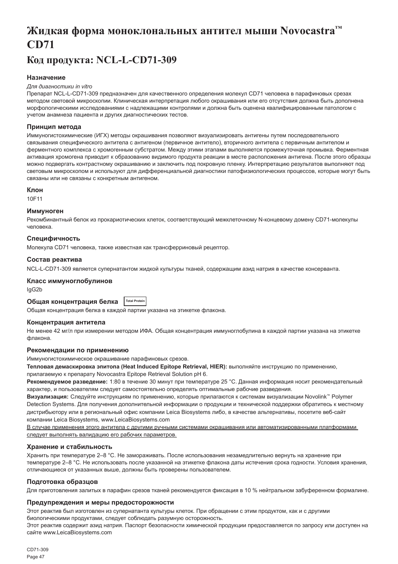# <span id="page-47-0"></span>**Жидкая форма моноклональных антител мыши Novocastra™ CD71**

## **Код продукта: NCL-L-CD71-309**

## **Назначение**

#### *Для диагностики in vitro*

Препарат NCL-L-CD71-309 предназначен для качественного определения молекул CD71 человека в парафиновых срезах методом световой микроскопии. Клиническая интерпретация любого окрашивания или его отсутствия должна быть дополнена морфологическими исследованиями с надлежащими контролями и должна быть оценена квалифицированным патологом с учетом анамнеза пациента и других диагностических тестов.

#### **Принцип метода**

Иммуногистохимические (ИГХ) методы окрашивания позволяют визуализировать антигены путем последовательного связывания специфического антитела с антигеном (первичное антитело), вторичного антитела с первичным антителом и ферментного комплекса с хромогенным субстратом. Между этими этапами выполняется промежуточная промывка. Ферментная активация хромогена приводит к образованию видимого продукта реакции в месте расположения антигена. После этого образцы можно подвергать контрастному окрашиванию и заключить под покровную пленку. Интерпретацию результатов выполняют под световым микроскопом и используют для дифференциальной диагностики патофизиологических процессов, которые могут быть связаны или не связаны с конкретным антигеном.

#### **Клон**

10F11

#### **Иммуноген**

Рекомбинантный белок из прокариотических клеток, соответствующий межклеточному N-концевому домену CD71-молекулы человека.

#### **Специфичность**

Молекула CD71 человека, также известная как трансферриновый рецептор.

#### **Состав реактива**

NCL-L-CD71-309 является супернатантом жидкой культуры тканей, содержащим азид натрия в качестве консерванта.

#### **Класс иммуноглобулинов**

IgG2b

## **Общая концентрация белка Total Protein**

Общая концентрация белка в каждой партии указана на этикетке флакона.

#### **Концентрация антитела**

Не менее 42 мг/л при измерении методом ИФА. Общая концентрация иммуноглобулина в каждой партии указана на этикетке флакона.

### **Рекомендации по применению**

Иммуногистохимическое окрашивание парафиновых срезов.

**Тепловая демаскировка эпитопа (Heat Induced Epitope Retrieval, HIER):** выполняйте инструкцию по применению, прилагаемую к препарату Novocastra Epitope Retrieval Solution pH 6.

**Рекомендуемое разведение:** 1:80 в течение 30 минут при температуре 25 °C. Данная информация носит рекомендательный характер, и пользователям следует самостоятельно определять оптимальные рабочие разведения.

**Визуализация:** Следуйте инструкциям по применению, которые прилагаются к системам визуализации Novolink™ Polymer Detection Systems. Для получения дополнительной информации о продукции и технической поддержки обратитесь к местному дистрибьютору или в региональный офис компании Leica Biosystems либо, в качестве альтернативы, посетите веб-сайт компании Leica Biosystems, www.LeicaBiosystems.com

В случае применения этого антитела с другими ручными системами окрашивания или автоматизированными платформами следует выполнять валидацию его рабочих параметров.

### **Хранение и стабильность**

Хранить при температуре 2–8 °C. Не замораживать. После использования незамедлительно вернуть на хранение при температуре 2–8 °C. Не использовать после указанной на этикетке флакона даты истечения срока годности. Условия хранения, отличающиеся от указанных выше, должны быть проверены пользователем.

#### **Подготовка образцов**

Для приготовления залитых в парафин срезов тканей рекомендуется фиксация в 10 % нейтральном забуференном формалине.

#### **Предупреждения и меры предосторожности**

Этот реактив был изготовлен из супернатанта культуры клеток. При обращении с этим продуктом, как и с другими биологическими продуктами, следует соблюдать разумную осторожность.

Этот реактив содержит азид натрия. Паспорт безопасности химической продукции предоставляется по запросу или доступен на сайте www.LeicaBiosystems.com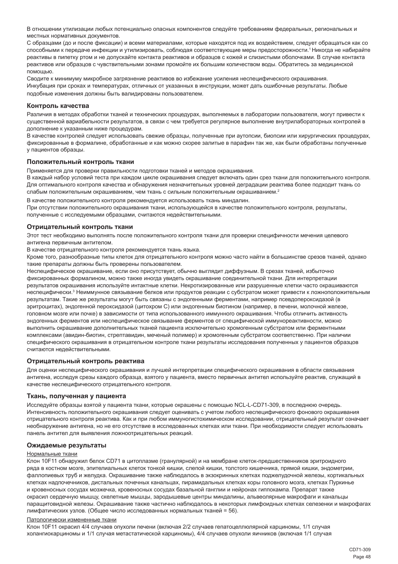В отношении утилизации любых потенциально опасных компонентов следуйте требованиям федеральных, региональных и местных нормативных документов.

С образцами (до и после фиксации) и всеми материалами, которые находятся под их воздействием, следует обращаться как со способными к передаче инфекции и утилизировать, соблюдая соответствующие меры предосторожности.<sup>1</sup>Никогда не набирайте реактивы в пипетку ртом и не допускайте контакта реактивов и образцов с кожей и слизистыми оболочками. В случае контакта реактивов или образцов с чувствительными зонами промойте их большим количеством воды. Обратитесь за медицинской помощью.

Сводите к минимуму микробное загрязнение реактивов во избежание усиления неспецифического окрашивания. Инкубация при сроках и температурах, отличных от указанных в инструкции, может дать ошибочные результаты. Любые подобные изменения должны быть валидированы пользователем.

#### **Контроль качества**

Различия в методах обработки тканей и технических процедурах, выполняемых в лаборатории пользователя, могут привести к существенной вариабельности результатов, в связи с чем требуется регулярное выполнение внутрилабораторных контролей в дополнение к указанным ниже процедурам.

В качестве контролей следует использовать свежие образцы, полученные при аутопсии, биопсии или хирургических процедурах, фиксированные в формалине, обработанные и как можно скорее залитые в парафин так же, как были обработаны полученные у пациентов образцы.

#### **Положительный контроль ткани**

Применяется для проверки правильности подготовки тканей и методов окрашивания.

В каждый набор условий теста при каждом цикле окрашивания следует включать один срез ткани для положительного контроля. Для оптимального контроля качества и обнаружения незначительных уровней деградации реактива более подходит ткань со слабым положительным окрашиванием, чем ткань с сильным положительным окрашиванием.<sup>2</sup>

В качестве положительного контроля рекомендуется использовать ткань миндалин. При отсутствии положительного окрашивания ткани, использующейся в качестве положительного контроля, результаты, полученные с исследуемыми образцами, считаются недействительными.

#### **Отрицательный контроль ткани**

Этот тест необходимо выполнять после положительного контроля ткани для проверки специфичности мечения целевого антигена первичным антителом.

В качестве отрицательного контроля рекомендуется ткань языка.

Кроме того, разнообразные типы клеток для отрицательного контроля можно часто найти в большинстве срезов тканей, однако такие препараты должны быть проверены пользователем.

Неспецифическое окрашивание, если оно присутствует, обычно выглядит диффузным. В срезах тканей, избыточно фиксированных формалином, можно также иногда увидеть окрашивание соединительной ткани. Для интерпретации результатов окрашивания используйте интактные клетки. Некротизированные или разрушенные клетки часто окрашиваются неспецифически.<sup>з</sup> Неиммунное связывание белков или продуктов реакции с субстратом может привести к ложноположительным результатам. Такие же результаты могут быть связаны с эндогенными ферментами, например псевдопероксидазой (в эритроцитах), эндогенной пероксидазой (цитохром C) или эндогенным биотином (например, в печени, молочной железе, головном мозге или почке) в зависимости от типа использованного иммунного окрашивания. Чтобы отличить активность эндогенных ферментов или неспецифическое связывание ферментов от специфической иммунореактивности, можно выполнить окрашивание дополнительных тканей пациента исключительно хромогенным субстратом или ферментными комплексами (авидин-биотин, стрептавидин, меченый полимер) и хромогенным субстратом соответственно. При наличии специфического окрашивания в отрицательном контроле ткани результаты исследования полученных у пациентов образцов считаются недействительными.

#### **Отрицательный контроль реактива**

Для оценки неспецифического окрашивания и лучшей интерпретации специфического окрашивания в области связывания антигена, исследуя срезы каждого образца, взятого у пациента, вместо первичных антител используйте реактив, служащий в качестве неспецифического отрицательного контроля.

#### **Ткань, полученная у пациента**

Исследуйте образцы взятой у пациента ткани, которые окрашены с помощью NCL-L-CD71-309, в последнюю очередь. Интенсивность положительного окрашивания следует оценивать с учетом любого неспецифического фонового окрашивания отрицательного контроля реактива. Как и при любом иммуногистохимическом исследовании, отрицательный результат означает необнаружение антигена, но не его отсутствие в исследованных клетках или ткани. При необходимости следует использовать панель антител для выявления ложноотрицательных реакций.

#### **Ожидаемые результаты**

#### Нормальные ткани

Клон 10F11 обнаружил белок CD71 в цитоплазме (гранулярной) и на мембране клеток-предшественников эритроидного ряда в костном мозге, эпителиальных клеток тонкой кишки, слепой кишки, толстого кишечника, прямой кишки, эндометрии, фаллопиевых труб и желудка. Окрашивание также наблюдалось в экзокринных клетках поджелудочной железы, кортикальных клетках надпочечников, дистальных почечных канальцах, пирамидальных клетках коры головного мозга, клетках Пуркинье и кровеносных сосудах мозжечка, кровеносных сосудах базальной ганглии и нейронах гиппокампа. Препарат также окрасил сердечную мышцу, скелетные мышцы, зародышевые центры миндалины, альвеолярные макрофаги и канальцы паращитовидной железы. Окрашивание также частично наблюдалось в некоторых лимфоидных клетках селезенки и макрофагах лимфатических узлов. (Общее число исследованных нормальных тканей = 56).

#### Патологически измененные ткани

Клон 10F11 окрасил 4/4 случаев опухоли печени (включая 2/2 случаев гепатоцеллюлярной карциномы, 1/1 случая холангиокарциномы и 1/1 случая метастатической карциномы), 4/4 случаев опухоли яичников (включая 1/1 случая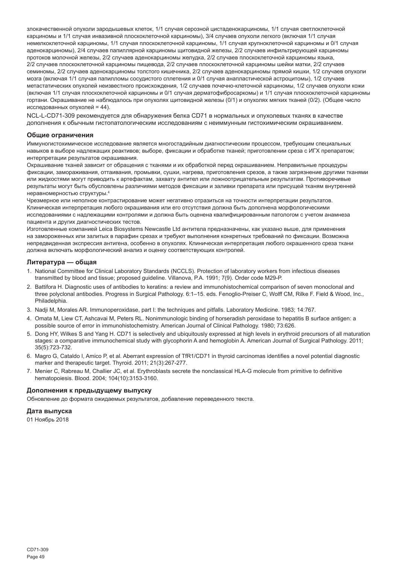злокачественной опухоли зародышевых клеток, 1/1 случая серозной цистаденокарциномы, 1/1 случая светлоклеточной карциномы и 1/1 случая инвазивной плоскоклеточной карциномы), 3/4 случаев опухоли легкого (включая 1/1 случая немелкоклеточной карциномы, 1/1 случая плоскоклеточной карциномы, 1/1 случая крупноклеточной карциномы и 0/1 случая аденокарциномы), 2/4 случаев папиллярной карциномы щитовидной железы, 2/2 случаев инфильтрирующей карциномы протоков молочной железы, 2/2 случаев аденокарциномы желудка, 2/2 случаев плоскоклеточной карциномы языка, 2/2 случаев плоскоклеточной карциномы пищевода, 2/2 случаев плоскоклеточной карциномы шейки матки, 2/2 случаев семиномы, 2/2 случаев аденокарциномы толстого кишечника, 2/2 случаев аденокарциномы прямой кишки, 1/2 случаев опухоли мозга (включая 1/1 случая папилломы сосудистого сплетения и 0/1 случая анапластической астроцитомы), 1/2 случаев метастатических опухолей неизвестного происхождения, 1/2 случаев почечно-клеточной карциномы, 1/2 случаев опухоли кожи (включая 1/1 случая плоскоклеточной карциномы и 0/1 случая дерматофибросаркомы) и 1/1 случая плоскоклеточной карциномы гортани. Окрашивание не наблюдалось при опухолях щитовидной железы (0/1) и опухолях мягких тканей (0/2). (Общее число исследованных опухолей = 44).

NCL-L-CD71-309 рекомендуется для обнаружения белка CD71 в нормальных и опухолевых тканях в качестве дополнения к обычным гистопатологическим исследованиям с неиммунным гистохимическим окрашиванием.

#### **Общие ограничения**

Иммуногистохимическое исследование является многостадийным диагностическим процессом, требующим специальных навыков в выборе надлежащих реактивов; выборе, фиксации и обработке тканей; приготовлении среза с ИГХ препаратом; интерпретации результатов окрашивания.

Окрашивание тканей зависит от обращения с тканями и их обработкой перед окрашиванием. Неправильные процедуры фиксации, замораживания, оттаивания, промывки, сушки, нагрева, приготовления срезов, а также загрязнение другими тканями или жидкостями могут приводить к артефактам, захвату антител или ложноотрицательным результатам. Противоречивые результаты могут быть обусловлены различиями методов фиксации и заливки препарата или присущей тканям внутренней неравномерностью структуры.<sup>4</sup>

Чрезмерное или неполное контрастирование может негативно отразиться на точности интерпретации результатов. Клиническая интерпретация любого окрашивания или его отсутствия должна быть дополнена морфологическими исследованиями с надлежащими контролями и должна быть оценена квалифицированным патологом с учетом анамнеза пациента и других диагностических тестов.

Изготовленные компанией Leica Biosystems Newcastle Ltd антитела предназначены, как указано выше, для применения на замороженных или залитых в парафин срезах и требуют выполнения конкретных требований по фиксации. Возможна непредвиденная экспрессия антигена, особенно в опухолях. Клиническая интерпретация любого окрашенного среза ткани должна включать морфологический анализ и оценку соответствующих контролей.

#### **Литература — общая**

- 1. National Committee for Clinical Laboratory Standards (NCCLS). Protection of laboratory workers from infectious diseases transmitted by blood and tissue; proposed guideline. Villanova, P.A. 1991; 7(9). Order code M29-P.
- 2. Battifora H. Diagnostic uses of antibodies to keratins: a review and immunohistochemical comparison of seven monoclonal and three polyclonal antibodies. Progress in Surgical Pathology. 6:1–15. eds. Fenoglio-Preiser C, Wolff CM, Rilke F. Field & Wood, Inc., Philadelphia.
- 3. Nadji M, Morales AR. Immunoperoxidase, part I: the techniques and pitfalls. Laboratory Medicine. 1983; 14:767.
- 4. Omata M, Liew CT, Ashcavai M, Peters RL. Nonimmunologic binding of horseradish peroxidase to hepatitis B surface antigen: a possible source of error in immunohistochemistry. American Journal of Clinical Pathology. 1980; 73:626.
- 5. Dong HY, Wilkes S and Yang H. CD71 is selectively and ubiquitously expressed at high levels in erythroid precursors of all maturation stages: a comparative immunochemical study with glycophorin A and hemoglobin A. American Journal of Surgical Pathology. 2011; 35(5):723-732.
- 6. Magro G, Cataldo I, Amico P, et al. Aberrant expression of TfR1/CD71 in thyroid carcinomas identifies a novel potential diagnostic marker and therapeutic target. Thyroid. 2011; 21(3):267-277.
- 7. Menier C, Rabreau M, Challier JC, et al. Erythroblasts secrete the nonclassical HLA-G molecule from primitive to definitive hematopoiesis. Blood. 2004; 104(10):3153-3160.

#### **Дополнения к предыдущему выпуску**

Обновление до формата ожидаемых результатов, добавление переведенного текста.

#### **Дата выпуска**

01 Ноябрь 2018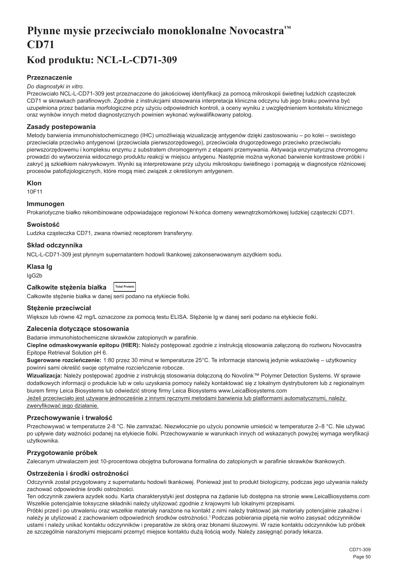# <span id="page-50-0"></span>**Płynne mysie przeciwciało monoklonalne Novocastra™ CD71**

## **Kod produktu: NCL-L-CD71-309**

## **Przeznaczenie**

#### *Do diagnostyki in vitro.*

Przeciwciało NCL-L-CD71-309 jest przeznaczone do jakościowej identyfikacji za pomocą mikroskopii świetlnej ludzkich cząsteczek CD71 w skrawkach parafinowych. Zgodnie z instrukcjami stosowania interpretacja kliniczna odczynu lub jego braku powinna być uzupełniona przez badania morfologiczne przy użyciu odpowiednich kontroli, a oceny wyniku z uwzględnieniem kontekstu klinicznego oraz wyników innych metod diagnostycznych powinien wykonać wykwalifikowany patolog.

### **Zasady postepowania**

Metody barwienia immunohistochemicznego (IHC) umożliwiają wizualizację antygenów dzięki zastosowaniu – po kolei – swoistego przeciwciała przeciwko antygenowi (przeciwciała pierwszorzędowego), przeciwciała drugorzędowego przeciwko przeciwciału pierwszorzędowemu i kompleksu enzymu z substratem chromogennym z etapami przemywania. Aktywacja enzymatyczna chromogenu prowadzi do wytworzenia widocznego produktu reakcji w miejscu antygenu. Następnie można wykonać barwienie kontrastowe próbki i zakryć ją szkiełkiem nakrywkowym. Wyniki są interpretowane przy użyciu mikroskopu świetlnego i pomagają w diagnostyce różnicowej procesów patofizjologicznych, które mogą mieć związek z określonym antygenem.

### **Klon**

10F11

### **Immunogen**

Prokariotyczne białko rekombinowane odpowiadające regionowi N-końca domeny wewnątrzkomórkowej ludzkiej cząsteczki CD71.

### **Swoistość**

Ludzka cząsteczka CD71, zwana również receptorem transferyny.

## **Skład odczynnika**

NCL-L-CD71-309 jest płynnym supernatantem hodowli tkankowej zakonserwowanym azydkiem sodu.

### **Klasa Ig**

IgG2b

| Całkowite stężenia białka | <b>Total Protein</b> |
|---------------------------|----------------------|
|---------------------------|----------------------|

Całkowite stężenie białka w danej serii podano na etykiecie fiolki.

### **Stężenie przeciwciał**

Większe lub równe 42 mg/L oznaczone za pomocą testu ELISA. Stężenie lg w danej serii podano na etykiecie fiolki.

### **Zalecenia dotyczące stosowania**

Badanie immunohistochemiczne skrawków zatopionych w parafinie.

**Cieplne odmaskowywanie epitopu (HIER):** Należy postępować zgodnie z instrukcją stosowania załączoną do roztworu Novocastra Epitope Retrieval Solution pH 6.

**Sugerowane rozcieńczenie:** 1:80 przez 30 minut w temperaturze 25°C. Te informacje stanowią jedynie wskazówkę – użytkownicy powinni sami określić swoje optymalne rozcieńczenie robocze.

**Wizualizacja:** Należy postępować zgodnie z instrukcją stosowania dołączoną do Novolink™ Polymer Detection Systems. W sprawie dodatkowych informacji o produkcie lub w celu uzyskania pomocy należy kontaktować się z lokalnym dystrybutorem lub z regionalnym biurem firmy Leica Biosystems lub odwiedzić stronę firmy Leica Biosystems www.LeicaBiosystems.com Jeżeli przeciwciało jest używane jednocześnie z innymi ręcznymi metodami barwienia lub platformami automatycznymi, należy

zweryfikować jego działanie.

### **Przechowywanie i trwałość**

Przechowywać w temperaturze 2-8 °C. Nie zamrażać. Niezwłocznie po użyciu ponownie umieścić w temperaturze 2–8 °C. Nie używać po upływie daty ważności podanej na etykiecie fiolki. Przechowywanie w warunkach innych od wskazanych powyżej wymaga weryfikacji użytkownika.

## **Przygotowanie próbek**

Zalecanym utrwalaczem jest 10-procentowa obojętna buforowana formalina do zatopionych w parafinie skrawków tkankowych.

## **Ostrzeżenia i środki ostrożności**

Odczynnik został przygotowany z supernatantu hodowli tkankowej. Ponieważ jest to produkt biologiczny, podczas jego używania należy zachować odpowiednie środki ostrożności.

Ten odczynnik zawiera azydek sodu. Karta charakterystyki jest dostępna na żądanie lub dostępna na stronie www.LeicaBiosystems.com Wszelkie potencjalnie toksyczne składniki należy utylizować zgodnie z krajowymi lub lokalnymi przepisami.

Próbki przed i po utrwaleniu oraz wszelkie materiały narażone na kontakt z nimi należy traktować jak materiały potencjalnie zakaźne i należy je utylizować z zachowaniem odpowiednich środków ostrożności.<sup>1</sup>Podczas pobierania pipetą nie wolno zasysać odczynników ustami i należy unikać kontaktu odczynników i preparatów ze skórą oraz błonami śluzowymi. W razie kontaktu odczynników lub próbek ze szczególnie narażonymi miejscami przemyć miejsce kontaktu dużą ilością wody. Należy zasięgnąć porady lekarza.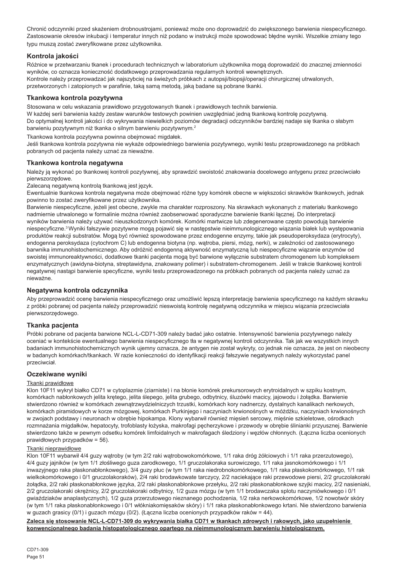Chronić odczynniki przed skażeniem drobnoustrojami, ponieważ może ono doprowadzić do zwiększonego barwienia niespecyficznego. Zastosowanie okresów inkubacji i temperatur innych niż podano w instrukcji może spowodować błędne wyniki. Wszelkie zmiany tego typu muszą zostać zweryfikowane przez użytkownika.

## **Kontrola jakości**

Różnice w przetwarzaniu tkanek i procedurach technicznych w laboratorium użytkownika mogą doprowadzić do znacznej zmienności wyników, co oznacza konieczność dodatkowego przeprowadzania regularnych kontroli wewnętrznych. Kontrole należy przeprowadzać jak najszybciej na świeżych próbkach z autopsji/biopsji/operacji chirurgicznej utrwalonych, przetworzonych i zatopionych w parafinie, taką samą metodą, jaką badane są pobrane tkanki.

## **Tkankowa kontrola pozytywna**

Stosowana w celu wskazania prawidłowo przygotowanych tkanek i prawidłowych technik barwienia.

W każdej serii barwienia każdy zestaw warunków testowych powinien uwzględniać jedną tkankową kontrolę pozytywną. Do optymalnej kontroli jakości i do wykrywania niewielkich poziomów degradacji odczynników bardziej nadaje się tkanka o słabym barwieniu pozytywnym niż tkanka o silnym barwieniu pozytywnym.<sup>2</sup>

Tkankowa kontrola pozytywna powinna obejmować migdałek.

Jeśli tkankowa kontrola pozytywna nie wykaże odpowiedniego barwienia pozytywnego, wyniki testu przeprowadzonego na próbkach pobranych od pacjenta należy uznać za nieważne.

### **Tkankowa kontrola negatywna**

Należy ją wykonać po tkankowej kontroli pozytywnej, aby sprawdzić swoistość znakowania docelowego antygenu przez przeciwciało pierwszorzędowe.

Zalecaną negatywną kontrolą tkankową jest język.

Ewentualnie tkankowa kontrola negatywna może obejmować różne typy komórek obecne w większości skrawków tkankowych, jednak powinno to zostać zweryfikowane przez użytkownika.

Barwienie niespecyficzne, jeżeli jest obecne, zwykle ma charakter rozproszony. Na skrawkach wykonanych z materiału tkankowego nadmiernie utrwalonego w formalinie można również zaobserwować sporadyczne barwienie tkanki łącznej. Do interpretacji wyników barwienia należy używać nieuszkodzonych komórek. Komórki martwicze lub zdegenerowane często powodują barwienie niespecyficzne.<sup>3</sup>Wyniki fałszywie pozytywne mogą pojawić się w następstwie nieimmunologicznego wiązania białek lub występowania produktów reakcji substratów. Mogą być również spowodowane przez endogenne enzymy, takie jak pseudoperoksydaza (erytrocyty), endogenna peroksydaza (cytochrom C) lub endogenna biotyna (np. wątroba, piersi, mózg, nerki), w zależności od zastosowanego barwnika immunohistochemicznego. Aby odróżnić endogenną aktywność enzymatyczną lub niespecyficzne wiązanie enzymów od swoistej immunoreaktywności, dodatkowe tkanki pacjenta mogą być barwione wyłącznie substratem chromogenem lub kompleksem enzymatycznych (awidyna-biotyna, streptawidyna, znakowany polimer) i substratem-chromogenem. Jeśli w trakcie tkankowej kontroli negatywnej nastąpi barwienie specyficzne, wyniki testu przeprowadzonego na próbkach pobranych od pacjenta należy uznać za nieważne.

### **Negatywna kontrola odczynnika**

Aby przeprowadzić ocenę barwienia niespecyficznego oraz umożliwić lepszą interpretację barwienia specyficznego na każdym skrawku z próbki pobranej od pacjenta należy przeprowadzić nieswoistą kontrolę negatywną odczynnika w miejscu wiązania przeciwciała pierwszorzędowego.

### **Tkanka pacjenta**

Próbki pobrane od pacjenta barwione NCL-L-CD71-309 należy badać jako ostatnie. Intensywność barwienia pozytywnego należy oceniać w kontekście ewentualnego barwienia niespecyficznego tła w negatywnej kontroli odczynnika. Tak jak we wszystkich innych badaniach immunohistochemicznych wynik ujemny oznacza, że antygen nie został wykryty, co jednak nie oznacza, że jest on nieobecny w badanych komórkach/tkankach. W razie konieczności do identyfikacji reakcji fałszywie negatywnych należy wykorzystać panel przeciwciał.

### **Oczekiwane wyniki**

### Tkanki prawidłowe

Klon 10F11 wykrył białko CD71 w cytoplazmie (ziarniste) i na błonie komórek prekursorowych erytroidalnych w szpiku kostnym, komórkach nabłonkowych jelita krętego, jelita ślepego, jelita grubego, odbytnicy, śluzówki macicy, jajowodu i żołądka. Barwienie stwierdzono również w komórkach zewnątrzwydzielniczych trzustki, komórkach kory nadnerczy, dystalnych kanalikach nerkowych, komórkach piramidowych w korze mózgowej, komórkach Purkinjego i naczyniach krwionośnych w móżdżku, naczyniach krwionośnych w zwojach podstawy i neuronach w obrębie hipokampa. Klony wybarwił również mięsień sercowy, mięśnie szkieletowe, ośrodkach rozmnażania migdałków, hepatocyty, trofoblasty łożyska, makrofagi pęcherzykowe i przewody w obrębie ślinianki przyusznej. Barwienie stwierdzono także w pewnym odsetku komórek limfoidalnych w makrofagach śledziony i węzłów chłonnych. (Łączna liczba ocenionych prawidłowych przypadków = 56).

## Tkanki nieprawidłowe

Klon 10F11 wybarwił 4/4 guzy wątroby (w tym 2/2 raki wątrobowokomórkowe, 1/1 raka dróg żółciowych i 1/1 raka przerzutowego), 4/4 guzy jajników (w tym 1/1 złośliwego guza zarodkowego, 1/1 gruczolakoraka surowiczego, 1/1 raka jasnokomórkowego i 1/1 inwazyjnego raka płaskonabłonkowego), 3/4 guzy płuc (w tym 1/1 raka niedrobnokomórkowego, 1/1 raka płaskokomórkowego, 1/1 rak wielkokomórkowego i 0/1 gruczolakoraków), 2/4 raki brodawkowate tarczycy, 2/2 naciekające raki przewodowe piersi, 2/2 gruczolakoraki żołądka, 2/2 raki płaskonabłonkowe języka, 2/2 raki płaskonabłonkowe przełyku, 2/2 raki płaskonabłonkowe szyjki macicy, 2/2 nasieniaki, 2/2 gruczolakoraki okrężnicy, 2/2 gruczolakoraki odbytnicy, 1/2 guza mózgu (w tym 1/1 brodawczaka splotu naczyniówkowego i 0/1 gwiaździaków anaplastycznych), 1/2 guza przerzutowego nieznanego pochodzenia, 1/2 raka nerkowokomórkowe, 1/2 nowotwór skóry (w tym 1/1 raka płaskonabłonkowego i 0/1 włókniakomięsaków skóry) i 1/1 raka płaskonabłonkowego krtani. Nie stwierdzono barwienia w guzach grasicy (0/1) i guzach mózgu (0/2). (Łączna liczba ocenionych przypadków raków = 44).

**Zaleca się stosowanie NCL-L-CD71-309 do wykrywania białka CD71 w tkankach zdrowych i rakowych, jako uzupełnienie konwencjonalnego badania histopatologicznego opartego na nieimmunologicznym barwieniu histologicznym.**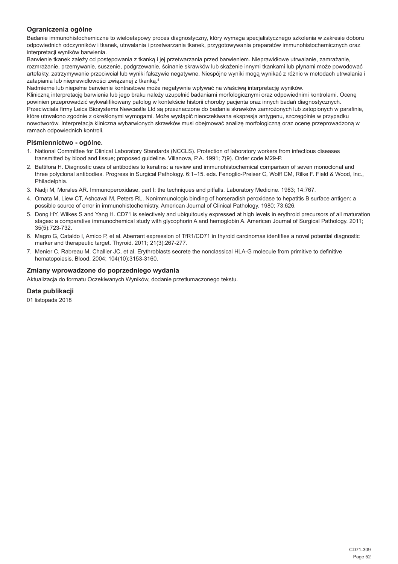## **Ograniczenia ogólne**

Badanie immunohistochemiczne to wieloetapowy proces diagnostyczny, który wymaga specjalistycznego szkolenia w zakresie doboru odpowiednich odczynników i tkanek, utrwalania i przetwarzania tkanek, przygotowywania preparatów immunohistochemicznych oraz interpretacji wyników barwienia.

Barwienie tkanek zależy od postępowania z tkanką i jej przetwarzania przed barwieniem. Nieprawidłowe utrwalanie, zamrażanie, rozmrażanie, przemywanie, suszenie, podgrzewanie, ścinanie skrawków lub skażenie innymi tkankami lub płynami może powodować artefakty, zatrzymywanie przeciwciał lub wyniki fałszywie negatywne. Niespójne wyniki mogą wynikać z różnic w metodach utrwalania i zatapiania lub nieprawidłowości związanej z tkanką.<sup>4</sup>

Nadmierne lub niepełne barwienie kontrastowe może negatywnie wpływać na właściwą interpretację wyników.

Kliniczną interpretację barwienia lub jego braku należy uzupełnić badaniami morfologicznymi oraz odpowiednimi kontrolami. Ocenę powinien przeprowadzić wykwalifikowany patolog w kontekście historii choroby pacjenta oraz innych badań diagnostycznych. Przeciwciała firmy Leica Biosystems Newcastle Ltd są przeznaczone do badania skrawków zamrożonych lub zatopionych w parafinie, które utrwalono zgodnie z określonymi wymogami. Może wystąpić nieoczekiwana ekspresja antygenu, szczególnie w przypadku nowotworów. Interpretacja kliniczna wybarwionych skrawków musi obejmować analizę morfologiczną oraz ocenę przeprowadzoną w ramach odpowiednich kontroli.

### **Piśmiennictwo - ogólne.**

- 1. National Committee for Clinical Laboratory Standards (NCCLS). Protection of laboratory workers from infectious diseases transmitted by blood and tissue; proposed guideline. Villanova, P.A. 1991; 7(9). Order code M29-P.
- 2. Battifora H. Diagnostic uses of antibodies to keratins: a review and immunohistochemical comparison of seven monoclonal and three polyclonal antibodies. Progress in Surgical Pathology. 6:1–15. eds. Fenoglio-Preiser C, Wolff CM, Rilke F. Field & Wood, Inc., Philadelphia.
- 3. Nadji M, Morales AR. Immunoperoxidase, part I: the techniques and pitfalls. Laboratory Medicine. 1983; 14:767.
- 4. Omata M, Liew CT, Ashcavai M, Peters RL. Nonimmunologic binding of horseradish peroxidase to hepatitis B surface antigen: a possible source of error in immunohistochemistry. American Journal of Clinical Pathology. 1980; 73:626.
- 5. Dong HY, Wilkes S and Yang H. CD71 is selectively and ubiquitously expressed at high levels in erythroid precursors of all maturation stages: a comparative immunochemical study with glycophorin A and hemoglobin A. American Journal of Surgical Pathology. 2011; 35(5):723-732.
- 6. Magro G, Cataldo I, Amico P, et al. Aberrant expression of TfR1/CD71 in thyroid carcinomas identifies a novel potential diagnostic marker and therapeutic target. Thyroid. 2011; 21(3):267-277.
- 7. Menier C, Rabreau M, Challier JC, et al. Erythroblasts secrete the nonclassical HLA-G molecule from primitive to definitive hematopoiesis. Blood. 2004; 104(10):3153-3160.

### **Zmiany wprowadzone do poprzedniego wydania**

Aktualizacja do formatu Oczekiwanych Wyników, dodanie przetłumaczonego tekstu.

### **Data publikacji**

01 listopada 2018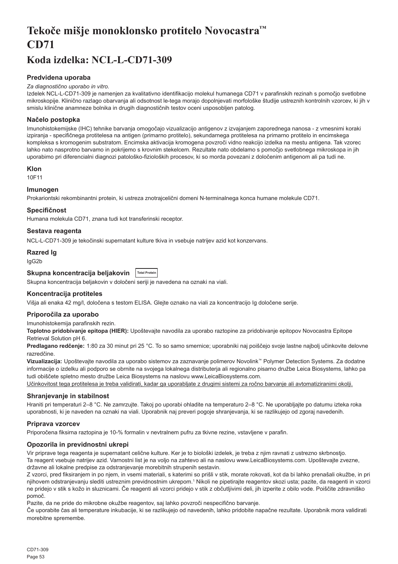# <span id="page-53-0"></span>**Tekoče mišje monoklonsko protitelo Novocastra™ CD71**

## **Koda izdelka: NCL-L-CD71-309**

## **Predvidena uporaba**

#### *Za diagnostično uporabo in vitro.*

Izdelek NCL-L-CD71-309 je namenjen za kvalitativno identifikacijo molekul humanega CD71 v parafinskih rezinah s pomočjo svetlobne mikroskopije. Klinično razlago obarvanja ali odsotnost le-tega morajo dopolnjevati morfološke študije ustreznih kontrolnih vzorcev, ki jih v smislu klinične anamneze bolnika in drugih diagnostičnih testov oceni usposobljen patolog.

## **Načelo postopka**

Imunohistokemijske (IHC) tehnike barvanja omogočajo vizualizacijo antigenov z izvajanjem zaporednega nanosa - z vmesnimi koraki izpiranja - specifičnega protitelesa na antigen (primarno protitelo), sekundarnega protitelesa na primarno protitelo in encimskega kompleksa s kromogenim substratom. Encimska aktivacija kromogena povzroči vidno reakcijo izdelka na mestu antigena. Tak vzorec lahko nato nasprotno barvamo in pokrijemo s krovnim stekelcem. Rezultate nato obdelamo s pomočjo svetlobnega mikroskopa in jih uporabimo pri diferencialni diagnozi patološko-fizioloških procesov, ki so morda povezani z določenim antigenom ali pa tudi ne.

#### **Klon**

10F11

## **Imunogen**

Prokariontski rekombinantni protein, ki ustreza znotrajcelični domeni N-terminalnega konca humane molekule CD71.

#### **Specifičnost**

Humana molekula CD71, znana tudi kot transferinski receptor.

#### **Sestava reagenta**

NCL-L-CD71-309 je tekočinski supernatant kulture tkiva in vsebuje natrijev azid kot konzervans.

### **Razred Ig**

IgG2b

## **Skupna koncentracija beljakovin Total Protein**

Skupna koncentracija beljakovin v določeni seriji je navedena na oznaki na viali.

## **Koncentracija protiteles**

Višja ali enaka 42 mg/l, določena s testom ELISA. Glejte oznako na viali za koncentracijo Ig določene serije.

#### **Priporočila za uporabo**

Imunohistokemija parafinskih rezin.

**Toplotno pridobivanje epitopa (HIER):** Upoštevajte navodila za uporabo raztopine za pridobivanje epitopov Novocastra Epitope Retrieval Solution pH 6.

**Predlagano redčenje:** 1:80 za 30 minut pri 25 °C. To so samo smernice; uporabniki naj poiščejo svoje lastne najbolj učinkovite delovne razredčine.

**Vizualizacija:** Upoštevajte navodila za uporabo sistemov za zaznavanje polimerov Novolink™ Polymer Detection Systems. Za dodatne informacije o izdelku ali podporo se obrnite na svojega lokalnega distributerja ali regionalno pisarno družbe Leica Biosystems, lahko pa tudi obiščete spletno mesto družbe Leica Biosystems na naslovu www.LeicaBiosystems.com.

Učinkovitost tega protitelesa je treba validirati, kadar ga uporabljate z drugimi sistemi za ročno barvanje ali avtomatiziranimi okolji.

### **Shranjevanje in stabilnost**

Hraniti pri temperaturi 2–8 °C. Ne zamrzujte. Takoj po uporabi ohladite na temperaturo 2–8 °C. Ne uporabljajte po datumu izteka roka uporabnosti, ki je naveden na oznaki na viali. Uporabnik naj preveri pogoje shranjevanja, ki se razlikujejo od zgoraj navedenih.

### **Priprava vzorcev**

Priporočena fiksirna raztopina je 10-% formalin v nevtralnem pufru za tkivne rezine, vstavljene v parafin.

### **Opozorila in previdnostni ukrepi**

Vir priprave tega reagenta je supernatant celične kulture. Ker je to biološki izdelek, je treba z njim ravnati z ustrezno skrbnostjo. Ta reagent vsebuje natrijev azid. Varnostni list je na voljo na zahtevo ali na naslovu www.LeicaBiosystems.com. Upoštevajte zvezne, državne ali lokalne predpise za odstranjevanje morebitnih strupenih sestavin.

Z vzorci, pred fiksiranjem in po njem, in vsemi materiali, s katerimi so prišli v stik, morate rokovati, kot da bi lahko prenašali okužbe, in pri njihovem odstranjevanju slediti ustreznim previdnostnim ukrepom.<sup>1</sup> Nikoli ne pipetirajte reagentov skozi usta; pazite, da reagenti in vzorci ne pridejo v stik s kožo in sluznicami. Če reagenti ali vzorci pridejo v stik z občutljivimi deli, jih izperite z obilo vode. Poiščite zdravniško pomoč.

Pazite, da ne pride do mikrobne okužbe reagentov, saj lahko povzroči nespecifično barvanje.

Če uporabite čas ali temperature inkubacije, ki se razlikujejo od navedenih, lahko pridobite napačne rezultate. Uporabnik mora validirati morebitne spremembe.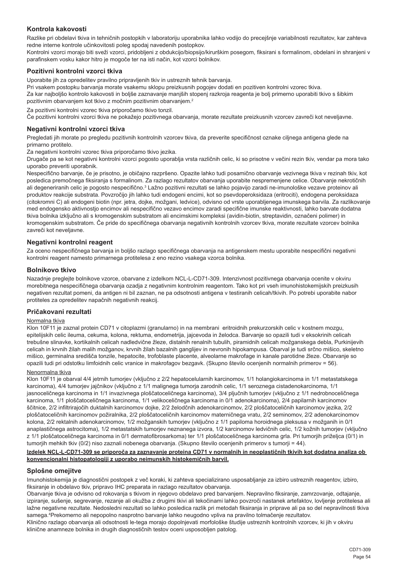## **Kontrola kakovosti**

Razlike pri obdelavi tkiva in tehničnih postopkih v laboratoriju uporabnika lahko vodijo do precejšnje variabilnosti rezultatov, kar zahteva redne interne kontrole učinkovitosti poleg spodaj navedenih postopkov.

Kontrolni vzorci morajo biti sveži vzorci, pridobljeni z obdukcijo/biopsijo/kirurškim posegom, fiksirani s formalinom, obdelani in shranjeni v parafinskem vosku kakor hitro je mogoče ter na isti način, kot vzorci bolnikov.

#### **Pozitivni kontrolni vzorci tkiva**

Uporabite jih za opredelitev pravilno pripravljenih tkiv in ustreznih tehnik barvanja.

Pri vsakem postopku barvanja morate vsakemu sklopu preizkusnih pogojev dodati en pozitiven kontrolni vzorec tkiva. Za kar najboljšo kontrolo kakovosti in boljše zaznavanje manjših stopenj razkroja reagenta je bolj primerno uporabiti tkivo s šibkim pozitivnim obarvanjem kot tkivo z močnim pozitivnim obarvanjem.<sup>2</sup>

Za pozitivni kontrolni vzorec tkiva priporočamo tkivo tonzil.

Če pozitivni kontrolni vzorci tkiva ne pokažejo pozitivnega obarvanja, morate rezultate preizkusnih vzorcev zavreči kot neveljavne.

#### **Negativni kontrolni vzorci tkiva**

Pregledati jih morate po pregledu pozitivnih kontrolnih vzorcev tkiva, da preverite specifičnost oznake ciljnega antigena glede na primarno protitelo.

Za negativni kontrolni vzorec tkiva priporočamo tkivo jezika.

Drugače pa se kot negativni kontrolni vzorci pogosto uporablja vrsta različnih celic, ki so prisotne v večini rezin tkiv, vendar pa mora tako uporabo preveriti uporabnik.

Nespecifično barvanje, če je prisotno, je običajno razpršeno. Opazite lahko tudi posamično obarvanje vezivnega tkiva v rezinah tkiv, kot posledica premočnega fiksiranja s formalinom. Za razlago rezultatov obarvanja uporabite nespremenjene celice. Obarvanje nekrotičnih ali degeneriranih celic je pogosto nespecifično.<sup>3</sup> Lažno pozitivni rezultati se lahko pojavijo zaradi ne-imunološke vezave proteinov ali produktov reakcije substrata. Povzročijo jih lahko tudi endogeni encimi, kot so psevdoperoksidaza (eritrociti), endogena peroksidaza (citokromni C) ali endogeni biotin (npr. jetra, dojke, možgani, ledvice), odvisno od vrste uporabljenega imunskega barvila. Za razlikovanje med endogensko aktivnostjo encimov ali nespecifično vezavo encimov zaradi specifične imunske reaktivnosti, lahko barvate dodatna tkiva bolnika izključno ali s kromogenskim substratom ali encimskimi kompleksi (avidin-biotin, streptavidin, označeni polimer) in kromogenskim substratom. Če pride do specifičnega obarvanja negativnih kontrolnih vzorcev tkiva, morate rezultate vzorcev bolnika zavreči kot neveljavne.

#### **Negativni kontrolni reagent**

Za oceno nespecifičnega barvanja in boljšo razlago specifičnega obarvanja na antigenskem mestu uporabite nespecifični negativni kontrolni reagent namesto primarnega protitelesa z eno rezino vsakega vzorca bolnika.

#### **Bolnikovo tkivo**

Nazadnje preglejte bolnikove vzorce, obarvane z izdelkom NCL-L-CD71-309. Intenzivnost pozitivnega obarvanja ocenite v okviru morebitnega nespecifičnega obarvanja ozadja z negativnim kontrolnim reagentom. Tako kot pri vseh imunohistokemijskih preizkusih negativen rezultat pomeni, da antigen ni bil zaznan, ne pa odsotnosti antigena v testiranih celicah/tkivih. Po potrebi uporabite nabor protiteles za opredelitev napačnih negativnih reakcij.

#### **Pričakovani rezultati**

## Normalna tkiva

Klon 10F11 je zaznal protein CD71 v citoplazmi (granularno) in na membrani eritroidnih prekurzorskih celic v kostnem mozgu, epitelijskih celic ileuma, cekuma, kolona, rektuma, endometrija, jajcevoda in želodca. Barvanje so opazili tudi v eksokrinih celicah trebušne slinavke, kortikalnih celicah nadledvične žleze, distalnih renalnih tubulih, piramidnih celicah možganskega debla, Purkinijevih celicah in krvnih žilah malih možganov, krvnih žilah bazalnih ganglijev in nevronih hipokampusa. Obarval je tudi srčno mišico, skeletno mišico, germinalna središča tonzile, hepatocite, trofoblaste placente, alveolarne makrofage in kanale parotidne žleze. Obarvanje so opazili tudi pri odstotku limfoidnih celic vranice in makrofagov bezgavk. (Skupno število ocenjenih normalnih primerov = 56).

## Nenormalna tkiva

Klon 10F11 je obarval 4/4 jetrnih tumorjev (vključno z 2/2 hepatocelularnih karcinomov, 1/1 holangiokarcinoma in 1/1 metastatskega karcinoma), 4/4 tumorjev jajčnikov (vključno z 1/1 malignega tumorja zarodnih celic, 1/1 seroznega cistadenokarcinoma, 1/1 jasnoceličnega karcinoma in 1/1 invazivnega ploščatoceličnega karcinoma), 3/4 pljučnih tumorjev (vključno z 1/1 nedrobnoceličnega karcinoma, 1/1 ploščatoceličnega karcinoma, 1/1 velikoceličnega karcinoma in 0/1 adenokarcinoma), 2/4 papilarnih karcinomov ščitnice, 2/2 infiltrirajočih duktalnih karcinomov dojke, 2/2 želodčnih adenokarcinomov, 2/2 ploščatoceličnih karcinomov jezika, 2/2 ploščatoceličnih karcinomov požiralnika, 2/2 ploščatoceličnih karcinomov materničnega vratu, 2/2 seminomov, 2/2 adenokarcinomov kolona, 2/2 rektalnih adenokarcinomov, 1/2 možganskih tumorjev (vključno z 1/1 papiloma horoidnega pleksusa v možganih in 0/1 anaplastičnega astrocitoma), 1/2 metastatskih tumorjev neznanega izvora, 1/2 karcinomov ledvičnih celic, 1/2 kožnih tumorjev (vključno z 1/1 ploščatoceličnega karcinoma in 0/1 dermatofibrosarkoma) ter 1/1 ploščatoceličnega karcinoma grla. Pri tumorjih priželjca (0/1) in tumorjih mehkih tkiv (0/2) niso zaznali nobenega obarvanja. (Skupno število ocenjenih primerov s tumorji = 44).

#### **Izdelek NCL-L-CD71-309 se priporoča za zaznavanje proteina CD71 v normalnih in neoplastičnih tkivih kot dodatna analiza ob konvencionalni histopatologiji z uporabo neimunskih histokemičnih barvil.**

#### **Splošne omejitve**

Imunohistokemija je diagnostični postopek z več koraki, ki zahteva specializirano usposabljanje za izbiro ustreznih reagentov, izbiro, fiksiranje in obdelavo tkiv, pripravo IHC preparata in razlago rezultatov obarvanja.

Obarvanje tkiva je odvisno od rokovanja s tkivom in njegovo obdelavo pred barvanjem. Nepravilno fiksiranje, zamrzovanje, odtajanje, izpiranje, sušenje, segrevanje, rezanje ali okužba z drugimi tkivi ali tekočinami lahko povzroči nastanek artefaktov, lovljenje protitelesa ali lažne negativne rezultate. Nedosledni rezultati so lahko posledica razlik pri metodah fiksiranja in priprave ali pa so del nepravilnosti tkiva samega.<sup>4</sup> Prekomerno ali nepopolno nasprotno barvanje lahko neugodno vpliva na pravilno tolmačenje rezultatov.

Klinično razlago obarvanja ali odsotnosti le-tega morajo dopolnjevati morfološke študije ustreznih kontrolnih vzorcev, ki jih v okviru klinične anamneze bolnika in drugih diagnostičnih testov oceni usposobljen patolog.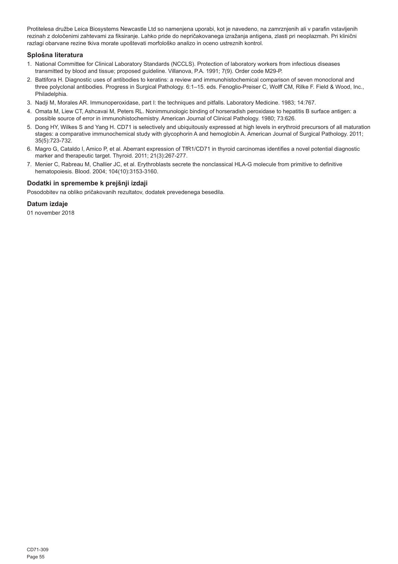Protitelesa družbe Leica Biosystems Newcastle Ltd so namenjena uporabi, kot je navedeno, na zamrznjenih ali v parafin vstavljenih rezinah z določenimi zahtevami za fiksiranje. Lahko pride do nepričakovanega izražanja antigena, zlasti pri neoplazmah. Pri klinični razlagi obarvane rezine tkiva morate upoštevati morfološko analizo in oceno ustreznih kontrol.

## **Splošna literatura**

- 1. National Committee for Clinical Laboratory Standards (NCCLS). Protection of laboratory workers from infectious diseases transmitted by blood and tissue; proposed guideline. Villanova, P.A. 1991; 7(9). Order code M29-P.
- 2. Battifora H. Diagnostic uses of antibodies to keratins: a review and immunohistochemical comparison of seven monoclonal and three polyclonal antibodies. Progress in Surgical Pathology. 6:1–15. eds. Fenoglio-Preiser C, Wolff CM, Rilke F. Field & Wood, Inc., Philadelphia.
- 3. Nadji M, Morales AR. Immunoperoxidase, part I: the techniques and pitfalls. Laboratory Medicine. 1983; 14:767.
- 4. Omata M, Liew CT, Ashcavai M, Peters RL. Nonimmunologic binding of horseradish peroxidase to hepatitis B surface antigen: a possible source of error in immunohistochemistry. American Journal of Clinical Pathology. 1980; 73:626.
- 5. Dong HY, Wilkes S and Yang H. CD71 is selectively and ubiquitously expressed at high levels in erythroid precursors of all maturation stages: a comparative immunochemical study with glycophorin A and hemoglobin A. American Journal of Surgical Pathology. 2011; 35(5):723-732.
- 6. Magro G, Cataldo I, Amico P, et al. Aberrant expression of TfR1/CD71 in thyroid carcinomas identifies a novel potential diagnostic marker and therapeutic target. Thyroid. 2011; 21(3):267-277.
- 7. Menier C, Rabreau M, Challier JC, et al. Erythroblasts secrete the nonclassical HLA-G molecule from primitive to definitive hematopoiesis. Blood. 2004; 104(10):3153-3160.

## **Dodatki in spremembe k prejšnji izdaji**

Posodobitev na obliko pričakovanih rezultatov, dodatek prevedenega besedila.

### **Datum izdaje**

01 november 2018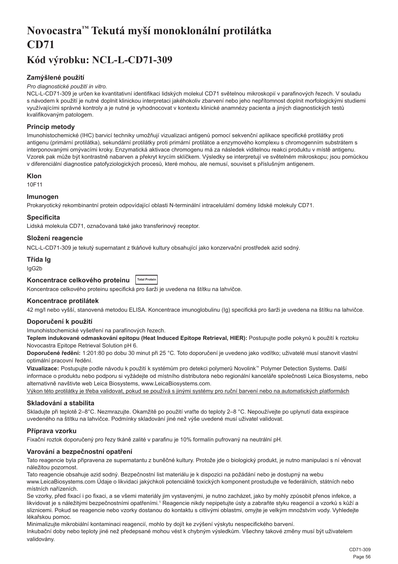# <span id="page-56-0"></span>**Novocastra™ Tekutá myší monoklonální protilátka CD71**

## **Kód výrobku: NCL-L-CD71-309**

## **Zamýšlené použití**

#### *Pro diagnostické použití in vitro.*

NCL-L-CD71-309 je určen ke kvantitativní identifikaci lidských molekul CD71 světelnou mikroskopií v parafinových řezech. V souladu s návodem k použití je nutné doplnit klinickou interpretaci jakéhokoliv zbarvení nebo jeho nepřítomnost doplnit morfologickými studiemi využívajícími správné kontroly a je nutné je vyhodnocovat v kontextu klinické anamnézy pacienta a jiných diagnostických testů kvalifikovaným patologem.

## **Princip metody**

Imunohistochemické (IHC) barvicí techniky umožňují vizualizaci antigenů pomocí sekvenční aplikace specifické protilátky proti antigenu (primární protilátka), sekundární protilátky proti primární protilátce a enzymového komplexu s chromogenním substrátem s interponovanými omývacími kroky. Enzymatická aktivace chromogenu má za následek viditelnou reakci produktu v místě antigenu. Vzorek pak může být kontrastně nabarven a překryt krycím sklíčkem. Výsledky se interpretují ve světelném mikroskopu; jsou pomůckou v diferenciální diagnostice patofyziologických procesů, které mohou, ale nemusí, souviset s příslušným antigenem.

### **Klon**

10F11

### **Imunogen**

Prokaryotický rekombinantní protein odpovídající oblasti N-terminální intracelulární domény lidské molekuly CD71.

### **Specificita**

Lidská molekula CD71, označovaná také jako transferinový receptor.

## **Složení reagencie**

NCL-L-CD71-309 je tekutý supernatant z tkáňové kultury obsahující jako konzervační prostředek azid sodný.

## **Třída Ig**

IgG2b

## **Koncentrace celkového proteinu Total Protein**

Koncentrace celkového proteinu specifická pro šarži je uvedena na štítku na lahvičce.

### **Koncentrace protilátek**

42 mg/l nebo vyšší, stanovená metodou ELISA. Koncentrace imunoglobulinu (Ig) specifická pro šarži je uvedena na štítku na lahvičce.

### **Doporučení k použití**

Imunohistochemické vyšetření na parafínových řezech.

**Teplem indukované odmaskování epitopu (Heat Induced Epitope Retrieval, HIER):** Postupujte podle pokynů k použití k roztoku Novocastra Epitope Retrieval Solution pH 6.

**Doporučené ředění:** 1:201:80 po dobu 30 minut při 25 °C. Toto doporučení je uvedeno jako vodítko; uživatelé musí stanovit vlastní optimální pracovní ředění.

**Vizualizace:** Postupujte podle návodu k použití k systémům pro detekci polymerů Novolink™ Polymer Detection Systems. Další informace o produktu nebo podporu si vyžádejte od místního distributora nebo regionální kanceláře společnosti Leica Biosystems, nebo alternativně navštivte web Leica Biosystems, www.LeicaBiosystems.com.

Výkon této protilátky je třeba validovat, pokud se používá s jinými systémy pro ruční barvení nebo na automatických platformách

### **Skladování a stabilita**

Skladujte při teplotě 2–8°C. Nezmrazujte. Okamžitě po použití vraťte do teploty 2–8 °C. Nepoužívejte po uplynutí data exspirace uvedeného na štítku na lahvičce. Podmínky skladování jiné než výše uvedené musí uživatel validovat.

### **Příprava vzorku**

Fixační roztok doporučený pro řezy tkáně zalité v parafinu je 10% formalín pufrovaný na neutrální pH.

### **Varování a bezpečnostní opatření**

Tato reagencie byla připravena ze supernatantu z buněčné kultury. Protože jde o biologický produkt, je nutno manipulaci s ní věnovat náležitou pozornost.

Tato reagencie obsahuje azid sodný. Bezpečnostní list materiálu je k dispozici na požádání nebo je dostupný na webu www.LeicaBiosystems.com Údaje o likvidaci jakýchkoli potenciálně toxických komponent prostudujte ve federálních, státních nebo místních nařízeních.

Se vzorky, před fixací i po fixaci, a se všemi materiály jim vystavenými, je nutno zacházet, jako by mohly způsobit přenos infekce, a likvidovat je s náležitými bezpečnostními opatřeními.1 Reagencie nikdy nepipetujte ústy a zabraňte styku reagencií a vzorků s kůží a sliznicemi. Pokud se reagencie nebo vzorky dostanou do kontaktu s citlivými oblastmi, omyjte je velkým množstvím vody. Vyhledejte lékařskou pomoc.

Minimalizujte mikrobiální kontaminaci reagencií, mohlo by dojít ke zvýšení výskytu nespecifického barvení.

Inkubační doby nebo teploty jiné než předepsané mohou vést k chybným výsledkům. Všechny takové změny musí být uživatelem validovány.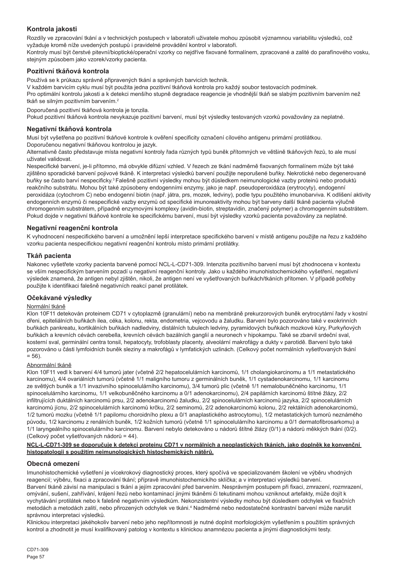## **Kontrola jakosti**

Rozdíly ve zpracování tkání a v technických postupech v laboratoři uživatele mohou způsobit významnou variabilitu výsledků, což vyžaduje kromě níže uvedených postupů i pravidelné provádění kontrol v laboratoři.

Kontroly musí být čerstvé pitevní/bioptické/operační vzorky co nejdříve fixované formalínem, zpracované a zalité do parafínového vosku, stejným způsobem jako vzorek/vzorky pacienta.

## **Pozitivní tkáňová kontrola**

Používá se k průkazu správně připravených tkání a správných barvicích technik.

V každém barvicím cyklu musí být použita jedna pozitivní tkáňová kontrola pro každý soubor testovacích podmínek.

Pro optimální kontrolu jakosti a k detekci menšího stupně degradace reagencie je vhodnější tkáň se slabým pozitivním barvením než tkáň se silným pozitivním barvením.<sup>2</sup>

Doporučená pozitivní tkáňová kontrola je tonzila.

Pokud pozitivní tkáňová kontrola nevykazuje pozitivní barvení, musí být výsledky testovaných vzorků považovány za neplatné.

#### **Negativní tkáňová kontrola**

Musí být vyšetřena po pozitivní tkáňové kontrole k ověření specificity označení cílového antigenu primární protilátkou. Doporučenou negativní tkáňovou kontrolou je jazyk.

Alternativně často představuje místa negativní kontroly řada různých typů buněk přítomných ve většině tkáňových řezů, to ale musí uživatel validovat.

Nespecifické barvení, je-li přítomno, má obvykle difúzní vzhled. V řezech ze tkání nadměrně fixovaných formalínem může být také zjištěno sporadické barvení pojivové tkáně. K interpretaci výsledků barvení použijte neporušené buňky. Nekrotické nebo degenerované buňky se často barví nespecificky.<sup>3</sup>Falešně pozitivní výsledky mohou být důsledkem neimunologické vazby proteinů nebo produktů reakčního substrátu. Mohou být také způsobeny endogenními enzymy, jako je např. pseudoperoxidáza (erytrocyty), endogenní peroxidáza (cytochrom C) nebo endogenní biotin (např. játra, prs, mozek, ledviny), podle typu použitého imunobarviva. K odlišení aktivity endogenních enzymů či nespecifické vazby enzymů od specifické imunoreaktivity mohou být barveny další tkáně pacienta výlučně chromogenním substrátem, případně enzymovými komplexy (avidin-biotin, streptavidin, značený polymer) a chromogenním substrátem. Pokud dojde v negativní tkáňové kontrole ke specifickému barvení, musí být výsledky vzorků pacienta považovány za neplatné.

## **Negativní reagenční kontrola**

K vyhodnocení nespecifického barvení a umožnění lepší interpretace specifického barvení v místě antigenu použijte na řezu z každého vzorku pacienta nespecifickou negativní reagenční kontrolu místo primární protilátky.

### **Tkáň pacienta**

Nakonec vyšetřete vzorky pacienta barvené pomocí NCL-L-CD71-309. Intenzita pozitivního barvení musí být zhodnocena v kontextu se vším nespecifickým barvením pozadí u negativní reagenční kontroly. Jako u každého imunohistochemického vyšetření, negativní výsledek znamená, že antigen nebyl zjištěn, nikoli, že antigen není ve vyšetřovaných buňkách/tkáních přítomen. V případě potřeby použijte k identifikaci falešně negativních reakcí panel protilátek.

### **Očekávané výsledky**

#### Normální tkáně

Klon 10F11 detekován proteinem CD71 v cytoplazmě (granulární) nebo na membráně prekurzorových buněk erytrocytární řady v kostní dřeni, epiteliálních buňkách ilea, céka, kolonu, rekta, endometria, vejcovodu a žaludku. Barvení bylo pozorováno také v exokrinních buňkách pankreatu, kortikálních buňkách nadledviny, distálních tubulech ledviny, pyramidových buňkách mozkové kůry, Purkyňových buňkách a krevních cévách cerebella, krevních cévách bazálních ganglií a neuronech v hipokampu. Také se zbarvil srdeční sval, kosterní sval, germinální centra tonsil, hepatocyty, trofoblasty placenty, alveolární makrofágy a dukty v parotidě. Barvení bylo také pozorováno u části lymfoidních buněk sleziny a makrofágů v lymfatických uzlinách. (Celkový počet normálních vyšetřovaných tkání  $= 56$ 

#### Abnormální tkáně

Klon 10F11 vedl k barvení 4/4 tumorů jater (včetně 2/2 hepatocelulárních karcinomů, 1/1 cholangiokarcinomu a 1/1 metastatického karcinomu), 4/4 ovariálních tumorů (včetně 1/1 maligního tumoru z germinálních buněk, 1/1 cystadenokarcinomu, 1/1 karcinomu ze světlých buněk a 1/1 invazivního spinocelulárního karcinomu), 3/4 tumorů plic (včetně 1/1 nemalobuněčného karcinomu, 1/1 spinocelulárního karcinomu, 1/1 velkobuněčného karcinomu a 0/1 adenokarcinomu), 2/4 papilárních karcinomů štítné žlázy, 2/2 infiltrujících duktálních karcinomů prsu, 2/2 adenokarcinomů žaludku, 2/2 spinocelulárních karcinomů jazyka, 2/2 spinocelulárních karcinomů jícnu, 2/2 spinocelulárních karcinomů krčku, 2/2 seminomů, 2/2 adenokarcinomů kolonu, 2/2 rektálních adenokarcinomů, 1/2 tumorů mozku (včetně 1/1 papilomu choroidního plexu a 0/1 anaplastického astrocytomu), 1/2 metastatických tumorů neznámého původu, 1/2 karcinomu z renálních buněk, 1/2 kožních tumorů (včetně 1/1 spinocelulárního karcinomu a 0/1 dermatofibrosarkomu) a 1/1 laryngeálního spinocelulárního karcinomu. Barvení nebylo detekováno u nádorů štítné žlázy (0/1) a nádorů měkkých tkání (0/2). (Celkový počet vyšetřovaných nádorů = 44).

#### **NCL-L-CD71-309 se doporučuje k detekci proteinu CD71 v normálních a neoplastických tkáních, jako doplněk ke konvenční histopatologii s použitím neimunologických histochemických nátěrů.**

### **Obecná omezení**

Imunohistochemické vyšetření je vícekrokový diagnostický proces, který spočívá ve specializovaném školení ve výběru vhodných reagencií; výběru, fixaci a zpracování tkání; přípravě imunohistochemickího sklíčka; a v interpretaci výsledků barvení. Barvení tkáně závisí na manipulaci s tkání a jejím zpracování před barvením. Nesprávným postupem při fixaci, zmrazení, rozmrazení, omývání, sušení, zahřívání, krájení řezů nebo kontaminací jinými tkáněmi či tekutinami mohou vzniknout artefakty, může dojít k vychytávání protilátek nebo k falešně negativním výsledkům. Nekonzistentní výsledky mohou být důsledkem odchylek ve fixačních metodách a metodách zalití, nebo přirozených odchylek ve tkáni.<sup>4</sup> Nadměrné nebo nedostatečné kontrastní barvení může narušit správnou interpretaci výsledků.

Klinickou interpretaci jakéhokoliv barvení nebo jeho nepřítomnosti je nutné doplnit morfologickým vyšetřením s použitím správných kontrol a zhodnotit je musí kvalifikovaný patolog v kontextu s klinickou anamnézou pacienta a jinými diagnostickými testy.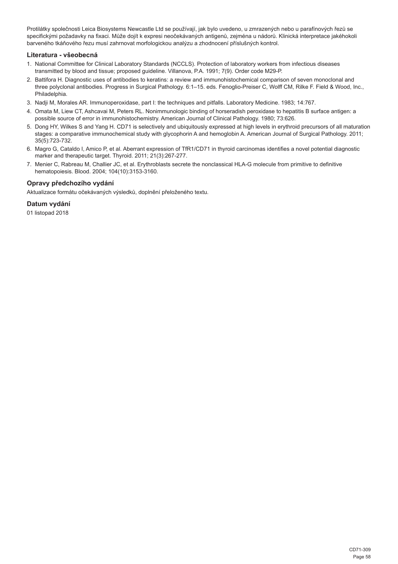Protilátky společnosti Leica Biosystems Newcastle Ltd se používají, jak bylo uvedeno, u zmrazených nebo u parafínových řezů se specifickými požadavky na fixaci. Může dojít k expresi neočekávaných antigenů, zejména u nádorů. Klinická interpretace jakéhokoli barveného tkáňového řezu musí zahrnovat morfologickou analýzu a zhodnocení příslušných kontrol.

### **Literatura - všeobecná**

- 1. National Committee for Clinical Laboratory Standards (NCCLS). Protection of laboratory workers from infectious diseases transmitted by blood and tissue; proposed guideline. Villanova, P.A. 1991; 7(9). Order code M29-P.
- 2. Battifora H. Diagnostic uses of antibodies to keratins: a review and immunohistochemical comparison of seven monoclonal and three polyclonal antibodies. Progress in Surgical Pathology. 6:1–15. eds. Fenoglio-Preiser C, Wolff CM, Rilke F. Field & Wood, Inc., Philadelphia.
- 3. Nadji M, Morales AR. Immunoperoxidase, part I: the techniques and pitfalls. Laboratory Medicine. 1983; 14:767.
- 4. Omata M, Liew CT, Ashcavai M, Peters RL. Nonimmunologic binding of horseradish peroxidase to hepatitis B surface antigen: a possible source of error in immunohistochemistry. American Journal of Clinical Pathology. 1980; 73:626.
- 5. Dong HY, Wilkes S and Yang H. CD71 is selectively and ubiquitously expressed at high levels in erythroid precursors of all maturation stages: a comparative immunochemical study with glycophorin A and hemoglobin A. American Journal of Surgical Pathology. 2011; 35(5):723-732.
- 6. Magro G, Cataldo I, Amico P, et al. Aberrant expression of TfR1/CD71 in thyroid carcinomas identifies a novel potential diagnostic marker and therapeutic target. Thyroid. 2011; 21(3):267-277.
- 7. Menier C, Rabreau M, Challier JC, et al. Erythroblasts secrete the nonclassical HLA-G molecule from primitive to definitive hematopoiesis. Blood. 2004; 104(10):3153-3160.

#### **Opravy předchozího vydání**

Aktualizace formátu očekávaných výsledků, doplnění přeloženého textu.

#### **Datum vydání**

01 listopad 2018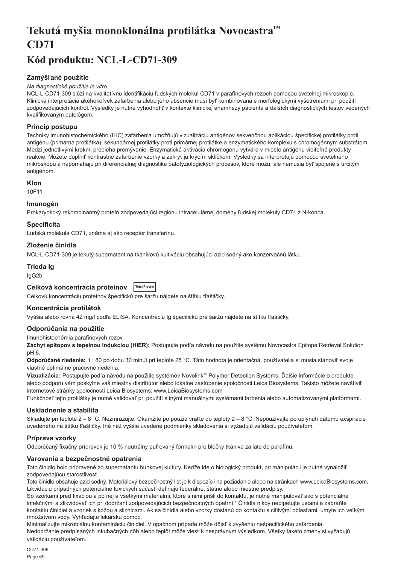# <span id="page-59-0"></span>**Tekutá myšia monoklonálna protilátka Novocastra™ CD71**

## **Kód produktu: NCL-L-CD71-309**

## **Zamýšľané použitie**

#### *Na diagnostické použitie in vitro.*

NCL-L-CD71-309 slúži na kvalitatívnu identifikáciu ľudských molekúl CD71 v parafínových rezoch pomocou svetelnej mikroskopie. Klinická interpretácia akéhokoľvek zafarbenia alebo jeho absencie musí byť kombinovaná s morfologickými vyšetreniami pri použití zodpovedajúcich kontrol. Výsledky je nutné vyhodnotiť v kontexte klinickej anamnézy pacienta a ďalších diagnostických testov vedených kvalifikovaným patológom.

## **Princíp postupu**

Techniky imunohistochemického (IHC) zafarbenia umožňujú vizualizáciu antigénov sekvenčnou aplikáciou špecifickej protilátky proti antigénu (primárna protilátka), sekundárnej protilátky proti primárnej protilátke a enzymatického komplexu s chromogénnym substrátom. Medzi jednotlivými krokmi prebieha premývanie. Enzymatická aktivácia chromogénu vytvára v mieste antigénu viditeľné produkty reakcie. Môžete doplniť kontrastné zafarbenie vzorky a zakryť ju krycím sklíčkom. Výsledky sa interpretujú pomocou svetelného mikroskopu a napomáhajú pri diferenciálnej diagnostike patofyziologických procesov, ktoré môžu, ale nemusia byť spojené s určitým antigénom.

### **Klon**

10F11

## **Imunogén**

Prokaryotický rekombinantný proteín zodpovedajúci regiónu intracelulárnej domény ľudskej molekuly CD71 z N-konca.

## **Špecificita**

Ľudská molekula CD71, známa aj ako receptor transferínu.

## **Zloženie činidla**

NCL-L-CD71-309 je tekutý supernatant na tkanivovú kultiváciu obsahujúci azid sodný ako konzervačnú látku.

#### **Trieda Ig**

IgG2b

#### **Celková koncentrácia proteínov Total Prote**

Celkovú koncentráciu proteínov špecifickú pre šaržu nájdete na štítku fľaštičky.

### **Koncentrácia protilátok**

Vyššia alebo rovná 42 mg/l podľa ELISA. Koncentráciu Ig špecifickú pre šaržu nájdete na štítku fľaštičky.

### **Odporúčania na použitie**

Imunohistochémia parafínových rezov.

**Záchyt epitopov s tepelnou indukciou (HIER):** Postupujte podľa návodu na použitie systému Novocastra Epitope Retrieval Solution pH 6.

**Odporúčané riedenie:** 1 : 80 po dobu 30 minút pri teplote 25 °C. Táto hodnota je orientačná, používatelia si musia stanoviť svoje vlastné optimálne pracovné riedenia.

**Vizualizácia:** Postupujte podľa návodu na použitie systémov Novolink™ Polymer Detection Systems. Ďalšie informácie o produkte alebo podporu vám poskytne váš miestny distribútor alebo lokálne zastúpenie spoločnosti Leica Biosystems. Takisto môžete navštíviť internetové stránky spoločnosti Leica Biosystems: www.LeicaBiosystems.com

Funkčnosť tejto protilátky je nutné validovať pri použití s inými manuálnymi systémami farbenia alebo automatizovanými platformami.

## **Uskladnenie a stabilita**

Skladujte pri teplote 2 – 8 °C. Nezmrazujte. Okamžite po použití vráťte do teploty 2 – 8 °C. Nepoužívajte po uplynutí dátumu exspirácie uvedeného na štítku fľaštičky. Iné než vyššie uvedené podmienky skladovania si vyžadujú validáciu používateľom.

### **Príprava vzorky**

Odporúčaný fixačný prípravok je 10 % neutrálny pufrovaný formalín pre bločky tkaniva zaliate do parafínu.

### **Varovania a bezpečnostné opatrenia**

Toto činidlo bolo pripravené zo supernatantu bunkovej kultúry. Keďže ide o biologický produkt, pri manipulácii je nutné vynaložiť zodpovedajúcu starostlivosť.

Toto činidlo obsahuje azid sodný. Materiálový bezpečnostný list je k dispozícii na požiadanie alebo na stránkach www.LeicaBiosystems.com. Likvidáciu prípadných potenciálne toxických súčastí definujú federálne, štátne alebo miestne predpisy.

So vzorkami pred fixáciou a po nej a všetkými materiálmi, ktoré s nimi prišli do kontaktu, je nutné manipulovať ako s potenciálne infekčnými a zlikvidovať ich pri dodržaní zodpovedajúcich bezpečnostných opatrní.<sup>1</sup> Činidlá nikdy nepipetujte ústami a zabráňte kontaktu činidiel a vzoriek s kožou a sliznicami. Ak sa činidlá alebo vzorky dostanú do kontaktu s citlivými oblasťami, umyte ich veľkým množstvom vody. Vyhľadajte lekársku pomoc.

Minimalizujte mikrobiálnu kontamináciu činidiel. V opačnom prípade môže dôjsť k zvýšeniu nešpecifického zafarbenia. Nedodržanie predpísaných inkubačných dôb alebo teplôt môže viesť k nesprávnym výsledkom. Všetky takéto zmeny si vyžadujú validáciu používateľom.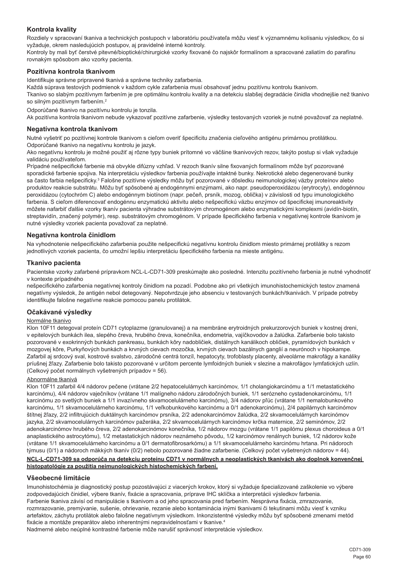## **Kontrola kvality**

Rozdiely v spracovaní tkaniva a technických postupoch v laboratóriu používateľa môžu viesť k významnému kolísaniu výsledkov, čo si vyžaduje, okrem nasledujúcich postupov, aj pravidelné interné kontroly.

Kontroly by mali byť čerstvé pitevné/bioptické/chirurgické vzorky fixované čo najskôr formalínom a spracované zaliatím do parafínu rovnakým spôsobom ako vzorky pacienta.

### **Pozitívna kontrola tkanivom**

Identifikuje správne pripravené tkanivá a správne techniky zafarbenia.

Každá súprava testových podmienok v každom cykle zafarbenia musí obsahovať jednu pozitívnu kontrolu tkanivom.

Tkanivo so slabým pozitívnym farbením je pre optimálnu kontrolu kvality a na detekciu slabšej degradácie činidla vhodnejšie než tkanivo so silným pozitívnym farbením.<sup>2</sup>

Odporúčané tkanivo na pozitívnu kontrolu je tonzila.

Ak pozitívna kontrola tkanivom nebude vykazovať pozitívne zafarbenie, výsledky testovaných vzoriek je nutné považovať za neplatné.

#### **Negatívna kontrola tkanivom**

Nutné vyšetriť po pozitívnej kontrole tkanivom s cieľom overiť špecificitu značenia cieľového antigénu primárnou protilátkou. Odporúčané tkanivo na negatívnu kontrolu je jazyk.

Ako negatívnu kontrolu je možné použiť aj rôzne typy buniek prítomné vo väčšine tkanivových rezov, takýto postup si však vyžaduje validáciu používateľom.

Prípadné nešpecifické farbenie má obvykle difúzny vzhľad. V rezoch tkanív silne fixovaných formalínom môže byť pozorované sporadické farbenie spojiva. Na interpretáciu výsledkov farbenia používajte intaktné bunky. Nekrotické alebo degenerované bunky sa často farbia nešpecificky.<sup>3</sup> Falošne pozitívne výsledky môžu byť pozorované v dôsledku neimunologickej väzby proteínov alebo produktov reakcie substrátu. Môžu byť spôsobené aj endogénnymi enzýmami, ako napr. pseudoperoxidázou (erytrocyty), endogénnou peroxidázou (cytochróm C) alebo endogénnym biotínom (napr. pečeň, prsník, mozog, oblička) v závislosti od typu imunologického farbenia. S cieľom diferencovať endogénnu enzymatickú aktivitu alebo nešpecifickú väzbu enzýmov od špecifickej imunoreaktivity môžete nafarbiť ďalšie vzorky tkanív pacienta výhradne substrátovým chromogénom alebo enzymatickými komplexmi (avidín-biotín, streptavidín, značený polymér), resp. substrátovým chromogénom. V prípade špecifického farbenia v negatívnej kontrole tkanivom je nutné výsledky vzoriek pacienta považovať za neplatné.

## **Negatívna kontrola činidlom**

Na vyhodnotenie nešpecifického zafarbenia použite nešpecifickú negatívnu kontrolu činidlom miesto primárnej protilátky s rezom jednotlivých vzoriek pacienta, čo umožní lepšiu interpretáciu špecifického farbenia na mieste antigénu.

#### **Tkanivo pacienta**

Pacientske vzorky zafarbené prípravkom NCL-L-CD71-309 preskúmajte ako posledné. Intenzitu pozitívneho farbenia je nutné vyhodnotiť v kontexte prípadného

nešpecifického zafarbenia negatívnej kontroly činidlom na pozadí. Podobne ako pri všetkých imunohistochemických testov znamená negatívny výsledok, že antigén nebol detegovaný. Nepotvrdzuje jeho absenciu v testovaných bunkách/tkanivách. V prípade potreby identifikujte falošne negatívne reakcie pomocou panelu protilátok.

### **Očakávané výsledky**

#### Normálne tkanivo

Klon 10F11 detegoval proteín CD71 cytoplazme (granulovanej) a na membráne erytroidných prekurzorových buniek v kostnej dreni, v epitelových bunkách ilea, slepého čreva, hrubého čreva, konečníka, endometria, vajíčkovodov a žalúdka. Zafarbenie bolo takisto pozorované v exokrinných bunkách pankreasu, bunkách kôry nadobličiek, distálnych kanálikoch obličiek, pyramídových bunkách v mozgovej kôre, Purkyňových bunkách a krvných cievach mozočka, krvných cievach bazálnych ganglií a neurónoch v hipokampe. Zafarbil aj srdcový sval, kostrové svalstvo, zárodočné centrá tonzíl, hepatocyty, trofoblasty placenty, alveolárne makrofágy a kanáliky príušnej žľazy. Zafarbenie bolo takisto pozorované v určitom percente lymfoidných buniek v slezine a makrofágov lymfatických uzlín. (Celkový počet normálnych vyšetrených prípadov = 56).

#### Abnormálne tkanivá

Klon 10F11 zafarbil 4/4 nádorov pečene (vrátane 2/2 hepatocelulárnych karcinómov, 1/1 cholangiokarcinómu a 1/1 metastatického karcinómu), 4/4 nádorov vaječníkov (vrátane 1/1 malígneho nádoru zárodočných buniek, 1/1 serózneho cystadenokarcinómu, 1/1 karcinómu zo svetlých buniek a 1/1 invazívneho skvamocelulárneho karcinómu), 3/4 nádorov pľúc (vrátane 1/1 nemalobunkového karcinómu, 1/1 skvamocelulárneho karcinómu, 1/1 veľkobunkového karcinómu a 0/1 adenokarcinómu), 2/4 papilárnych karcinómov štítnej žľazy, 2/2 infiltrujúcich duktálnych karcinómov prsníka, 2/2 adenokarcinómov žalúdka, 2/2 skvamocelulárnych karcinómov jazyka, 2/2 skvamocelulárnych karcinómov pažeráka, 2/2 skvamocelulárnych karcinómov krčka maternice, 2/2 seminómov, 2/2 adenokarcinómov hrubého čreva, 2/2 adenokarcinómov konečníka, 1/2 nádorov mozgu (vrátane 1/1 papilómu plexus choroideus a 0/1 anaplastického astrocytómu), 1/2 metastatických nádorov neznámeho pôvodu, 1/2 karcinómov renálnych buniek, 1/2 nádorov kože (vrátane 1/1 skvamocelulárneho karcinómu a 0/1 dermatofibrosarkómu) a 1/1 skvamocelulárneho karcinómu hrtana. Pri nádoroch týmusu (0/1) a nádoroch mäkkých tkanív (0/2) nebolo pozorované žiadne zafarbenie. (Celkový počet vyšetrených nádorov = 44). **NCL-L-CD71-309 sa odporúča na detekciu proteínu CD71 v normálnych a neoplastických tkanivách ako doplnok konvenčnej histopatológie za použitia neimunologických histochemických farbení.**

#### **Všeobecné limitácie**

Imunohistochémia je diagnostický postup pozostávajúci z viacerých krokov, ktorý si vyžaduje špecializované zaškolenie vo výbere zodpovedajúcich činidiel, výbere tkanív, fixácie a spracovania, príprave IHC sklíčka a interpretácii výsledkov farbenia. Farbenie tkaniva závisí od manipulácie s tkanivom a od jeho spracovania pred farbením. Nesprávna fixácia, zmrazovanie, rozmrazovanie, premývanie, sušenie, ohrievanie, rezanie alebo kontaminácia inými tkanivami či tekutinami môžu viesť k vzniku artefaktov, záchytu protilátok alebo falošne negatívnym výsledkom. Inkonzistentné výsledky môžu byť spôsobené zmenami metód fixácie a montáže preparátov alebo inherentnými nepravidelnosťami v tkanive.<sup>4</sup>

Nadmerné alebo neúplné kontrastné farbenie môže narušiť správnosť interpretácie výsledkov.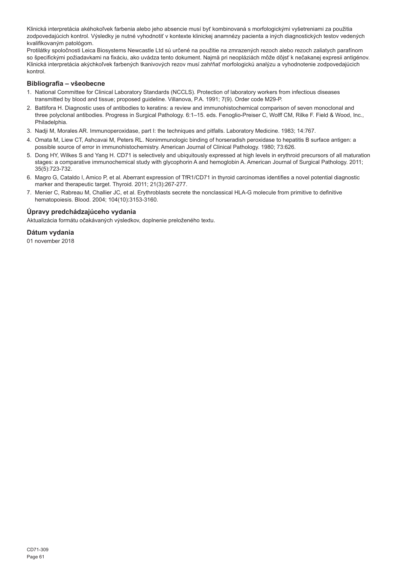Klinická interpretácia akéhokoľvek farbenia alebo jeho absencie musí byť kombinovaná s morfologickými vyšetreniami za použitia zodpovedajúcich kontrol. Výsledky je nutné vyhodnotiť v kontexte klinickej anamnézy pacienta a iných diagnostických testov vedených kvalifikovaným patológom.

Protilátky spoločnosti Leica Biosystems Newcastle Ltd sú určené na použitie na zmrazených rezoch alebo rezoch zaliatych parafínom so špecifickými požiadavkami na fixáciu, ako uvádza tento dokument. Najmä pri neopláziách môže dôjsť k nečakanej expresii antigénov. Klinická interpretácia akýchkoľvek farbených tkanivových rezov musí zahŕňať morfologickú analýzu a vyhodnotenie zodpovedajúcich kontrol.

## **Bibliografia – všeobecne**

- 1. National Committee for Clinical Laboratory Standards (NCCLS). Protection of laboratory workers from infectious diseases transmitted by blood and tissue; proposed guideline. Villanova, P.A. 1991; 7(9). Order code M29-P.
- 2. Battifora H. Diagnostic uses of antibodies to keratins: a review and immunohistochemical comparison of seven monoclonal and three polyclonal antibodies. Progress in Surgical Pathology. 6:1–15. eds. Fenoglio-Preiser C, Wolff CM, Rilke F. Field & Wood, Inc., Philadelphia.
- 3. Nadji M, Morales AR. Immunoperoxidase, part I: the techniques and pitfalls. Laboratory Medicine. 1983; 14:767.
- 4. Omata M, Liew CT, Ashcavai M, Peters RL. Nonimmunologic binding of horseradish peroxidase to hepatitis B surface antigen: a possible source of error in immunohistochemistry. American Journal of Clinical Pathology. 1980; 73:626.
- 5. Dong HY, Wilkes S and Yang H. CD71 is selectively and ubiquitously expressed at high levels in erythroid precursors of all maturation stages: a comparative immunochemical study with glycophorin A and hemoglobin A. American Journal of Surgical Pathology. 2011; 35(5):723-732.
- 6. Magro G, Cataldo I, Amico P, et al. Aberrant expression of TfR1/CD71 in thyroid carcinomas identifies a novel potential diagnostic marker and therapeutic target. Thyroid. 2011; 21(3):267-277.
- 7. Menier C, Rabreau M, Challier JC, et al. Erythroblasts secrete the nonclassical HLA-G molecule from primitive to definitive hematopoiesis. Blood. 2004; 104(10):3153-3160.

## **Úpravy predchádzajúceho vydania**

Aktualizácia formátu očakávaných výsledkov, doplnenie preloženého textu.

## **Dátum vydania**

01 november 2018